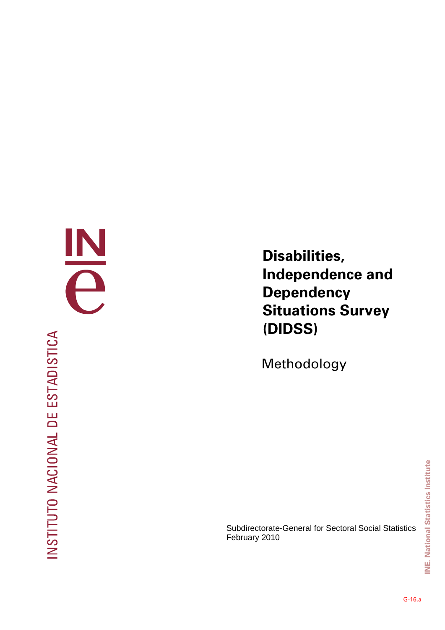INSTITUTO NACIONAL DE ESTADISTICA

E

**Disabilities, Independence and Dependency Situations Survey (DIDSS)** 

Methodology

Subdirectorate-General for Sectoral Social Statistics February 2010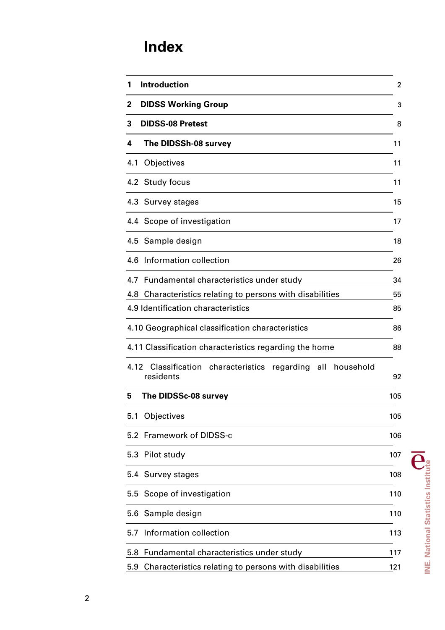# **Index**

| 1    | <b>Introduction</b>                                                       | $\overline{2}$ |
|------|---------------------------------------------------------------------------|----------------|
| 2    | <b>DIDSS Working Group</b>                                                | 3              |
| 3    | <b>DIDSS-08 Pretest</b>                                                   | 8              |
| 4    | The DIDSSh-08 survey                                                      | 11             |
| 4.1  | Objectives                                                                | 11             |
|      | 4.2 Study focus                                                           | 11             |
|      | 4.3 Survey stages                                                         | 15             |
|      | 4.4 Scope of investigation                                                | 17             |
|      | 4.5 Sample design                                                         | 18             |
|      | 4.6 Information collection                                                | 26             |
| 4.7  | Fundamental characteristics under study                                   | 34             |
| 4.8  | Characteristics relating to persons with disabilities                     | 55             |
|      | 4.9 Identification characteristics                                        | 85             |
|      | 4.10 Geographical classification characteristics                          | 86             |
|      | 4.11 Classification characteristics regarding the home                    | 88             |
| 4.12 | Classification characteristics regarding<br>all<br>household<br>residents | 92             |
| 5    | The DIDSSc-08 survey                                                      | 105            |
| 5.1  | Objectives                                                                | 105            |
|      | 5.2 Framework of DIDSS-c                                                  | 106            |
| 5.3  | Pilot study                                                               | 107            |
| 5.4  | Survey stages                                                             | 108            |
|      | 5.5 Scope of investigation                                                | 110            |
|      | 5.6 Sample design                                                         | 110            |
| 5.7  | Information collection                                                    | 113            |
| 5.8  | Fundamental characteristics under study                                   | 117            |
| 5.9  | Characteristics relating to persons with disabilities                     | 121            |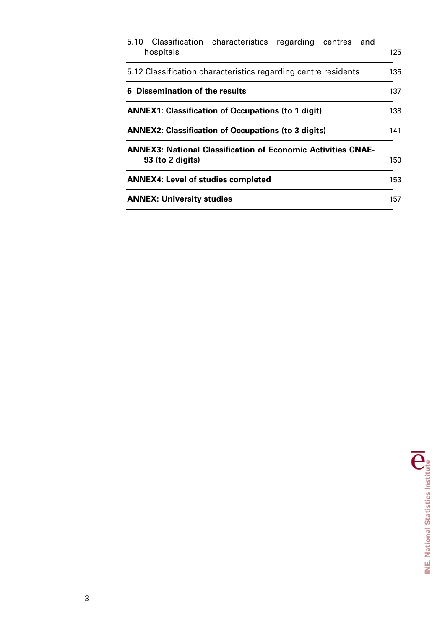| 5.10 Classification characteristics regarding centres<br>and<br>hospitals                 | 125 |
|-------------------------------------------------------------------------------------------|-----|
| 5.12 Classification characteristics regarding centre residents                            | 135 |
| 6 Dissemination of the results                                                            | 137 |
| <b>ANNEX1: Classification of Occupations (to 1 digit)</b>                                 | 138 |
| <b>ANNEX2: Classification of Occupations (to 3 digits)</b>                                | 141 |
| <b>ANNEX3: National Classification of Economic Activities CNAE-</b><br>$93$ (to 2 digits) | 150 |
| <b>ANNEX4: Level of studies completed</b>                                                 | 153 |
| <b>ANNEX: University studies</b>                                                          | 157 |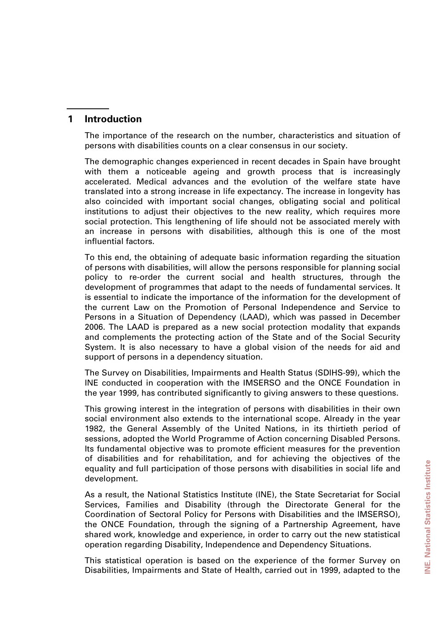# **1 Introduction**

The importance of the research on the number, characteristics and situation of persons with disabilities counts on a clear consensus in our society.

The demographic changes experienced in recent decades in Spain have brought with them a noticeable ageing and growth process that is increasingly accelerated. Medical advances and the evolution of the welfare state have translated into a strong increase in life expectancy. The increase in longevity has also coincided with important social changes, obligating social and political institutions to adjust their objectives to the new reality, which requires more social protection. This lengthening of life should not be associated merely with an increase in persons with disabilities, although this is one of the most influential factors.

To this end, the obtaining of adequate basic information regarding the situation of persons with disabilities, will allow the persons responsible for planning social policy to re-order the current social and health structures, through the development of programmes that adapt to the needs of fundamental services. It is essential to indicate the importance of the information for the development of the current Law on the Promotion of Personal Independence and Service to Persons in a Situation of Dependency (LAAD), which was passed in December 2006. The LAAD is prepared as a new social protection modality that expands and complements the protecting action of the State and of the Social Security System. It is also necessary to have a global vision of the needs for aid and support of persons in a dependency situation.

The Survey on Disabilities, Impairments and Health Status (SDIHS-99), which the INE conducted in cooperation with the IMSERSO and the ONCE Foundation in the year 1999, has contributed significantly to giving answers to these questions.

This growing interest in the integration of persons with disabilities in their own social environment also extends to the international scope. Already in the year 1982, the General Assembly of the United Nations, in its thirtieth period of sessions, adopted the World Programme of Action concerning Disabled Persons. Its fundamental objective was to promote efficient measures for the prevention of disabilities and for rehabilitation, and for achieving the objectives of the equality and full participation of those persons with disabilities in social life and development.

As a result, the National Statistics Institute (INE), the State Secretariat for Social Services, Families and Disability (through the Directorate General for the Coordination of Sectoral Policy for Persons with Disabilities and the IMSERSO), the ONCE Foundation, through the signing of a Partnership Agreement, have shared work, knowledge and experience, in order to carry out the new statistical operation regarding Disability, Independence and Dependency Situations.

This statistical operation is based on the experience of the former Survey on Disabilities, Impairments and State of Health, carried out in 1999, adapted to the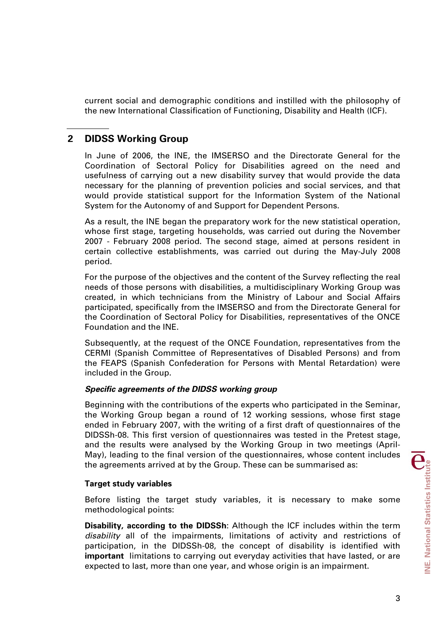current social and demographic conditions and instilled with the philosophy of the new International Classification of Functioning, Disability and Health (ICF).

# **2 DIDSS Working Group**

In June of 2006, the INE, the IMSERSO and the Directorate General for the Coordination of Sectoral Policy for Disabilities agreed on the need and usefulness of carrying out a new disability survey that would provide the data necessary for the planning of prevention policies and social services, and that would provide statistical support for the Information System of the National System for the Autonomy of and Support for Dependent Persons.

As a result, the INE began the preparatory work for the new statistical operation, whose first stage, targeting households, was carried out during the November 2007 - February 2008 period. The second stage, aimed at persons resident in certain collective establishments, was carried out during the May-July 2008 period.

For the purpose of the objectives and the content of the Survey reflecting the real needs of those persons with disabilities, a multidisciplinary Working Group was created, in which technicians from the Ministry of Labour and Social Affairs participated, specifically from the IMSERSO and from the Directorate General for the Coordination of Sectoral Policy for Disabilities, representatives of the ONCE Foundation and the INE.

Subsequently, at the request of the ONCE Foundation, representatives from the CERMI (Spanish Committee of Representatives of Disabled Persons) and from the FEAPS (Spanish Confederation for Persons with Mental Retardation) were included in the Group.

## *Specific agreements of the DIDSS working group*

Beginning with the contributions of the experts who participated in the Seminar, the Working Group began a round of 12 working sessions, whose first stage ended in February 2007, with the writing of a first draft of questionnaires of the DIDSSh-08. This first version of questionnaires was tested in the Pretest stage, and the results were analysed by the Working Group in two meetings (April-May), leading to the final version of the questionnaires, whose content includes the agreements arrived at by the Group. These can be summarised as:

## **Target study variables**

Before listing the target study variables, it is necessary to make some methodological points:

**Disability, according to the DIDSSh**: Although the ICF includes within the term *disability* all of the impairments, limitations of activity and restrictions of participation, in the DIDSSh-08, the concept of disability is identified with **important** limitations to carrying out everyday activities that have lasted, or are expected to last, more than one year, and whose origin is an impairment.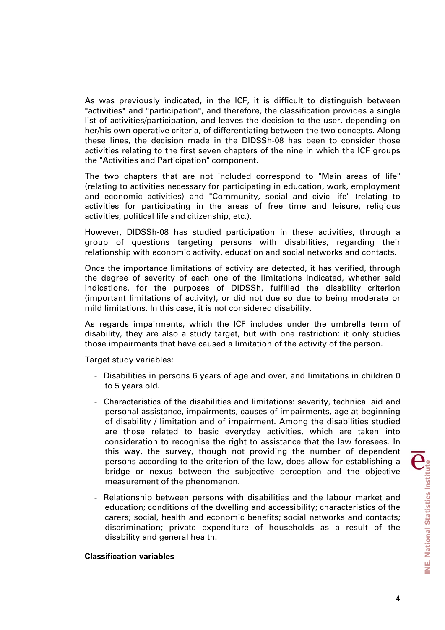As was previously indicated, in the ICF, it is difficult to distinguish between "activities" and "participation", and therefore, the classification provides a single list of activities/participation, and leaves the decision to the user, depending on her/his own operative criteria, of differentiating between the two concepts. Along these lines, the decision made in the DIDSSh-08 has been to consider those activities relating to the first seven chapters of the nine in which the ICF groups the "Activities and Participation" component.

The two chapters that are not included correspond to "Main areas of life" (relating to activities necessary for participating in education, work, employment and economic activities) and "Community, social and civic life" (relating to activities for participating in the areas of free time and leisure, religious activities, political life and citizenship, etc.).

However, DIDSSh-08 has studied participation in these activities, through a group of questions targeting persons with disabilities, regarding their relationship with economic activity, education and social networks and contacts.

Once the importance limitations of activity are detected, it has verified, through the degree of severity of each one of the limitations indicated, whether said indications, for the purposes of DIDSSh, fulfilled the disability criterion (important limitations of activity), or did not due so due to being moderate or mild limitations. In this case, it is not considered disability.

As regards impairments, which the ICF includes under the umbrella term of disability, they are also a study target, but with one restriction: it only studies those impairments that have caused a limitation of the activity of the person.

Target study variables:

- Disabilities in persons 6 years of age and over, and limitations in children 0 to 5 years old.
- Characteristics of the disabilities and limitations: severity, technical aid and personal assistance, impairments, causes of impairments, age at beginning of disability / limitation and of impairment. Among the disabilities studied are those related to basic everyday activities, which are taken into consideration to recognise the right to assistance that the law foresees. In this way, the survey, though not providing the number of dependent persons according to the criterion of the law, does allow for establishing a bridge or nexus between the subjective perception and the objective measurement of the phenomenon.
- Relationship between persons with disabilities and the labour market and education; conditions of the dwelling and accessibility; characteristics of the carers; social, health and economic benefits; social networks and contacts; discrimination; private expenditure of households as a result of the disability and general health.

## **Classification variables**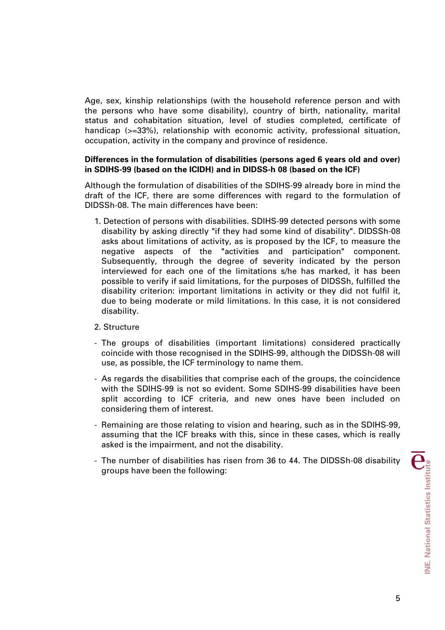Age, sex, kinship relationships (with the household reference person and with the persons who have some disability), country of birth, nationality, marital status and cohabitation situation, level of studies completed, certificate of handicap (>=33%), relationship with economic activity, professional situation, occupation, activity in the company and province of residence.

## **Differences in the formulation of disabilities (persons aged 6 years old and over) in SDIHS-99 (based on the ICIDH) and in DIDSS-h 08 (based on the ICF)**

Although the formulation of disabilities of the SDIHS-99 already bore in mind the draft of the ICF, there are some differences with regard to the formulation of DIDSSh-08. The main differences have been:

1. Detection of persons with disabilities. SDIHS-99 detected persons with some disability by asking directly "if they had some kind of disability". DIDSSh-08 asks about limitations of activity, as is proposed by the ICF, to measure the negative aspects of the "activities and participation" component. Subsequently, through the degree of severity indicated by the person interviewed for each one of the limitations s/he has marked, it has been possible to verify if said limitations, for the purposes of DIDSSh, fulfilled the disability criterion: important limitations in activity or they did not fulfil it, due to being moderate or mild limitations. In this case, it is not considered disability.

## 2. Structure

- The groups of disabilities (important limitations) considered practically coincide with those recognised in the SDIHS-99, although the DIDSSh-08 will use, as possible, the ICF terminology to name them.
- As regards the disabilities that comprise each of the groups, the coincidence with the SDIHS-99 is not so evident. Some SDIHS-99 disabilities have been split according to ICF criteria, and new ones have been included on considering them of interest.
- Remaining are those relating to vision and hearing, such as in the SDIHS-99, assuming that the ICF breaks with this, since in these cases, which is really asked is the impairment, and not the disability.
- The number of disabilities has risen from 36 to 44. The DIDSSh-08 disability groups have been the following: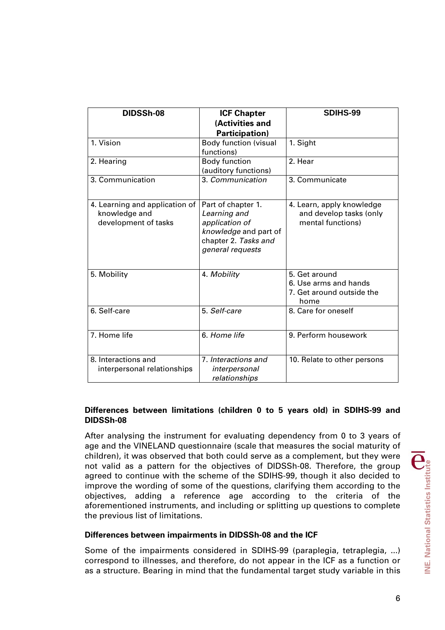| DIDSSh-08                                                               | <b>ICF Chapter</b><br>(Activities and<br><b>Participation)</b>                                                            | SDIHS-99                                                                    |  |  |  |
|-------------------------------------------------------------------------|---------------------------------------------------------------------------------------------------------------------------|-----------------------------------------------------------------------------|--|--|--|
| 1. Vision                                                               | <b>Body function (visual</b><br>functions)                                                                                | 1. Sight                                                                    |  |  |  |
| 2. Hearing                                                              | <b>Body function</b><br>(auditory functions)                                                                              | 2. Hear                                                                     |  |  |  |
| 3. Communication                                                        | 3. Communication                                                                                                          | 3. Communicate                                                              |  |  |  |
| 4. Learning and application of<br>knowledge and<br>development of tasks | Part of chapter 1.<br>Learning and<br>application of<br>knowledge and part of<br>chapter 2. Tasks and<br>general requests | 4. Learn, apply knowledge<br>and develop tasks (only<br>mental functions)   |  |  |  |
| 5. Mobility                                                             | 4. Mobility                                                                                                               | 5. Get around<br>6. Use arms and hands<br>7. Get around outside the<br>home |  |  |  |
| 6. Self-care                                                            | 5. Self-care                                                                                                              | 8. Care for oneself                                                         |  |  |  |
| 7. Home life                                                            | 6. Home life                                                                                                              | 9. Perform housework                                                        |  |  |  |
| 8. Interactions and<br>interpersonal relationships                      | 7. Interactions and<br>interpersonal<br>relationships                                                                     | 10. Relate to other persons                                                 |  |  |  |

## **Differences between limitations (children 0 to 5 years old) in SDIHS-99 and DIDSSh-08**

After analysing the instrument for evaluating dependency from 0 to 3 years of age and the VINELAND questionnaire (scale that measures the social maturity of children), it was observed that both could serve as a complement, but they were not valid as a pattern for the objectives of DIDSSh-08. Therefore, the group agreed to continue with the scheme of the SDIHS-99, though it also decided to improve the wording of some of the questions, clarifying them according to the objectives, adding a reference age according to the criteria of the aforementioned instruments, and including or splitting up questions to complete the previous list of limitations.

## **Differences between impairments in DIDSSh-08 and the ICF**

Some of the impairments considered in SDIHS-99 (paraplegia, tetraplegia, ...) correspond to illnesses, and therefore, do not appear in the ICF as a function or as a structure. Bearing in mind that the fundamental target study variable in this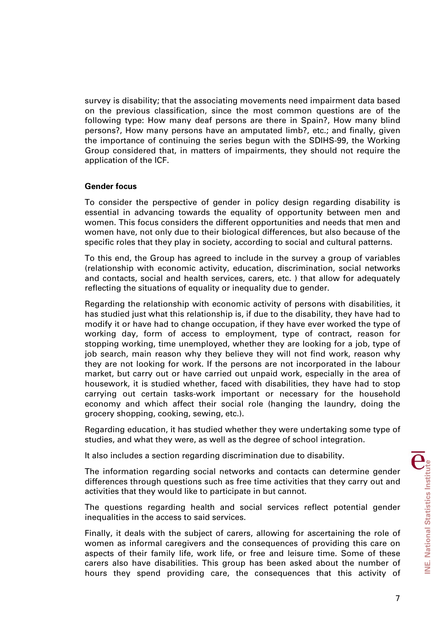survey is disability; that the associating movements need impairment data based on the previous classification, since the most common questions are of the following type: How many deaf persons are there in Spain?, How many blind persons?, How many persons have an amputated limb?, etc.; and finally, given the importance of continuing the series begun with the SDIHS-99, the Working Group considered that, in matters of impairments, they should not require the application of the ICF.

## **Gender focus**

To consider the perspective of gender in policy design regarding disability is essential in advancing towards the equality of opportunity between men and women. This focus considers the different opportunities and needs that men and women have, not only due to their biological differences, but also because of the specific roles that they play in society, according to social and cultural patterns.

To this end, the Group has agreed to include in the survey a group of variables (relationship with economic activity, education, discrimination, social networks and contacts, social and health services, carers, etc. ) that allow for adequately reflecting the situations of equality or inequality due to gender.

Regarding the relationship with economic activity of persons with disabilities, it has studied just what this relationship is, if due to the disability, they have had to modify it or have had to change occupation, if they have ever worked the type of working day, form of access to employment, type of contract, reason for stopping working, time unemployed, whether they are looking for a job, type of job search, main reason why they believe they will not find work, reason why they are not looking for work. If the persons are not incorporated in the labour market, but carry out or have carried out unpaid work, especially in the area of housework, it is studied whether, faced with disabilities, they have had to stop carrying out certain tasks-work important or necessary for the household economy and which affect their social role (hanging the laundry, doing the grocery shopping, cooking, sewing, etc.).

Regarding education, it has studied whether they were undertaking some type of studies, and what they were, as well as the degree of school integration.

It also includes a section regarding discrimination due to disability.

The information regarding social networks and contacts can determine gender differences through questions such as free time activities that they carry out and activities that they would like to participate in but cannot.

The questions regarding health and social services reflect potential gender inequalities in the access to said services.

Finally, it deals with the subject of carers, allowing for ascertaining the role of women as informal caregivers and the consequences of providing this care on aspects of their family life, work life, or free and leisure time. Some of these carers also have disabilities. This group has been asked about the number of hours they spend providing care, the consequences that this activity of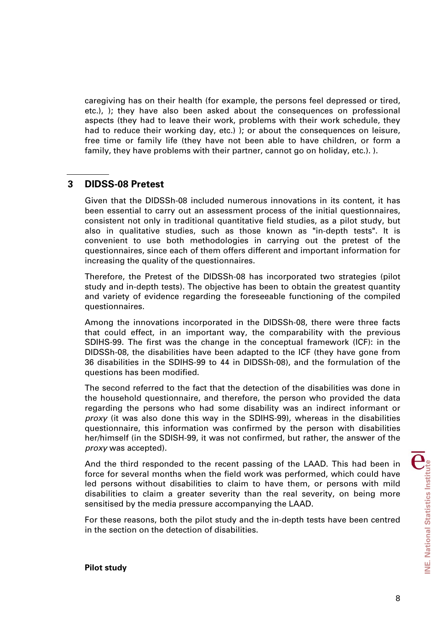caregiving has on their health (for example, the persons feel depressed or tired, etc.), ); they have also been asked about the consequences on professional aspects (they had to leave their work, problems with their work schedule, they had to reduce their working day, etc.) ); or about the consequences on leisure, free time or family life (they have not been able to have children, or form a family, they have problems with their partner, cannot go on holiday, etc.). ).

# **3 DIDSS-08 Pretest**

Given that the DIDSSh-08 included numerous innovations in its content, it has been essential to carry out an assessment process of the initial questionnaires, consistent not only in traditional quantitative field studies, as a pilot study, but also in qualitative studies, such as those known as "in-depth tests". It is convenient to use both methodologies in carrying out the pretest of the questionnaires, since each of them offers different and important information for increasing the quality of the questionnaires.

Therefore, the Pretest of the DIDSSh-08 has incorporated two strategies (pilot study and in-depth tests). The objective has been to obtain the greatest quantity and variety of evidence regarding the foreseeable functioning of the compiled questionnaires.

Among the innovations incorporated in the DIDSSh-08, there were three facts that could effect, in an important way, the comparability with the previous SDIHS-99. The first was the change in the conceptual framework (ICF): in the DIDSSh-08, the disabilities have been adapted to the ICF (they have gone from 36 disabilities in the SDIHS-99 to 44 in DIDSSh-08), and the formulation of the questions has been modified.

The second referred to the fact that the detection of the disabilities was done in the household questionnaire, and therefore, the person who provided the data regarding the persons who had some disability was an indirect informant or *proxy* (it was also done this way in the SDIHS-99), whereas in the disabilities questionnaire, this information was confirmed by the person with disabilities her/himself (in the SDISH-99, it was not confirmed, but rather, the answer of the *proxy* was accepted).

And the third responded to the recent passing of the LAAD. This had been in force for several months when the field work was performed, which could have led persons without disabilities to claim to have them, or persons with mild disabilities to claim a greater severity than the real severity, on being more sensitised by the media pressure accompanying the LAAD.

For these reasons, both the pilot study and the in-depth tests have been centred in the section on the detection of disabilities.

## **Pilot study**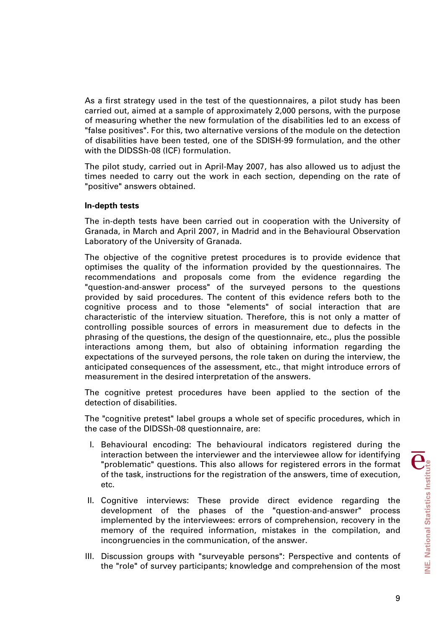As a first strategy used in the test of the questionnaires, a pilot study has been carried out, aimed at a sample of approximately 2,000 persons, with the purpose of measuring whether the new formulation of the disabilities led to an excess of "false positives". For this, two alternative versions of the module on the detection of disabilities have been tested, one of the SDISH-99 formulation, and the other with the DIDSSh-08 (ICF) formulation.

The pilot study, carried out in April-May 2007, has also allowed us to adjust the times needed to carry out the work in each section, depending on the rate of "positive" answers obtained.

## **In-depth tests**

The in-depth tests have been carried out in cooperation with the University of Granada, in March and April 2007, in Madrid and in the Behavioural Observation Laboratory of the University of Granada.

The objective of the cognitive pretest procedures is to provide evidence that optimises the quality of the information provided by the questionnaires. The recommendations and proposals come from the evidence regarding the "question-and-answer process" of the surveyed persons to the questions provided by said procedures. The content of this evidence refers both to the cognitive process and to those "elements" of social interaction that are characteristic of the interview situation. Therefore, this is not only a matter of controlling possible sources of errors in measurement due to defects in the phrasing of the questions, the design of the questionnaire, etc., plus the possible interactions among them, but also of obtaining information regarding the expectations of the surveyed persons, the role taken on during the interview, the anticipated consequences of the assessment, etc., that might introduce errors of measurement in the desired interpretation of the answers.

The cognitive pretest procedures have been applied to the section of the detection of disabilities.

The "cognitive pretest" label groups a whole set of specific procedures, which in the case of the DIDSSh-08 questionnaire, are:

- I. Behavioural encoding: The behavioural indicators registered during the interaction between the interviewer and the interviewee allow for identifying "problematic" questions. This also allows for registered errors in the format of the task, instructions for the registration of the answers, time of execution, etc.
- II. Cognitive interviews: These provide direct evidence regarding the development of the phases of the "question-and-answer" process implemented by the interviewees: errors of comprehension, recovery in the memory of the required information, mistakes in the compilation, and incongruencies in the communication, of the answer.
- III. Discussion groups with "surveyable persons": Perspective and contents of the "role" of survey participants; knowledge and comprehension of the most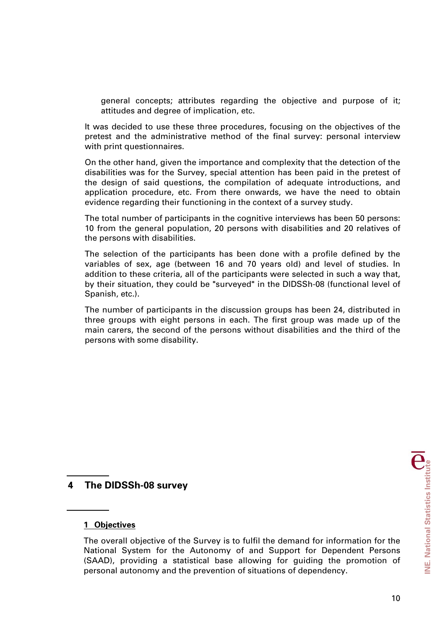general concepts; attributes regarding the objective and purpose of it; attitudes and degree of implication, etc.

It was decided to use these three procedures, focusing on the objectives of the pretest and the administrative method of the final survey: personal interview with print questionnaires.

On the other hand, given the importance and complexity that the detection of the disabilities was for the Survey, special attention has been paid in the pretest of the design of said questions, the compilation of adequate introductions, and application procedure, etc. From there onwards, we have the need to obtain evidence regarding their functioning in the context of a survey study.

The total number of participants in the cognitive interviews has been 50 persons: 10 from the general population, 20 persons with disabilities and 20 relatives of the persons with disabilities.

The selection of the participants has been done with a profile defined by the variables of sex, age (between 16 and 70 years old) and level of studies. In addition to these criteria, all of the participants were selected in such a way that, by their situation, they could be "surveyed" in the DIDSSh-08 (functional level of Spanish, etc.).

The number of participants in the discussion groups has been 24, distributed in three groups with eight persons in each. The first group was made up of the main carers, the second of the persons without disabilities and the third of the persons with some disability.

# **4 The DIDSSh-08 survey**

#### **1 Objectives**

The overall objective of the Survey is to fulfil the demand for information for the National System for the Autonomy of and Support for Dependent Persons (SAAD), providing a statistical base allowing for guiding the promotion of personal autonomy and the prevention of situations of dependency.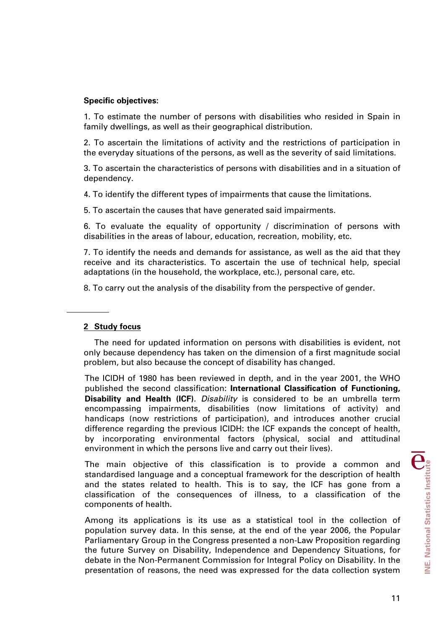## **Specific objectives:**

1. To estimate the number of persons with disabilities who resided in Spain in family dwellings, as well as their geographical distribution.

2. To ascertain the limitations of activity and the restrictions of participation in the everyday situations of the persons, as well as the severity of said limitations.

3. To ascertain the characteristics of persons with disabilities and in a situation of dependency.

4. To identify the different types of impairments that cause the limitations.

5. To ascertain the causes that have generated said impairments.

6. To evaluate the equality of opportunity / discrimination of persons with disabilities in the areas of labour, education, recreation, mobility, etc.

7. To identify the needs and demands for assistance, as well as the aid that they receive and its characteristics. To ascertain the use of technical help, special adaptations (in the household, the workplace, etc.), personal care, etc.

8. To carry out the analysis of the disability from the perspective of gender.

## **2 Study focus**

 The need for updated information on persons with disabilities is evident, not only because dependency has taken on the dimension of a first magnitude social problem, but also because the concept of disability has changed.

The ICIDH of 1980 has been reviewed in depth, and in the year 2001, the WHO published the second classification: **International Classification of Functioning, Disability and Health (ICF)**. *Disability* is considered to be an umbrella term encompassing impairments, disabilities (now limitations of activity) and handicaps (now restrictions of participation), and introduces another crucial difference regarding the previous ICIDH: the ICF expands the concept of health, by incorporating environmental factors (physical, social and attitudinal environment in which the persons live and carry out their lives).

The main objective of this classification is to provide a common and standardised language and a conceptual framework for the description of health and the states related to health. This is to say, the ICF has gone from a classification of the consequences of illness, to a classification of the components of health.

Among its applications is its use as a statistical tool in the collection of population survey data. In this sense, at the end of the year 2006, the Popular Parliamentary Group in the Congress presented a non-Law Proposition regarding the future Survey on Disability, Independence and Dependency Situations, for debate in the Non-Permanent Commission for Integral Policy on Disability. In the presentation of reasons, the need was expressed for the data collection system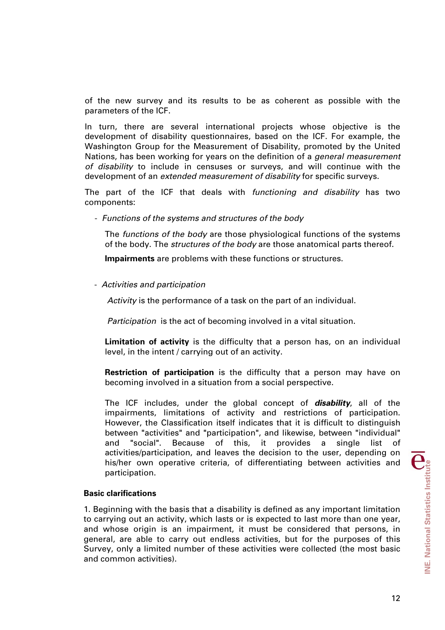of the new survey and its results to be as coherent as possible with the parameters of the ICF.

In turn, there are several international projects whose objective is the development of disability questionnaires, based on the ICF. For example, the Washington Group for the Measurement of Disability, promoted by the United Nations, has been working for years on the definition of a *general measurement of disability* to include in censuses or surveys, and will continue with the development of an *extended measurement of disability* for specific surveys.

The part of the ICF that deals with *functioning and disability* has two components:

- *Functions of the systems and structures of the body*

The *functions of the body* are those physiological functions of the systems of the body. The *structures of the body* are those anatomical parts thereof.

**Impairments** are problems with these functions or structures.

- *Activities and participation*

*Activity* is the performance of a task on the part of an individual.

*Participation* is the act of becoming involved in a vital situation.

**Limitation of activity** is the difficulty that a person has, on an individual level, in the intent / carrying out of an activity.

**Restriction of participation** is the difficulty that a person may have on becoming involved in a situation from a social perspective.

The ICF includes, under the global concept of *disability*, all of the impairments, limitations of activity and restrictions of participation. However, the Classification itself indicates that it is difficult to distinguish between "activities" and "participation", and likewise, between "individual" and "social". Because of this, it provides a single list of activities/participation, and leaves the decision to the user, depending on his/her own operative criteria, of differentiating between activities and participation.

#### **Basic clarifications**

1. Beginning with the basis that a disability is defined as any important limitation to carrying out an activity, which lasts or is expected to last more than one year, and whose origin is an impairment, it must be considered that persons, in general, are able to carry out endless activities, but for the purposes of this Survey, only a limited number of these activities were collected (the most basic and common activities).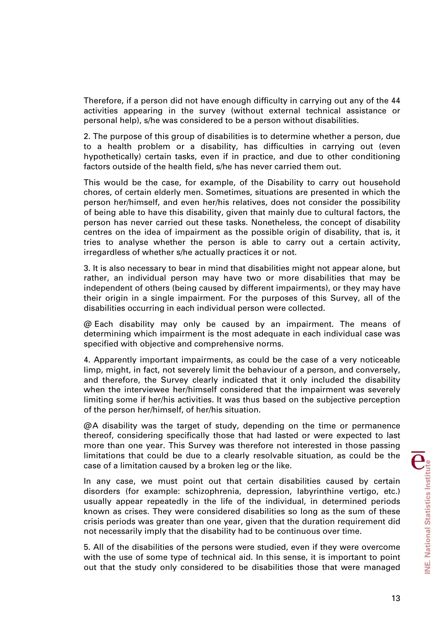Therefore, if a person did not have enough difficulty in carrying out any of the 44 activities appearing in the survey (without external technical assistance or personal help), s/he was considered to be a person without disabilities.

2. The purpose of this group of disabilities is to determine whether a person, due to a health problem or a disability, has difficulties in carrying out (even hypothetically) certain tasks, even if in practice, and due to other conditioning factors outside of the health field, s/he has never carried them out.

This would be the case, for example, of the Disability to carry out household chores, of certain elderly men. Sometimes, situations are presented in which the person her/himself, and even her/his relatives, does not consider the possibility of being able to have this disability, given that mainly due to cultural factors, the person has never carried out these tasks. Nonetheless, the concept of disability centres on the idea of impairment as the possible origin of disability, that is, it tries to analyse whether the person is able to carry out a certain activity, irregardless of whether s/he actually practices it or not.

3. It is also necessary to bear in mind that disabilities might not appear alone, but rather, an individual person may have two or more disabilities that may be independent of others (being caused by different impairments), or they may have their origin in a single impairment. For the purposes of this Survey, all of the disabilities occurring in each individual person were collected.

@ Each disability may only be caused by an impairment. The means of determining which impairment is the most adequate in each individual case was specified with objective and comprehensive norms.

4. Apparently important impairments, as could be the case of a very noticeable limp, might, in fact, not severely limit the behaviour of a person, and conversely, and therefore, the Survey clearly indicated that it only included the disability when the interviewee her/himself considered that the impairment was severely limiting some if her/his activities. It was thus based on the subjective perception of the person her/himself, of her/his situation.

@ A disability was the target of study, depending on the time or permanence thereof, considering specifically those that had lasted or were expected to last more than one year. This Survey was therefore not interested in those passing limitations that could be due to a clearly resolvable situation, as could be the case of a limitation caused by a broken leg or the like.

In any case, we must point out that certain disabilities caused by certain disorders (for example: schizophrenia, depression, labyrinthine vertigo, etc.) usually appear repeatedly in the life of the individual, in determined periods known as crises. They were considered disabilities so long as the sum of these crisis periods was greater than one year, given that the duration requirement did not necessarily imply that the disability had to be continuous over time.

5. All of the disabilities of the persons were studied, even if they were overcome with the use of some type of technical aid. In this sense, it is important to point out that the study only considered to be disabilities those that were managed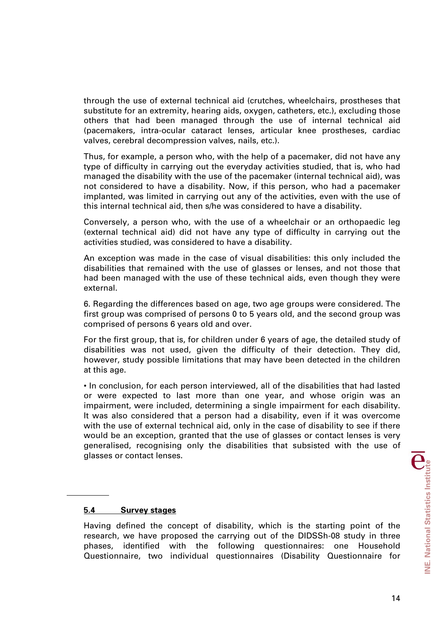through the use of external technical aid (crutches, wheelchairs, prostheses that substitute for an extremity, hearing aids, oxygen, catheters, etc.), excluding those others that had been managed through the use of internal technical aid (pacemakers, intra-ocular cataract lenses, articular knee prostheses, cardiac valves, cerebral decompression valves, nails, etc.).

Thus, for example, a person who, with the help of a pacemaker, did not have any type of difficulty in carrying out the everyday activities studied, that is, who had managed the disability with the use of the pacemaker (internal technical aid), was not considered to have a disability. Now, if this person, who had a pacemaker implanted, was limited in carrying out any of the activities, even with the use of this internal technical aid, then s/he was considered to have a disability.

Conversely, a person who, with the use of a wheelchair or an orthopaedic leg (external technical aid) did not have any type of difficulty in carrying out the activities studied, was considered to have a disability.

An exception was made in the case of visual disabilities: this only included the disabilities that remained with the use of glasses or lenses, and not those that had been managed with the use of these technical aids, even though they were external.

6. Regarding the differences based on age, two age groups were considered. The first group was comprised of persons 0 to 5 years old, and the second group was comprised of persons 6 years old and over.

For the first group, that is, for children under 6 years of age, the detailed study of disabilities was not used, given the difficulty of their detection. They did, however, study possible limitations that may have been detected in the children at this age.

• In conclusion, for each person interviewed, all of the disabilities that had lasted or were expected to last more than one year, and whose origin was an impairment, were included, determining a single impairment for each disability. It was also considered that a person had a disability, even if it was overcome with the use of external technical aid, only in the case of disability to see if there would be an exception, granted that the use of glasses or contact lenses is very generalised, recognising only the disabilities that subsisted with the use of glasses or contact lenses.

#### **5.4 Survey stages**

Having defined the concept of disability, which is the starting point of the research, we have proposed the carrying out of the DIDSSh-08 study in three phases, identified with the following questionnaires: one Household Questionnaire, two individual questionnaires (Disability Questionnaire for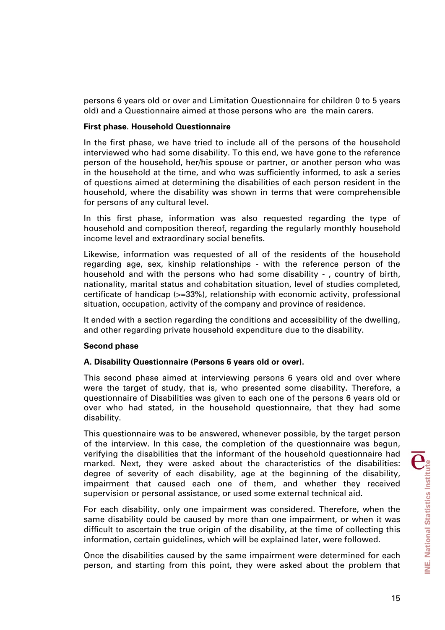persons 6 years old or over and Limitation Questionnaire for children 0 to 5 years old) and a Questionnaire aimed at those persons who are the main carers.

## **First phase. Household Questionnaire**

In the first phase, we have tried to include all of the persons of the household interviewed who had some disability. To this end, we have gone to the reference person of the household, her/his spouse or partner, or another person who was in the household at the time, and who was sufficiently informed, to ask a series of questions aimed at determining the disabilities of each person resident in the household, where the disability was shown in terms that were comprehensible for persons of any cultural level.

In this first phase, information was also requested regarding the type of household and composition thereof, regarding the regularly monthly household income level and extraordinary social benefits.

Likewise, information was requested of all of the residents of the household regarding age, sex, kinship relationships - with the reference person of the household and with the persons who had some disability - , country of birth, nationality, marital status and cohabitation situation, level of studies completed, certificate of handicap (>=33%), relationship with economic activity, professional situation, occupation, activity of the company and province of residence.

It ended with a section regarding the conditions and accessibility of the dwelling, and other regarding private household expenditure due to the disability.

## **Second phase**

## **A. Disability Questionnaire (Persons 6 years old or over).**

This second phase aimed at interviewing persons 6 years old and over where were the target of study, that is, who presented some disability. Therefore, a questionnaire of Disabilities was given to each one of the persons 6 years old or over who had stated, in the household questionnaire, that they had some disability.

This questionnaire was to be answered, whenever possible, by the target person of the interview. In this case, the completion of the questionnaire was begun, verifying the disabilities that the informant of the household questionnaire had marked. Next, they were asked about the characteristics of the disabilities: degree of severity of each disability, age at the beginning of the disability, impairment that caused each one of them, and whether they received supervision or personal assistance, or used some external technical aid.

For each disability, only one impairment was considered. Therefore, when the same disability could be caused by more than one impairment, or when it was difficult to ascertain the true origin of the disability, at the time of collecting this information, certain guidelines, which will be explained later, were followed.

Once the disabilities caused by the same impairment were determined for each person, and starting from this point, they were asked about the problem that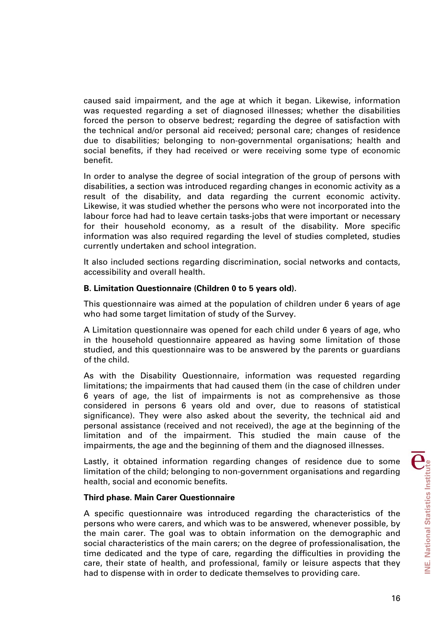caused said impairment, and the age at which it began. Likewise, information was requested regarding a set of diagnosed illnesses; whether the disabilities forced the person to observe bedrest; regarding the degree of satisfaction with the technical and/or personal aid received; personal care; changes of residence due to disabilities; belonging to non-governmental organisations; health and social benefits, if they had received or were receiving some type of economic benefit.

In order to analyse the degree of social integration of the group of persons with disabilities, a section was introduced regarding changes in economic activity as a result of the disability, and data regarding the current economic activity. Likewise, it was studied whether the persons who were not incorporated into the labour force had had to leave certain tasks-jobs that were important or necessary for their household economy, as a result of the disability. More specific information was also required regarding the level of studies completed, studies currently undertaken and school integration.

It also included sections regarding discrimination, social networks and contacts, accessibility and overall health.

## **B. Limitation Questionnaire (Children 0 to 5 years old).**

This questionnaire was aimed at the population of children under 6 years of age who had some target limitation of study of the Survey.

A Limitation questionnaire was opened for each child under 6 years of age, who in the household questionnaire appeared as having some limitation of those studied, and this questionnaire was to be answered by the parents or guardians of the child.

As with the Disability Questionnaire, information was requested regarding limitations; the impairments that had caused them (in the case of children under 6 years of age, the list of impairments is not as comprehensive as those considered in persons 6 years old and over, due to reasons of statistical significance). They were also asked about the severity, the technical aid and personal assistance (received and not received), the age at the beginning of the limitation and of the impairment. This studied the main cause of the impairments, the age and the beginning of them and the diagnosed illnesses.

Lastly, it obtained information regarding changes of residence due to some limitation of the child; belonging to non-government organisations and regarding health, social and economic benefits.

## **Third phase. Main Carer Questionnaire**

A specific questionnaire was introduced regarding the characteristics of the persons who were carers, and which was to be answered, whenever possible, by the main carer. The goal was to obtain information on the demographic and social characteristics of the main carers; on the degree of professionalisation, the time dedicated and the type of care, regarding the difficulties in providing the care, their state of health, and professional, family or leisure aspects that they had to dispense with in order to dedicate themselves to providing care.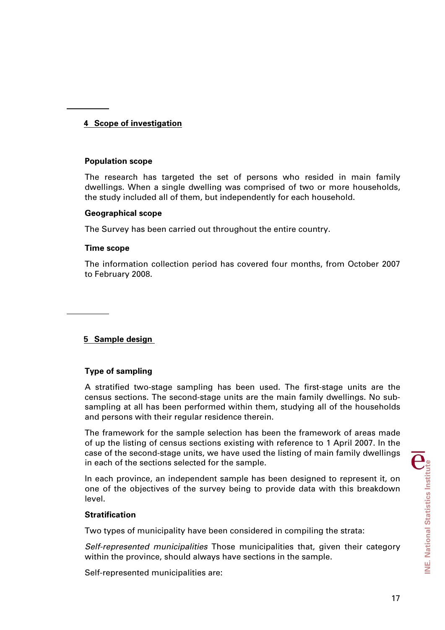# **4 Scope of investigation**

## **Population scope**

The research has targeted the set of persons who resided in main family dwellings. When a single dwelling was comprised of two or more households, the study included all of them, but independently for each household.

## **Geographical scope**

The Survey has been carried out throughout the entire country.

## **Time scope**

The information collection period has covered four months, from October 2007 to February 2008.

# **5 Sample design**

## **Type of sampling**

A stratified two-stage sampling has been used. The first-stage units are the census sections. The second-stage units are the main family dwellings. No subsampling at all has been performed within them, studying all of the households and persons with their regular residence therein.

The framework for the sample selection has been the framework of areas made of up the listing of census sections existing with reference to 1 April 2007. In the case of the second-stage units, we have used the listing of main family dwellings in each of the sections selected for the sample.

In each province, an independent sample has been designed to represent it, on one of the objectives of the survey being to provide data with this breakdown level.

#### **Stratification**

Two types of municipality have been considered in compiling the strata:

*Self-represented municipalities* Those municipalities that, given their category within the province, should always have sections in the sample.

Self-represented municipalities are: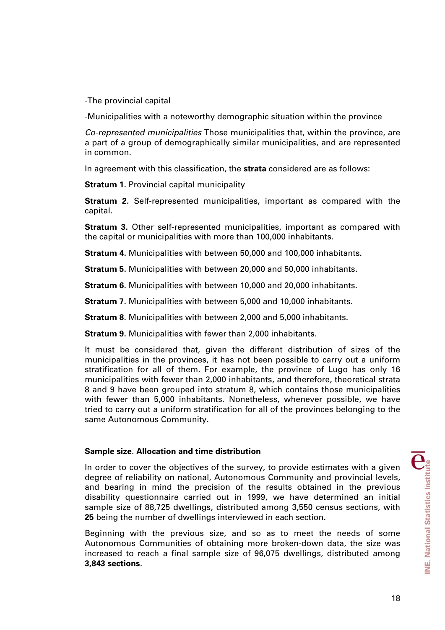-The provincial capital

-Municipalities with a noteworthy demographic situation within the province

*Co-represented municipalities* Those municipalities that, within the province, are a part of a group of demographically similar municipalities, and are represented in common.

In agreement with this classification, the **strata** considered are as follows:

**Stratum 1.** Provincial capital municipality

**Stratum 2.** Self-represented municipalities, important as compared with the capital.

**Stratum 3.** Other self-represented municipalities, important as compared with the capital or municipalities with more than 100,000 inhabitants.

**Stratum 4.** Municipalities with between 50,000 and 100,000 inhabitants.

**Stratum 5.** Municipalities with between 20,000 and 50,000 inhabitants.

**Stratum 6.** Municipalities with between 10,000 and 20,000 inhabitants.

**Stratum 7.** Municipalities with between 5,000 and 10,000 inhabitants.

**Stratum 8.** Municipalities with between 2,000 and 5,000 inhabitants.

**Stratum 9.** Municipalities with fewer than 2,000 inhabitants.

It must be considered that, given the different distribution of sizes of the municipalities in the provinces, it has not been possible to carry out a uniform stratification for all of them. For example, the province of Lugo has only 16 municipalities with fewer than 2,000 inhabitants, and therefore, theoretical strata 8 and 9 have been grouped into stratum 8, which contains those municipalities with fewer than 5,000 inhabitants. Nonetheless, whenever possible, we have tried to carry out a uniform stratification for all of the provinces belonging to the same Autonomous Community.

## **Sample size. Allocation and time distribution**

In order to cover the objectives of the survey, to provide estimates with a given degree of reliability on national, Autonomous Community and provincial levels, and bearing in mind the precision of the results obtained in the previous disability questionnaire carried out in 1999, we have determined an initial sample size of 88,725 dwellings, distributed among 3,550 census sections, with **25** being the number of dwellings interviewed in each section.

Beginning with the previous size, and so as to meet the needs of some Autonomous Communities of obtaining more broken-down data, the size was increased to reach a final sample size of 96,075 dwellings, distributed among **3,843 sections**.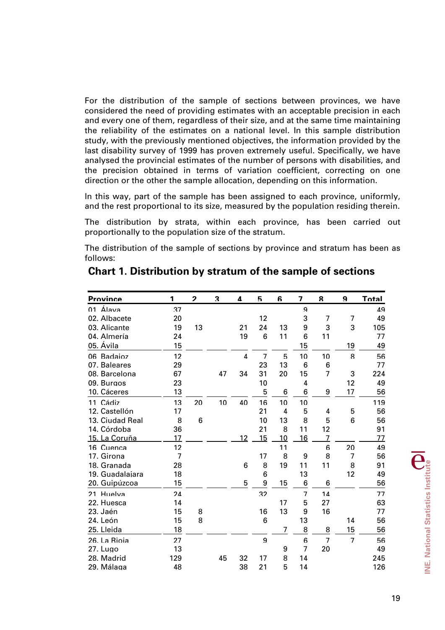For the distribution of the sample of sections between provinces, we have considered the need of providing estimates with an acceptable precision in each and every one of them, regardless of their size, and at the same time maintaining the reliability of the estimates on a national level. In this sample distribution study, with the previously mentioned objectives, the information provided by the last disability survey of 1999 has proven extremely useful. Specifically, we have analysed the provincial estimates of the number of persons with disabilities, and the precision obtained in terms of variation coefficient, correcting on one direction or the other the sample allocation, depending on this information.

In this way, part of the sample has been assigned to each province, uniformly, and the rest proportional to its size, measured by the population residing therein.

The distribution by strata, within each province, has been carried out proportionally to the population size of the stratum.

The distribution of the sample of sections by province and stratum has been as follows:

| <b>Province</b> | 1              | $\boldsymbol{\mathcal{P}}$ | 3  | 4        | 5              | 6  | 7              | 8              | 9              | Total |
|-----------------|----------------|----------------------------|----|----------|----------------|----|----------------|----------------|----------------|-------|
| 01 Álava        | 37             |                            |    |          |                |    | 9              |                |                | 49    |
| 02. Albacete    | 20             |                            |    |          | 12             |    | 3              | 7              | 7              | 49    |
| 03. Alicante    | 19             | 13                         |    | 21       | 24             | 13 | 9              | 3              | 3              | 105   |
| 04. Almería     | 24             |                            |    | 19       | 6              | 11 | 6              | 11             |                | 77    |
| 05. Ávila       | 15             |                            |    |          |                |    | 15             |                | 19             | 49    |
| 06 Badaioz      | 12             |                            |    | $\Delta$ | $\overline{7}$ | 5  | 10             | 10             | 8              | 56    |
| 07. Baleares    | 29             |                            |    |          | 23             | 13 | 6              | 6              |                | 77    |
| 08. Barcelona   | 67             |                            | 47 | 34       | 31             | 20 | 15             | $\overline{7}$ | 3              | 224   |
| 09. Burgos      | 23             |                            |    |          | 10             |    | 4              |                | 12             | 49    |
| 10. Cáceres     | 13             |                            |    |          | 5              | 6  | 6              | 9              | 17             | 56    |
| 11 Cádiz        | 13             | 20                         | 10 | 40       | 16             | 10 | 10             |                |                | 119   |
| 12. Castellón   | 17             |                            |    |          | 21             | 4  | 5              | 4              | 5              | 56    |
| 13. Ciudad Real | 8              | 6                          |    |          | 10             | 13 | 8              | 5              | 6              | 56    |
| 14. Córdoba     | 36             |                            |    |          | 21             | 8  | 11             | 12             |                | 91    |
| 15. La Coruña   | 17             |                            |    | 12       | 15             | 10 | 16             | $\overline{7}$ |                | 77    |
| 16 Cuenca       | 12             |                            |    |          |                | 11 |                | 6              | 20             | 49    |
| 17. Girona      | $\overline{7}$ |                            |    |          | 17             | 8  | 9              | 8              | 7              | 56    |
| 18. Granada     | 28             |                            |    | 6        | 8              | 19 | 11             | 11             | 8              | 91    |
| 19. Guadalajara | 18             |                            |    |          | 6              |    | 13             |                | 12             | 49    |
| 20. Guipúzcoa   | 15             |                            |    | 5        | 9              | 15 | 6              | 6              |                | 56    |
| 21 Huelva       | 24             |                            |    |          | 32             |    | $\overline{7}$ | 14             |                | 77    |
| 22. Huesca      | 14             |                            |    |          |                | 17 | 5              | 27             |                | 63    |
| 23. Jaén        | 15             | 8                          |    |          | 16             | 13 | 9              | 16             |                | 77    |
| 24. León        | 15             | 8                          |    |          | 6              |    | 13             |                | 14             | 56    |
| 25. Lleida      | 18             |                            |    |          |                | 7  | 8              | 8              | 15             | 56    |
| 26. La Rioia    | 27             |                            |    |          | 9              |    | 6              | $\overline{7}$ | $\overline{7}$ | 56    |
| 27. Lugo        | 13             |                            |    |          |                | 9  | $\overline{7}$ | 20             |                | 49    |
| 28. Madrid      | 129            |                            | 45 | 32       | 17             | 8  | 14             |                |                | 245   |
| 29. Málaga      | 48             |                            |    | 38       | 21             | 5  | 14             |                |                | 126   |

# **Chart 1. Distribution by stratum of the sample of sections**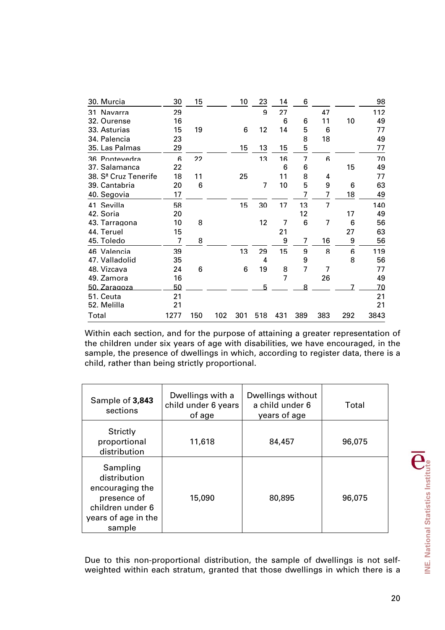| 30. Murcia                       | 30   | 15  |     | 10  | 23  | 14  | 6              |                |     | 98   |
|----------------------------------|------|-----|-----|-----|-----|-----|----------------|----------------|-----|------|
| Navarra<br>31                    | 29   |     |     |     | 9   | 27  |                | 47             |     | 112  |
| 32. Ourense                      | 16   |     |     |     |     | 6   | 6              | 11             | 10  | 49   |
| 33. Asturias                     | 15   | 19  |     | 6   | 12  | 14  | 5              | 6              |     | 77   |
| 34. Palencia                     | 23   |     |     |     |     |     | 8              | 18             |     | 49   |
| 35. Las Palmas                   | 29   |     |     | 15  | 13  | 15  | 5              |                |     | 77   |
| 36 Pontevedra                    | 6    | 22  |     |     | 13  | 16  | $\overline{7}$ | 6              |     | 70   |
| 37. Salamanca                    | 22   |     |     |     |     | 6   | 6              |                | 15  | 49   |
| 38. S <sup>ª</sup> Cruz Tenerife | 18   | 11  |     | 25  |     | 11  | 8              | 4              |     | 77   |
| 39. Cantabria                    | 20   | 6   |     |     | 7   | 10  | 5              | 9              | 6   | 63   |
| 40. Segovia                      | 17   |     |     |     |     |     | 7              | 7              | 18  | 49   |
| 41 Sevilla                       | 58   |     |     | 15  | 30  | 17  | 13             | $\overline{7}$ |     | 140  |
| 42. Soria                        | 20   |     |     |     |     |     | 12             |                | 17  | 49   |
| 43. Tarragona                    | 10   | 8   |     |     | 12  | 7   | 6              | 7              | 6   | 56   |
| 44. Teruel                       | 15   |     |     |     |     | 21  |                |                | 27  | 63   |
| 45. Toledo                       | 7    | 8   |     |     |     | 9   | $\overline{7}$ | 16             | 9   | 56   |
| 46 Valencia                      | 39   |     |     | 13  | 29  | 15  | 9              | 8              | 6   | 119  |
| 47. Valladolid                   | 35   |     |     |     | 4   |     | 9              |                | 8   | 56   |
| 48. Vizcava                      | 24   | 6   |     | 6   | 19  | 8   | $\overline{7}$ | 7              |     | 77   |
| 49. Zamora                       | 16   |     |     |     |     | 7   |                | 26             |     | 49   |
| 50. Zaragoza                     | 50   |     |     |     | 5   |     | 8              |                |     | 70   |
| 51. Ceuta                        | 21   |     |     |     |     |     |                |                |     | 21   |
| 52. Melilla                      | 21   |     |     |     |     |     |                |                |     | 21   |
| Total                            | 1277 | 150 | 102 | 301 | 518 | 431 | 389            | 383            | 292 | 3843 |

Within each section, and for the purpose of attaining a greater representation of the children under six years of age with disabilities, we have encouraged, in the sample, the presence of dwellings in which, according to register data, there is a child, rather than being strictly proportional.

| Sample of 3,843<br>sections                                                                                     | Dwellings with a<br>child under 6 years<br>of age | Dwellings without<br>a child under 6<br>years of age | Total  |
|-----------------------------------------------------------------------------------------------------------------|---------------------------------------------------|------------------------------------------------------|--------|
| Strictly<br>proportional<br>distribution                                                                        | 11,618                                            | 84,457                                               | 96,075 |
| Sampling<br>distribution<br>encouraging the<br>presence of<br>children under 6<br>years of age in the<br>sample | 15,090                                            | 80,895                                               | 96,075 |

Due to this non-proportional distribution, the sample of dwellings is not selfweighted within each stratum, granted that those dwellings in which there is a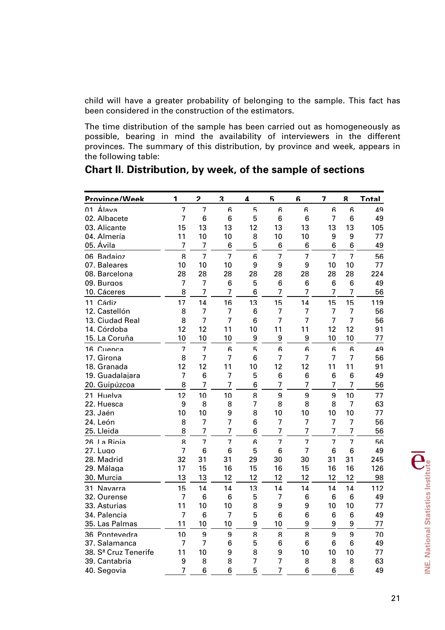child will have a greater probability of belonging to the sample. This fact has been considered in the construction of the estimators.

The time distribution of the sample has been carried out as homogeneously as possible, bearing in mind the availability of interviewers in the different provinces. The summary of this distribution, by province and week, appears in the following table:

| Province/Week                    | 1              | 2              | 3              | 4              | 5              | հ               | 7              | ጸ              | Total |
|----------------------------------|----------------|----------------|----------------|----------------|----------------|-----------------|----------------|----------------|-------|
| 01 Álava                         | $\overline{7}$ | $\overline{7}$ | 6              | 5              | ĥ              | ĥ               | ĥ              | ĥ              | 49    |
| 02. Albacete                     | $\overline{7}$ | 6              | 6              | 5              | 6              | 6               | $\overline{7}$ | 6              | 49    |
| 03. Alicante                     | 15             | 13             | 13             | 12             | 13             | 13              | 13             | 13             | 105   |
| 04. Almería                      | 11             | 10             | 10             | 8              | 10             | 10              | 9              | 9              | 77    |
| 05. Ávila                        | $\overline{7}$ | 7              | 6              | 5              | 6              | $6\phantom{1}6$ | 6              | 6              | 49    |
| 06 Badaioz                       | $\mathsf{R}$   | $\overline{7}$ | $\overline{7}$ | 6              | $\overline{7}$ | $\overline{7}$  | $\overline{7}$ | $\overline{7}$ | 56    |
| 07. Baleares                     | 10             | 10             | 10             | 9              | 9              | 9               | 10             | 10             | 77    |
| 08. Barcelona                    | 28             | 28             | 28             | 28             | 28             | 28              | 28             | 28             | 224   |
| 09. Burgos                       | 7              | $\overline{7}$ | 6              | 5              | 6              | 6               | 6              | 6              | 49    |
| 10. Cáceres                      | 8              | $\overline{7}$ | 7              | 6              | 7              | 7               | 7              | 7              | 56    |
| 11 Cádiz                         | 17             | 14             | 16             | 13             | 15             | 14              | 15             | 15             | 119   |
| 12. Castellón                    | 8              | $\overline{7}$ | $\overline{7}$ | 6              | 7              | $\overline{7}$  | $\overline{7}$ | $\overline{7}$ | 56    |
| 13. Ciudad Real                  | 8              | $\overline{7}$ | 7              | 6              | 7              | $\overline{7}$  | $\overline{7}$ | 7              | 56    |
| 14. Córdoba                      | 12             | 12             | 11             | 10             | 11             | 11              | 12             | 12             | 91    |
| 15. La Coruña                    | 10             | 10             | 10             | 9              | 9              | 9               | 10             | 10             | 77    |
| 16 Cuenca                        | $\overline{7}$ | $\overline{7}$ | 6              | 5              | 6              | 6               | 6              | 6              | 49    |
| 17. Girona                       | 8              | $\overline{7}$ | $\overline{7}$ | 6              | 7              | $\overline{7}$  | $\overline{7}$ | $\overline{7}$ | 56    |
| 18. Granada                      | 12             | 12             | 11             | 10             | 12             | 12              | 11             | 11             | 91    |
| 19. Guadalajara                  | 7              | 6              | 7              | 5              | 6              | 6               | 6              | 6              | 49    |
| 20. Guipúzcoa                    | 8              | $\overline{7}$ | $\overline{7}$ | 6              | 7              | $\overline{7}$  | 7              | $\overline{7}$ | 56    |
| 21 Huelva                        | 12             | 10             | 10             | 8              | 9              | 9               | 9              | 10             | 77    |
| 22. Huesca                       | 9              | 8              | 8              | $\overline{7}$ | 8              | 8               | 8              | $\overline{7}$ | 63    |
| 23. Jaén                         | 10             | 10             | 9              | 8              | 10             | 10              | 10             | 10             | 77    |
| 24. León                         | 8              | $\overline{7}$ | $\overline{7}$ | 6              | 7              | $\overline{7}$  | $\overline{7}$ | $\overline{7}$ | 56    |
| 25. Lleida                       | 8              | $\overline{7}$ | $\overline{7}$ | 6              | $\overline{7}$ | $\overline{7}$  | $\overline{7}$ | $\overline{7}$ | 56    |
| 26 La Rioia                      | 8              | $\overline{7}$ | $\overline{7}$ | 6              | 7              | $\overline{7}$  | $\overline{7}$ | $\overline{7}$ | 56    |
| 27. Lugo                         | $\overline{7}$ | 6              | $6\phantom{a}$ | 5              | 6              | $\overline{7}$  | 6              | 6              | 49    |
| 28. Madrid                       | 32             | 31             | 31             | 29             | 30             | 30              | 31             | 31             | 245   |
| 29. Málaga                       | 17             | 15             | 16             | 15             | 16             | 15              | 16             | 16             | 126   |
| 30. Murcia                       | 13             | 13             | 12             | 12             | 12             | 12              | 12             | 12             | 98    |
| 31 Navarra                       | 15             | 14             | 14             | 13             | 14             | 14              | 14             | 14             | 112   |
| 32. Ourense                      | $\overline{7}$ | 6              | 6              | 5              | 7              | $6\phantom{1}6$ | 6              | 6              | 49    |
| 33. Asturias                     | 11             | 10             | 10             | 8              | 9              | 9               | 10             | 10             | 77    |
| 34. Palencia                     | $\overline{7}$ | 6              | $\overline{7}$ | 5              | 6              | 6               | 6              | 6              | 49    |
| 35. Las Palmas                   | 11             | 10             | 10             | 9              | 10             | 9               | 9              | 9              | 77    |
| 36 Pontevedra                    | 10             | 9              | 9              | 8              | 8              | 8               | 9              | 9              | 70    |
| 37. Salamanca                    | $\overline{7}$ | 7              | 6              | 5              | 6              | $6\phantom{1}6$ | 6              | 6              | 49    |
| 38. S <sup>ª</sup> Cruz Tenerife | 11             | 10             | 9              | 8              | 9              | 10              | 10             | 10             | 77    |
| 39. Cantabria                    | 9              | 8              | 8              | $\overline{7}$ | $\overline{7}$ | 8               | 8              | 8              | 63    |
| 40. Segovia                      | $\overline{7}$ | 6              | 6              | 5              | $\overline{7}$ | 6               | 6              | 6              | 49    |

**Chart II. Distribution, by week, of the sample of sections**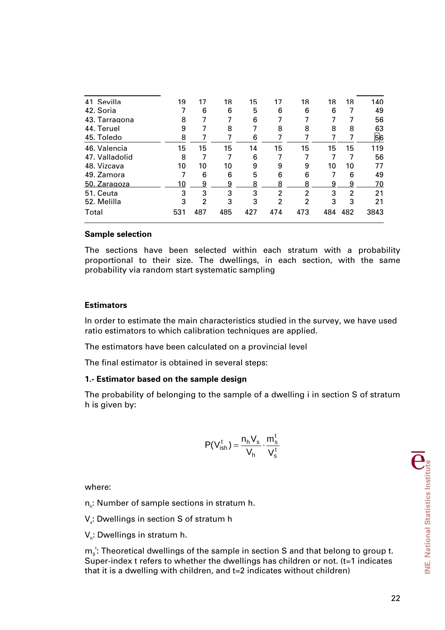| 41 Sevilla     | 19  | 17             | 18  | 15  | 17             | 18  | 18  | 18  | 140  |
|----------------|-----|----------------|-----|-----|----------------|-----|-----|-----|------|
| 42. Soria      |     | 6              | 6   | 5   | 6              | 6   | 6   |     | 49   |
| 43. Tarragona  | 8   |                |     | 6   |                |     |     |     | 56   |
| 44. Teruel     | 9   |                | 8   |     | 8              | 8   | 8   | 8   | 63   |
| 45. Toledo     | 8   |                |     | 6   |                |     |     |     | 56   |
| 46. Valencia   | 15  | 15             | 15  | 14  | 15             | 15  | 15  | 15  | 119  |
| 47. Valladolid | 8   |                |     | 6   |                |     |     |     | 56   |
| 48. Vizcaya    | 10  | 10             | 10  | 9   | 9              | 9   | 10  | 10  | 77   |
| 49. Zamora     |     | 6              | 6   | 5   | 6              | 6   |     | 6   | 49   |
| 50. Zaragoza   | 10  | 9              | 9   | 8   | 8              | 8   | 9   | 9   | 70   |
| 51. Ceuta      | 3   | 3              | 3   | 3   | 2              | 2   | 3   | 2   | 21   |
| 52. Melilla    | 3   | $\overline{2}$ | 3   | 3   | $\overline{2}$ | 2   | 3   | 3   | 21   |
| Total          | 531 | 487            | 485 | 427 | 474            | 473 | 484 | 482 | 3843 |
|                |     |                |     |     |                |     |     |     |      |

#### **Sample selection**

The sections have been selected within each stratum with a probability proportional to their size. The dwellings, in each section, with the same probability via random start systematic sampling

## **Estimators**

In order to estimate the main characteristics studied in the survey, we have used ratio estimators to which calibration techniques are applied.

The estimators have been calculated on a provincial level

The final estimator is obtained in several steps:

## **1.- Estimator based on the sample design**

The probability of belonging to the sample of a dwelling i in section S of stratum h is given by:

$$
P(V_{ish}^t) = \frac{n_h V_s}{V_h} \cdot \frac{m_s^t}{V_s^t}
$$

where:

 $n_{h}$ : Number of sample sections in stratum h.

V $_{\textrm{s}}$ : Dwellings in section S of stratum h

 $V_h$ : Dwellings in stratum h.

 $m_{\rm s}^{\rm t}$ : Theoretical dwellings of the sample in section S and that belong to group t. Super-index t refers to whether the dwellings has children or not. (t=1 indicates that it is a dwelling with children, and t=2 indicates without children)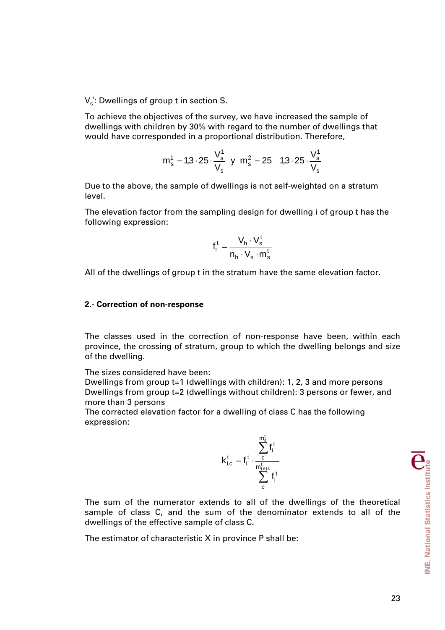$V_s^t$ : Dwellings of group t in section S.

To achieve the objectives of the survey, we have increased the sample of dwellings with children by 30% with regard to the number of dwellings that would have corresponded in a proportional distribution. Therefore,

$$
m_s^1 = 1.3 \cdot 25 \cdot \frac{V_s^1}{V_s} \text{ y } m_s^2 = 25 - 1.3 \cdot 25 \cdot \frac{V_s^1}{V_s}
$$

Due to the above, the sample of dwellings is not self-weighted on a stratum level.

The elevation factor from the sampling design for dwelling i of group t has the following expression:

$$
f_i^t = \frac{V_h \cdot V_s^t}{n_h \cdot V_s \cdot m_s^t}
$$

All of the dwellings of group t in the stratum have the same elevation factor.

#### **2.- Correction of non-response**

The classes used in the correction of non-response have been, within each province, the crossing of stratum, group to which the dwelling belongs and size of the dwelling.

The sizes considered have been:

Dwellings from group t=1 (dwellings with children): 1, 2, 3 and more persons Dwellings from group t=2 (dwellings without children): 3 persons or fewer, and more than 3 persons

The corrected elevation factor for a dwelling of class C has the following expression:

$$
k_{i,c}^t = f_i^t \cdot \frac{\sum\limits_{c}^{m_s^t} f_i^t}{\sum\limits_{c}^{m_{(e)s}^t} f_i^t}
$$

The sum of the numerator extends to all of the dwellings of the theoretical sample of class C, and the sum of the denominator extends to all of the dwellings of the effective sample of class C.

The estimator of characteristic X in province P shall be: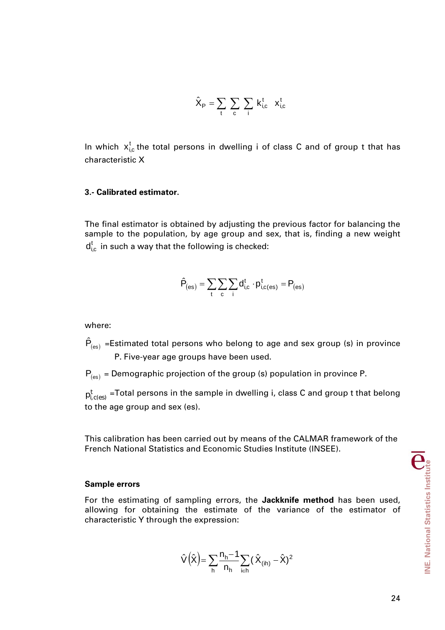$$
\hat{X}_P = \sum_t \sum_c \sum_i k_{i,c}^t \ x_{i,c}^t
$$

In which  $x_{i,c}^t$  the total persons in dwelling i of class C and of group t that has characteristic X

## **3.- Calibrated estimator.**

The final estimator is obtained by adjusting the previous factor for balancing the sample to the population, by age group and sex, that is, finding a new weight  $d_{i,c}^{t}$  in such a way that the following is checked:

$$
\hat{P}_{(es)} = \sum_t \sum_c \sum_i d_{i,c}^t \cdot p_{i,c(es)}^t = P_{(es)}
$$

where:

 $\hat{P}_{(es)}$  =Estimated total persons who belong to age and sex group (s) in province P. Five-year age groups have been used.

 $P_{(es)}$  = Demographic projection of the group (s) population in province P.

 $\mathsf{p}^\mathsf{t}_{\mathsf{i},\mathsf{c}(\mathsf{es})}$  =Total persons in the sample in dwelling i, class C and group t that belong to the age group and sex (es).

This calibration has been carried out by means of the CALMAR framework of the French National Statistics and Economic Studies Institute (INSEE).

#### **Sample errors**

For the estimating of sampling errors, the **Jackknife method** has been used, allowing for obtaining the estimate of the variance of the estimator of characteristic Y through the expression:

$$
\hat{V}\left(\hat{\boldsymbol{X}}\right) = \sum_{h} \frac{n_h - 1}{n_h} \sum_{i \in h} \big(\hat{\boldsymbol{X}}_{(ih)} - \hat{\boldsymbol{X}}\big)^2
$$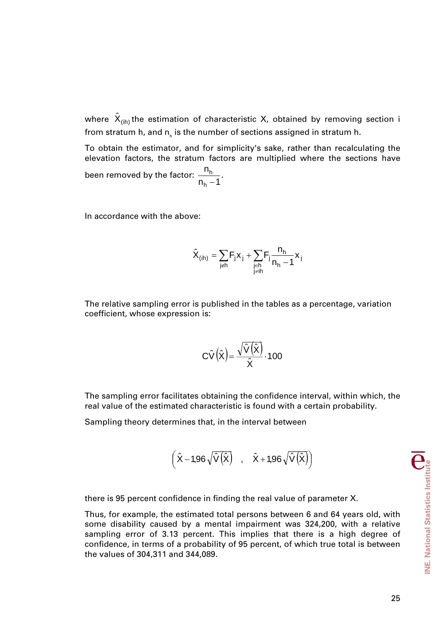where  $\hat{\bm{\mathsf{X}}}_{(\sf ih)}$ the estimation of characteristic X, obtained by removing section i from stratum h, and  $\boldsymbol{\mathsf n}_{_{\sf h}}$  is the number of sections assigned in stratum h.

To obtain the estimator, and for simplicity's sake, rather than recalculating the elevation factors, the stratum factors are multiplied where the sections have been removed by the factor:  $\frac{10n}{n_h-1}$ n h  $\frac{h}{-1}$ .

In accordance with the above:

$$
\hat{X}_{(ih)}=\sum_{j\not\in h}F_jx_j+\sum_{\substack{j\in h\\j\not=i}}F_j\frac{n_h}{n_h-1}x_j
$$

The relative sampling error is published in the tables as a percentage, variation coefficient, whose expression is:

$$
C\hat{V}(\hat{x}) = \frac{\sqrt{\hat{V}(\hat{x})}}{\hat{x}} \cdot 100
$$

The sampling error facilitates obtaining the confidence interval, within which, the real value of the estimated characteristic is found with a certain probability.

Sampling theory determines that, in the interval between

$$
\left(\hat{X}-1,96\sqrt{\hat{V}(\hat{X})}\quad,\quad \hat{X}+1,96\sqrt{\hat{V}(\hat{X})}\right)
$$

there is 95 percent confidence in finding the real value of parameter X.

Thus, for example, the estimated total persons between 6 and 64 years old, with some disability caused by a mental impairment was 324,200, with a relative sampling error of 3.13 percent. This implies that there is a high degree of confidence, in terms of a probability of 95 percent, of which true total is between the values of 304,311 and 344,089.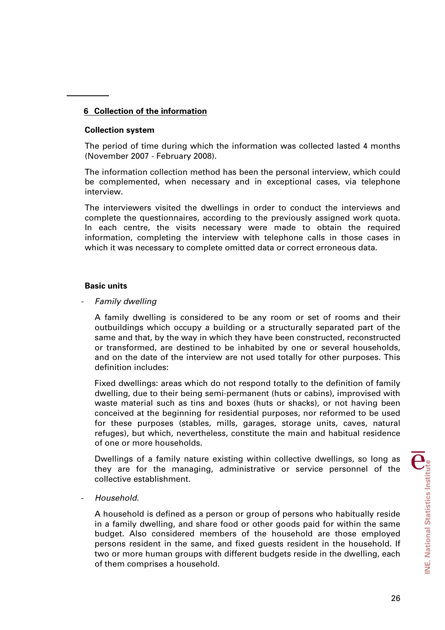# **6 Collection of the information**

## **Collection system**

The period of time during which the information was collected lasted 4 months (November 2007 - February 2008).

The information collection method has been the personal interview, which could be complemented, when necessary and in exceptional cases, via telephone interview.

The interviewers visited the dwellings in order to conduct the interviews and complete the questionnaires, according to the previously assigned work quota. In each centre, the visits necessary were made to obtain the required information, completing the interview with telephone calls in those cases in which it was necessary to complete omitted data or correct erroneous data.

## **Basic units**

- *Family dwelling* 

A family dwelling is considered to be any room or set of rooms and their outbuildings which occupy a building or a structurally separated part of the same and that, by the way in which they have been constructed, reconstructed or transformed, are destined to be inhabited by one or several households, and on the date of the interview are not used totally for other purposes. This definition includes:

Fixed dwellings: areas which do not respond totally to the definition of family dwelling, due to their being semi-permanent (huts or cabins), improvised with waste material such as tins and boxes (huts or shacks), or not having been conceived at the beginning for residential purposes, nor reformed to be used for these purposes (stables, mills, garages, storage units, caves, natural refuges), but which, nevertheless, constitute the main and habitual residence of one or more households.

Dwellings of a family nature existing within collective dwellings, so long as they are for the managing, administrative or service personnel of the collective establishment.

- *Household.* 

A household is defined as a person or group of persons who habitually reside in a family dwelling, and share food or other goods paid for within the same budget. Also considered members of the household are those employed persons resident in the same, and fixed guests resident in the household. If two or more human groups with different budgets reside in the dwelling, each of them comprises a household.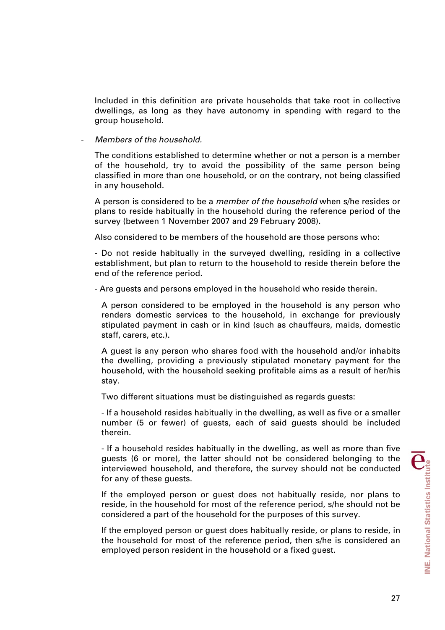Included in this definition are private households that take root in collective dwellings, as long as they have autonomy in spending with regard to the group household.

## - *Members of the household.*

The conditions established to determine whether or not a person is a member of the household, try to avoid the possibility of the same person being classified in more than one household, or on the contrary, not being classified in any household.

A person is considered to be a *member of the household* when s/he resides or plans to reside habitually in the household during the reference period of the survey (between 1 November 2007 and 29 February 2008).

Also considered to be members of the household are those persons who:

- Do not reside habitually in the surveyed dwelling, residing in a collective establishment, but plan to return to the household to reside therein before the end of the reference period.

- Are guests and persons employed in the household who reside therein.

A person considered to be employed in the household is any person who renders domestic services to the household, in exchange for previously stipulated payment in cash or in kind (such as chauffeurs, maids, domestic staff, carers, etc.).

A guest is any person who shares food with the household and/or inhabits the dwelling, providing a previously stipulated monetary payment for the household, with the household seeking profitable aims as a result of her/his stay.

Two different situations must be distinguished as regards guests:

- If a household resides habitually in the dwelling, as well as five or a smaller number (5 or fewer) of guests, each of said guests should be included therein.

- If a household resides habitually in the dwelling, as well as more than five guests (6 or more), the latter should not be considered belonging to the interviewed household, and therefore, the survey should not be conducted for any of these guests.

If the employed person or guest does not habitually reside, nor plans to reside, in the household for most of the reference period, s/he should not be considered a part of the household for the purposes of this survey.

If the employed person or guest does habitually reside, or plans to reside, in the household for most of the reference period, then s/he is considered an employed person resident in the household or a fixed guest.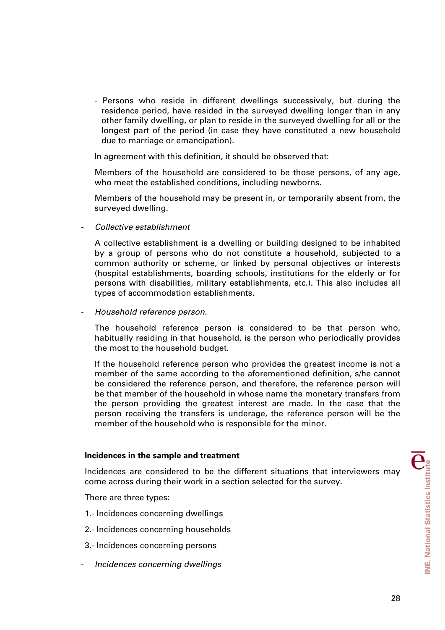- Persons who reside in different dwellings successively, but during the residence period, have resided in the surveyed dwelling longer than in any other family dwelling, or plan to reside in the surveyed dwelling for all or the longest part of the period (in case they have constituted a new household due to marriage or emancipation).

In agreement with this definition, it should be observed that:

Members of the household are considered to be those persons, of any age, who meet the established conditions, including newborns.

Members of the household may be present in, or temporarily absent from, the surveyed dwelling.

- *Collective establishment*

A collective establishment is a dwelling or building designed to be inhabited by a group of persons who do not constitute a household, subjected to a common authority or scheme, or linked by personal objectives or interests (hospital establishments, boarding schools, institutions for the elderly or for persons with disabilities, military establishments, etc.). This also includes all types of accommodation establishments.

- *Household reference person.* 

The household reference person is considered to be that person who, habitually residing in that household, is the person who periodically provides the most to the household budget.

If the household reference person who provides the greatest income is not a member of the same according to the aforementioned definition, s/he cannot be considered the reference person, and therefore, the reference person will be that member of the household in whose name the monetary transfers from the person providing the greatest interest are made. In the case that the person receiving the transfers is underage, the reference person will be the member of the household who is responsible for the minor.

#### **Incidences in the sample and treatment**

Incidences are considered to be the different situations that interviewers may come across during their work in a section selected for the survey.

There are three types:

- 1.- Incidences concerning dwellings
- 2.- Incidences concerning households
- 3.- Incidences concerning persons
- *Incidences concerning dwellings*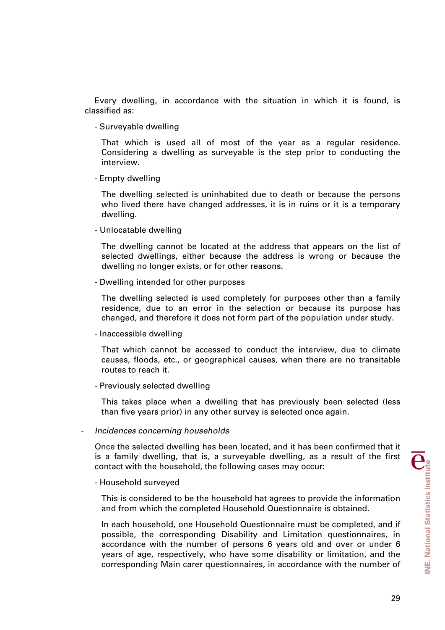Every dwelling, in accordance with the situation in which it is found, is classified as:

- Surveyable dwelling

That which is used all of most of the year as a regular residence. Considering a dwelling as surveyable is the step prior to conducting the interview.

- Empty dwelling

The dwelling selected is uninhabited due to death or because the persons who lived there have changed addresses, it is in ruins or it is a temporary dwelling.

- Unlocatable dwelling

The dwelling cannot be located at the address that appears on the list of selected dwellings, either because the address is wrong or because the dwelling no longer exists, or for other reasons.

- Dwelling intended for other purposes

The dwelling selected is used completely for purposes other than a family residence, due to an error in the selection or because its purpose has changed, and therefore it does not form part of the population under study.

- Inaccessible dwelling

That which cannot be accessed to conduct the interview, due to climate causes, floods, etc., or geographical causes, when there are no transitable routes to reach it.

- Previously selected dwelling

This takes place when a dwelling that has previously been selected (less than five years prior) in any other survey is selected once again.

- *Incidences concerning households* 

Once the selected dwelling has been located, and it has been confirmed that it is a family dwelling, that is, a surveyable dwelling, as a result of the first contact with the household, the following cases may occur:

- Household surveyed

This is considered to be the household hat agrees to provide the information and from which the completed Household Questionnaire is obtained.

In each household, one Household Questionnaire must be completed, and if possible, the corresponding Disability and Limitation questionnaires, in accordance with the number of persons 6 years old and over or under 6 years of age, respectively, who have some disability or limitation, and the corresponding Main carer questionnaires, in accordance with the number of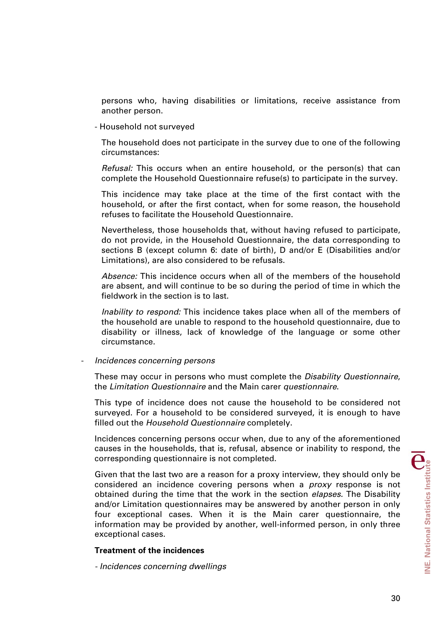persons who, having disabilities or limitations, receive assistance from another person.

- Household not surveyed

The household does not participate in the survey due to one of the following circumstances:

*Refusal:* This occurs when an entire household, or the person(s) that can complete the Household Questionnaire refuse(s) to participate in the survey.

This incidence may take place at the time of the first contact with the household, or after the first contact, when for some reason, the household refuses to facilitate the Household Questionnaire.

Nevertheless, those households that, without having refused to participate, do not provide, in the Household Questionnaire, the data corresponding to sections B (except column 6: date of birth), D and/or E (Disabilities and/or Limitations), are also considered to be refusals.

*Absence:* This incidence occurs when all of the members of the household are absent, and will continue to be so during the period of time in which the fieldwork in the section is to last.

*Inability to respond:* This incidence takes place when all of the members of the household are unable to respond to the household questionnaire, due to disability or illness, lack of knowledge of the language or some other circumstance.

#### - *Incidences concerning persons*

These may occur in persons who must complete the *Disability Questionnaire*, the *Limitation Questionnaire* and the Main carer *questionnaire*.

This type of incidence does not cause the household to be considered not surveyed. For a household to be considered surveyed, it is enough to have filled out the *Household Questionnaire* completely.

Incidences concerning persons occur when, due to any of the aforementioned causes in the households, that is, refusal, absence or inability to respond, the corresponding questionnaire is not completed.

Given that the last two are a reason for a proxy interview, they should only be considered an incidence covering persons when a *proxy* response is not obtained during the time that the work in the section *elapses.* The Disability and/or Limitation questionnaires may be answered by another person in only four exceptional cases. When it is the Main carer questionnaire, the information may be provided by another, well-informed person, in only three exceptional cases.

#### **Treatment of the incidences**

*- Incidences concerning dwellings*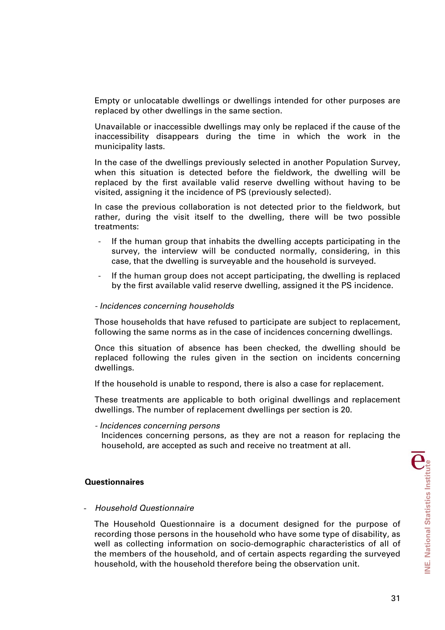Empty or unlocatable dwellings or dwellings intended for other purposes are replaced by other dwellings in the same section.

Unavailable or inaccessible dwellings may only be replaced if the cause of the inaccessibility disappears during the time in which the work in the municipality lasts.

In the case of the dwellings previously selected in another Population Survey, when this situation is detected before the fieldwork, the dwelling will be replaced by the first available valid reserve dwelling without having to be visited, assigning it the incidence of PS (previously selected).

In case the previous collaboration is not detected prior to the fieldwork, but rather, during the visit itself to the dwelling, there will be two possible treatments:

- If the human group that inhabits the dwelling accepts participating in the survey, the interview will be conducted normally, considering, in this case, that the dwelling is surveyable and the household is surveyed.
- If the human group does not accept participating, the dwelling is replaced by the first available valid reserve dwelling, assigned it the PS incidence.

#### *- Incidences concerning households*

Those households that have refused to participate are subject to replacement, following the same norms as in the case of incidences concerning dwellings.

Once this situation of absence has been checked, the dwelling should be replaced following the rules given in the section on incidents concerning dwellings.

If the household is unable to respond, there is also a case for replacement.

These treatments are applicable to both original dwellings and replacement dwellings. The number of replacement dwellings per section is 20.

*- Incidences concerning persons* 

Incidences concerning persons, as they are not a reason for replacing the household, are accepted as such and receive no treatment at all.

#### **Questionnaires**

#### - *Household Questionnaire*

The Household Questionnaire is a document designed for the purpose of recording those persons in the household who have some type of disability, as well as collecting information on socio-demographic characteristics of all of the members of the household, and of certain aspects regarding the surveyed household, with the household therefore being the observation unit.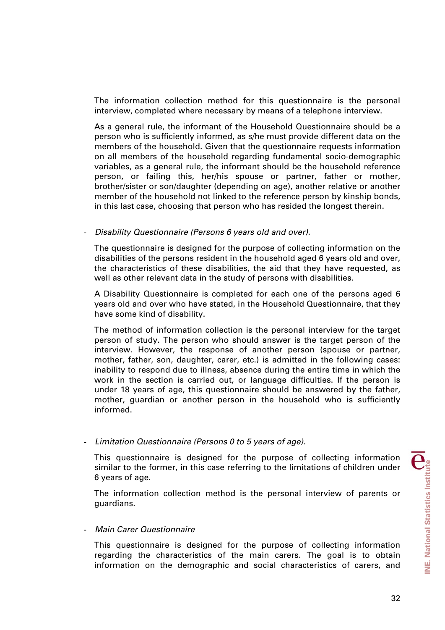The information collection method for this questionnaire is the personal interview, completed where necessary by means of a telephone interview.

As a general rule, the informant of the Household Questionnaire should be a person who is sufficiently informed, as s/he must provide different data on the members of the household. Given that the questionnaire requests information on all members of the household regarding fundamental socio-demographic variables, as a general rule, the informant should be the household reference person, or failing this, her/his spouse or partner, father or mother, brother/sister or son/daughter (depending on age), another relative or another member of the household not linked to the reference person by kinship bonds, in this last case, choosing that person who has resided the longest therein.

## - *Disability Questionnaire (Persons 6 years old and over).*

The questionnaire is designed for the purpose of collecting information on the disabilities of the persons resident in the household aged 6 years old and over, the characteristics of these disabilities, the aid that they have requested, as well as other relevant data in the study of persons with disabilities.

A Disability Questionnaire is completed for each one of the persons aged 6 years old and over who have stated, in the Household Questionnaire, that they have some kind of disability.

The method of information collection is the personal interview for the target person of study. The person who should answer is the target person of the interview. However, the response of another person (spouse or partner, mother, father, son, daughter, carer, etc.) is admitted in the following cases: inability to respond due to illness, absence during the entire time in which the work in the section is carried out, or language difficulties. If the person is under 18 years of age, this questionnaire should be answered by the father, mother, guardian or another person in the household who is sufficiently informed.

## - *Limitation Questionnaire (Persons 0 to 5 years of age).*

This questionnaire is designed for the purpose of collecting information similar to the former, in this case referring to the limitations of children under 6 years of age.

The information collection method is the personal interview of parents or guardians.

#### - *Main Carer Questionnaire*

This questionnaire is designed for the purpose of collecting information regarding the characteristics of the main carers. The goal is to obtain information on the demographic and social characteristics of carers, and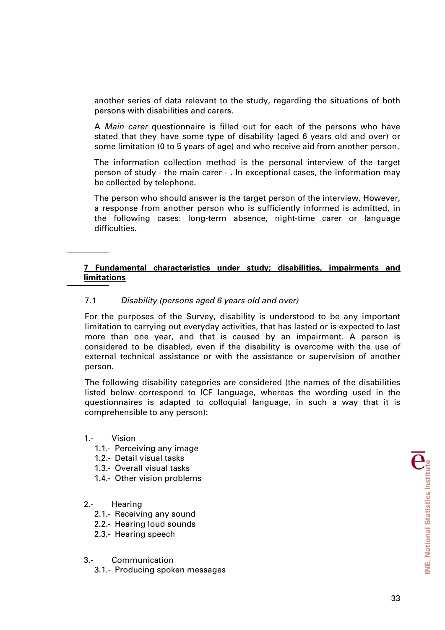another series of data relevant to the study, regarding the situations of both persons with disabilities and carers.

A *Main carer* questionnaire is filled out for each of the persons who have stated that they have some type of disability (aged 6 years old and over) or some limitation (0 to 5 years of age) and who receive aid from another person.

The information collection method is the personal interview of the target person of study - the main carer - . In exceptional cases, the information may be collected by telephone.

The person who should answer is the target person of the interview. However, a response from another person who is sufficiently informed is admitted, in the following cases: long-term absence, night-time carer or language difficulties.

## **7 Fundamental characteristics under study; disabilities, impairments and limitations**

## 7.1 *Disability (persons aged 6 years old and over)*

For the purposes of the Survey, disability is understood to be any important limitation to carrying out everyday activities, that has lasted or is expected to last more than one year, and that is caused by an impairment. A person is considered to be disabled, even if the disability is overcome with the use of external technical assistance or with the assistance or supervision of another person.

The following disability categories are considered (the names of the disabilities listed below correspond to ICF language, whereas the wording used in the questionnaires is adapted to colloquial language, in such a way that it is comprehensible to any person):

## 1.- Vision

- 1.1.- Perceiving any image
- 1.2.- Detail visual tasks
- 1.3.- Overall visual tasks
- 1.4.- Other vision problems

## 2.- Hearing

- 2.1.- Receiving any sound
- 2.2.- Hearing loud sounds
- 2.3.- Hearing speech

#### 3.- Communication

3.1.- Producing spoken messages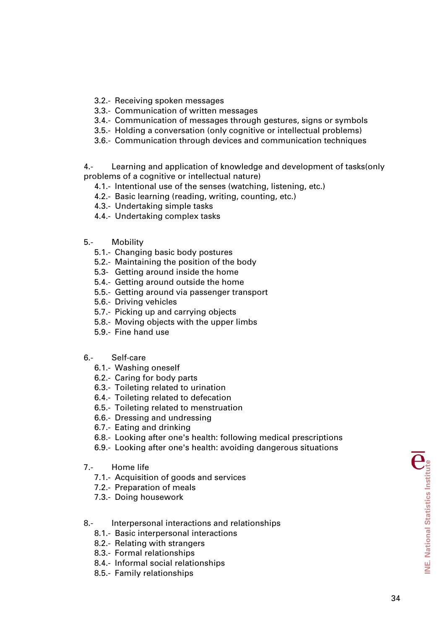- 3.2.- Receiving spoken messages
- 3.3.- Communication of written messages
- 3.4.- Communication of messages through gestures, signs or symbols
- 3.5.- Holding a conversation (only cognitive or intellectual problems)
- 3.6.- Communication through devices and communication techniques

4.- Learning and application of knowledge and development of tasks(only problems of a cognitive or intellectual nature)

- 4.1.- Intentional use of the senses (watching, listening, etc.)
- 4.2.- Basic learning (reading, writing, counting, etc.)
- 4.3.- Undertaking simple tasks
- 4.4.- Undertaking complex tasks
- 5.- Mobility
	- 5.1.- Changing basic body postures
	- 5.2.- Maintaining the position of the body
	- 5.3- Getting around inside the home
	- 5.4.- Getting around outside the home
	- 5.5.- Getting around via passenger transport
	- 5.6.- Driving vehicles
	- 5.7.- Picking up and carrying objects
	- 5.8.- Moving objects with the upper limbs
	- 5.9.- Fine hand use
- 6.- Self-care
	- 6.1.- Washing oneself
	- 6.2.- Caring for body parts
	- 6.3.- Toileting related to urination
	- 6.4.- Toileting related to defecation
	- 6.5.- Toileting related to menstruation
	- 6.6.- Dressing and undressing
	- 6.7.- Eating and drinking
	- 6.8.- Looking after one's health: following medical prescriptions
	- 6.9.- Looking after one's health: avoiding dangerous situations
- 7.- Home life
	- 7.1.- Acquisition of goods and services
	- 7.2.- Preparation of meals
	- 7.3.- Doing housework
- 8.- Interpersonal interactions and relationships
	- 8.1.- Basic interpersonal interactions
	- 8.2.- Relating with strangers
	- 8.3.- Formal relationships
	- 8.4.- Informal social relationships
	- 8.5.- Family relationships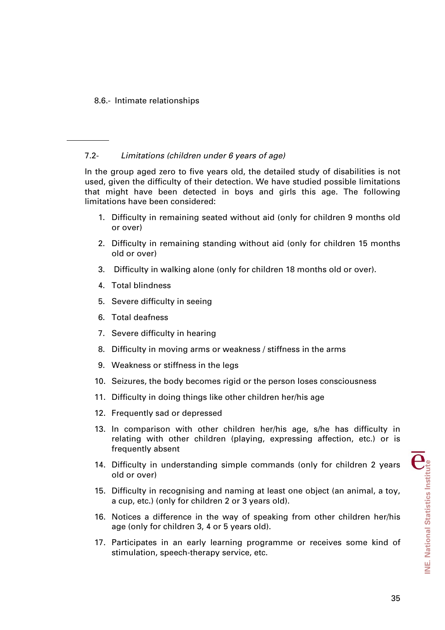# 8.6.- Intimate relationships

# 7.2- *Limitations (children under 6 years of age)*

In the group aged zero to five years old, the detailed study of disabilities is not used, given the difficulty of their detection. We have studied possible limitations that might have been detected in boys and girls this age. The following limitations have been considered:

- 1. Difficulty in remaining seated without aid (only for children 9 months old or over)
- 2. Difficulty in remaining standing without aid (only for children 15 months old or over)
- 3. Difficulty in walking alone (only for children 18 months old or over).
- 4. Total blindness
- 5. Severe difficulty in seeing
- 6. Total deafness
- 7. Severe difficulty in hearing
- 8. Difficulty in moving arms or weakness / stiffness in the arms
- 9. Weakness or stiffness in the legs
- 10. Seizures, the body becomes rigid or the person loses consciousness
- 11. Difficulty in doing things like other children her/his age
- 12. Frequently sad or depressed
- 13. In comparison with other children her/his age, s/he has difficulty in relating with other children (playing, expressing affection, etc.) or is frequently absent
- 14. Difficulty in understanding simple commands (only for children 2 years old or over)
- 15. Difficulty in recognising and naming at least one object (an animal, a toy, a cup, etc.) (only for children 2 or 3 years old).
- 16. Notices a difference in the way of speaking from other children her/his age (only for children 3, 4 or 5 years old).
- 17. Participates in an early learning programme or receives some kind of stimulation, speech-therapy service, etc.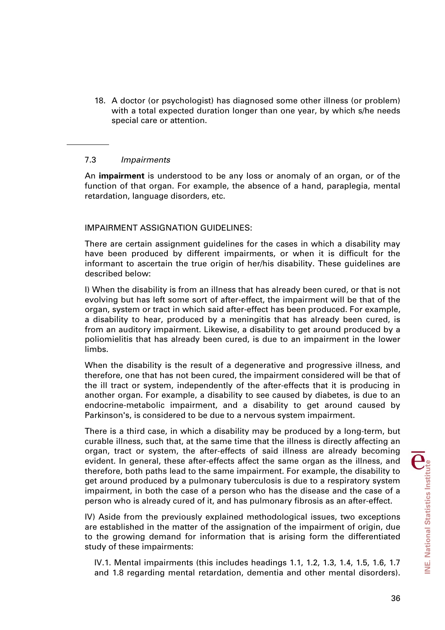18. A doctor (or psychologist) has diagnosed some other illness (or problem) with a total expected duration longer than one year, by which s/he needs special care or attention.

## 7.3 *Impairments*

An **impairment** is understood to be any loss or anomaly of an organ, or of the function of that organ. For example, the absence of a hand, paraplegia, mental retardation, language disorders, etc.

## IMPAIRMENT ASSIGNATION GUIDELINES:

There are certain assignment guidelines for the cases in which a disability may have been produced by different impairments, or when it is difficult for the informant to ascertain the true origin of her/his disability. These guidelines are described below:

I) When the disability is from an illness that has already been cured, or that is not evolving but has left some sort of after-effect, the impairment will be that of the organ, system or tract in which said after-effect has been produced. For example, a disability to hear, produced by a meningitis that has already been cured, is from an auditory impairment. Likewise, a disability to get around produced by a poliomielitis that has already been cured, is due to an impairment in the lower limbs.

When the disability is the result of a degenerative and progressive illness, and therefore, one that has not been cured, the impairment considered will be that of the ill tract or system, independently of the after-effects that it is producing in another organ. For example, a disability to see caused by diabetes, is due to an endocrine-metabolic impairment, and a disability to get around caused by Parkinson's, is considered to be due to a nervous system impairment.

There is a third case, in which a disability may be produced by a long-term, but curable illness, such that, at the same time that the illness is directly affecting an organ, tract or system, the after-effects of said illness are already becoming evident. In general, these after-effects affect the same organ as the illness, and therefore, both paths lead to the same impairment. For example, the disability to get around produced by a pulmonary tuberculosis is due to a respiratory system impairment, in both the case of a person who has the disease and the case of a person who is already cured of it, and has pulmonary fibrosis as an after-effect.

IV) Aside from the previously explained methodological issues, two exceptions are established in the matter of the assignation of the impairment of origin, due to the growing demand for information that is arising form the differentiated study of these impairments:

IV.1. Mental impairments (this includes headings 1.1, 1.2, 1.3, 1.4, 1.5, 1.6, 1.7 and 1.8 regarding mental retardation, dementia and other mental disorders).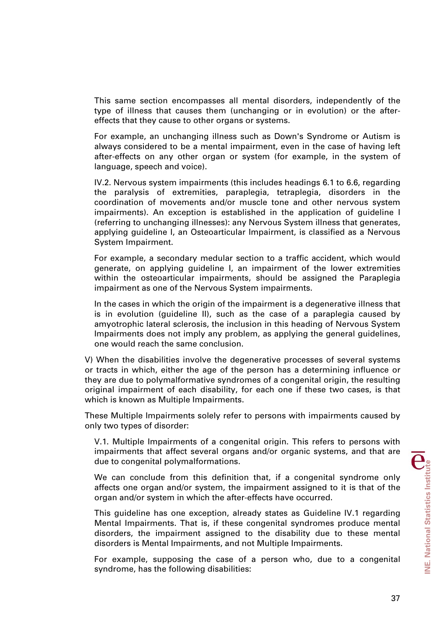This same section encompasses all mental disorders, independently of the type of illness that causes them (unchanging or in evolution) or the aftereffects that they cause to other organs or systems.

For example, an unchanging illness such as Down's Syndrome or Autism is always considered to be a mental impairment, even in the case of having left after-effects on any other organ or system (for example, in the system of language, speech and voice).

IV.2. Nervous system impairments (this includes headings 6.1 to 6.6, regarding the paralysis of extremities, paraplegia, tetraplegia, disorders in the coordination of movements and/or muscle tone and other nervous system impairments). An exception is established in the application of guideline I (referring to unchanging illnesses): any Nervous System illness that generates, applying guideline I, an Osteoarticular Impairment, is classified as a Nervous System Impairment.

For example, a secondary medular section to a traffic accident, which would generate, on applying guideline I, an impairment of the lower extremities within the osteoarticular impairments, should be assigned the Paraplegia impairment as one of the Nervous System impairments.

In the cases in which the origin of the impairment is a degenerative illness that is in evolution (guideline II), such as the case of a paraplegia caused by amyotrophic lateral sclerosis, the inclusion in this heading of Nervous System Impairments does not imply any problem, as applying the general guidelines, one would reach the same conclusion.

V) When the disabilities involve the degenerative processes of several systems or tracts in which, either the age of the person has a determining influence or they are due to polymalformative syndromes of a congenital origin, the resulting original impairment of each disability, for each one if these two cases, is that which is known as Multiple Impairments.

These Multiple Impairments solely refer to persons with impairments caused by only two types of disorder:

V.1. Multiple Impairments of a congenital origin. This refers to persons with impairments that affect several organs and/or organic systems, and that are due to congenital polymalformations.

We can conclude from this definition that, if a congenital syndrome only affects one organ and/or system, the impairment assigned to it is that of the organ and/or system in which the after-effects have occurred.

This guideline has one exception, already states as Guideline IV.1 regarding Mental Impairments. That is, if these congenital syndromes produce mental disorders, the impairment assigned to the disability due to these mental disorders is Mental Impairments, and not Multiple Impairments.

For example, supposing the case of a person who, due to a congenital syndrome, has the following disabilities: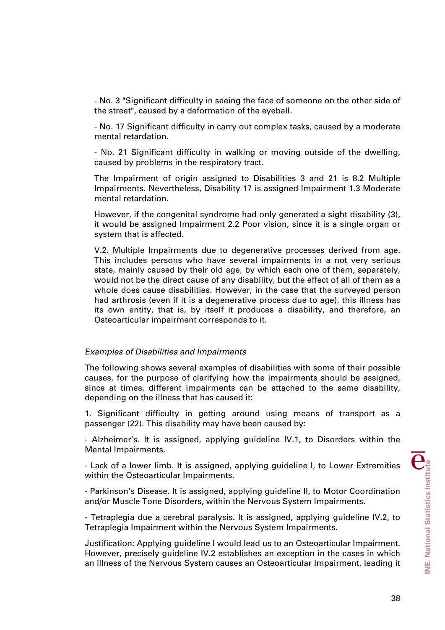- No. 3 "Significant difficulty in seeing the face of someone on the other side of the street", caused by a deformation of the eyeball.

- No. 17 Significant difficulty in carry out complex tasks, caused by a moderate mental retardation.

- No. 21 Significant difficulty in walking or moving outside of the dwelling, caused by problems in the respiratory tract.

The Impairment of origin assigned to Disabilities 3 and 21 is 8.2 Multiple Impairments. Nevertheless, Disability 17 is assigned Impairment 1.3 Moderate mental retardation.

However, if the congenital syndrome had only generated a sight disability (3), it would be assigned Impairment 2.2 Poor vision, since it is a single organ or system that is affected.

V.2. Multiple Impairments due to degenerative processes derived from age. This includes persons who have several impairments in a not very serious state, mainly caused by their old age, by which each one of them, separately, would not be the direct cause of any disability, but the effect of all of them as a whole does cause disabilities. However, in the case that the surveyed person had arthrosis (even if it is a degenerative process due to age), this illness has its own entity, that is, by itself it produces a disability, and therefore, an Osteoarticular impairment corresponds to it.

#### *Examples of Disabilities and Impairments*

The following shows several examples of disabilities with some of their possible causes, for the purpose of clarifying how the impairments should be assigned, since at times, different impairments can be attached to the same disability, depending on the illness that has caused it:

1. Significant difficulty in getting around using means of transport as a passenger (22). This disability may have been caused by:

- Alzheimer's. It is assigned, applying guideline IV.1, to Disorders within the Mental Impairments.

- Lack of a lower limb. It is assigned, applying guideline I, to Lower Extremities within the Osteoarticular Impairments.

- Parkinson's Disease. It is assigned, applying guideline II, to Motor Coordination and/or Muscle Tone Disorders, within the Nervous System Impairments.

- Tetraplegia due a cerebral paralysis. It is assigned, applying guideline IV.2, to Tetraplegia Impairment within the Nervous System Impairments.

Justification: Applying guideline I would lead us to an Osteoarticular Impairment. However, precisely guideline IV.2 establishes an exception in the cases in which an illness of the Nervous System causes an Osteoarticular Impairment, leading it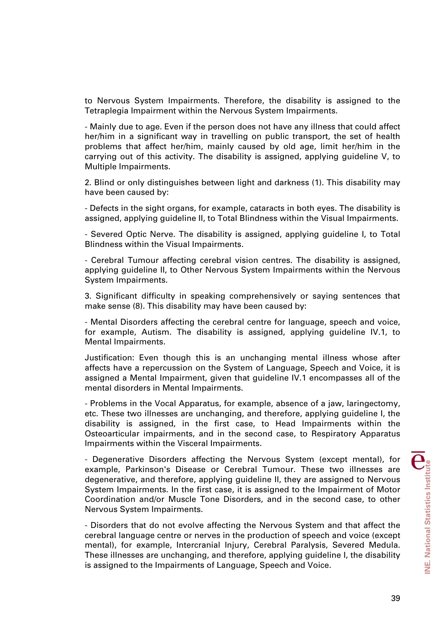to Nervous System Impairments. Therefore, the disability is assigned to the Tetraplegia Impairment within the Nervous System Impairments.

- Mainly due to age. Even if the person does not have any illness that could affect her/him in a significant way in travelling on public transport, the set of health problems that affect her/him, mainly caused by old age, limit her/him in the carrying out of this activity. The disability is assigned, applying guideline V, to Multiple Impairments.

2. Blind or only distinguishes between light and darkness (1). This disability may have been caused by:

- Defects in the sight organs, for example, cataracts in both eyes. The disability is assigned, applying guideline II, to Total Blindness within the Visual Impairments.

- Severed Optic Nerve. The disability is assigned, applying guideline I, to Total Blindness within the Visual Impairments.

- Cerebral Tumour affecting cerebral vision centres. The disability is assigned, applying guideline II, to Other Nervous System Impairments within the Nervous System Impairments.

3. Significant difficulty in speaking comprehensively or saying sentences that make sense (8). This disability may have been caused by:

- Mental Disorders affecting the cerebral centre for language, speech and voice, for example, Autism. The disability is assigned, applying guideline IV.1, to Mental Impairments.

Justification: Even though this is an unchanging mental illness whose after affects have a repercussion on the System of Language, Speech and Voice, it is assigned a Mental Impairment, given that guideline IV.1 encompasses all of the mental disorders in Mental Impairments.

- Problems in the Vocal Apparatus, for example, absence of a jaw, laringectomy, etc. These two illnesses are unchanging, and therefore, applying guideline I, the disability is assigned, in the first case, to Head Impairments within the Osteoarticular impairments, and in the second case, to Respiratory Apparatus Impairments within the Visceral Impairments.

- Degenerative Disorders affecting the Nervous System (except mental), for example, Parkinson's Disease or Cerebral Tumour. These two illnesses are degenerative, and therefore, applying guideline II, they are assigned to Nervous System Impairments. In the first case, it is assigned to the Impairment of Motor Coordination and/or Muscle Tone Disorders, and in the second case, to other Nervous System Impairments.

- Disorders that do not evolve affecting the Nervous System and that affect the cerebral language centre or nerves in the production of speech and voice (except mental), for example, Intercranial Injury, Cerebral Paralysis, Severed Medula. These illnesses are unchanging, and therefore, applying guideline I, the disability is assigned to the Impairments of Language, Speech and Voice.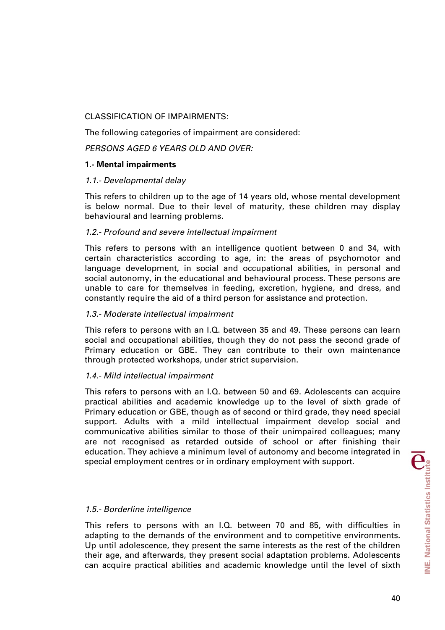# CLASSIFICATION OF IMPAIRMENTS:

The following categories of impairment are considered:

*PERSONS AGED 6 YEARS OLD AND OVER:* 

# **1.- Mental impairments**

## *1.1.- Developmental delay*

This refers to children up to the age of 14 years old, whose mental development is below normal. Due to their level of maturity, these children may display behavioural and learning problems.

# *1.2.- Profound and severe intellectual impairment*

This refers to persons with an intelligence quotient between 0 and 34, with certain characteristics according to age, in: the areas of psychomotor and language development, in social and occupational abilities, in personal and social autonomy, in the educational and behavioural process. These persons are unable to care for themselves in feeding, excretion, hygiene, and dress, and constantly require the aid of a third person for assistance and protection.

# *1.3.- Moderate intellectual impairment*

This refers to persons with an I.Q. between 35 and 49. These persons can learn social and occupational abilities, though they do not pass the second grade of Primary education or GBE. They can contribute to their own maintenance through protected workshops, under strict supervision.

## *1.4.- Mild intellectual impairment*

This refers to persons with an I.Q. between 50 and 69. Adolescents can acquire practical abilities and academic knowledge up to the level of sixth grade of Primary education or GBE, though as of second or third grade, they need special support. Adults with a mild intellectual impairment develop social and communicative abilities similar to those of their unimpaired colleagues; many are not recognised as retarded outside of school or after finishing their education. They achieve a minimum level of autonomy and become integrated in special employment centres or in ordinary employment with support.

## *1.5.- Borderline intelligence*

This refers to persons with an I.Q. between 70 and 85, with difficulties in adapting to the demands of the environment and to competitive environments. Up until adolescence, they present the same interests as the rest of the children their age, and afterwards, they present social adaptation problems. Adolescents can acquire practical abilities and academic knowledge until the level of sixth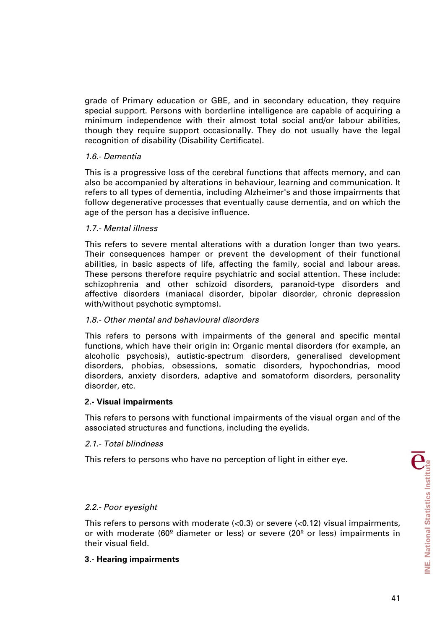grade of Primary education or GBE, and in secondary education, they require special support. Persons with borderline intelligence are capable of acquiring a minimum independence with their almost total social and/or labour abilities, though they require support occasionally. They do not usually have the legal recognition of disability (Disability Certificate).

## *1.6.- Dementia*

This is a progressive loss of the cerebral functions that affects memory, and can also be accompanied by alterations in behaviour, learning and communication. It refers to all types of dementia, including Alzheimer's and those impairments that follow degenerative processes that eventually cause dementia, and on which the age of the person has a decisive influence.

#### *1.7.- Mental illness*

This refers to severe mental alterations with a duration longer than two years. Their consequences hamper or prevent the development of their functional abilities, in basic aspects of life, affecting the family, social and labour areas. These persons therefore require psychiatric and social attention. These include: schizophrenia and other schizoid disorders, paranoid-type disorders and affective disorders (maniacal disorder, bipolar disorder, chronic depression with/without psychotic symptoms).

#### *1.8.- Other mental and behavioural disorders*

This refers to persons with impairments of the general and specific mental functions, which have their origin in: Organic mental disorders (for example, an alcoholic psychosis), autistic-spectrum disorders, generalised development disorders, phobias, obsessions, somatic disorders, hypochondrias, mood disorders, anxiety disorders, adaptive and somatoform disorders, personality disorder, etc.

#### **2.- Visual impairments**

This refers to persons with functional impairments of the visual organ and of the associated structures and functions, including the eyelids.

#### *2.1.- Total blindness*

This refers to persons who have no perception of light in either eye.

## *2.2.- Poor eyesight*

This refers to persons with moderate  $\langle$ <0.3) or severe  $\langle$ <0.12) visual impairments, or with moderate (60 $^{\circ}$  diameter or less) or severe (20 $^{\circ}$  or less) impairments in their visual field.

## **3.- Hearing impairments**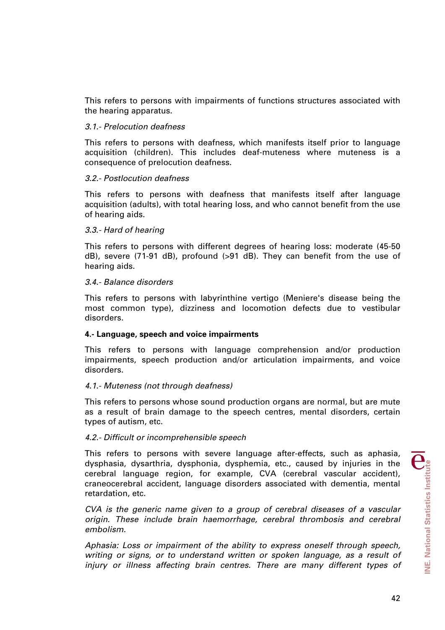This refers to persons with impairments of functions structures associated with the hearing apparatus.

#### *3.1.- Prelocution deafness*

This refers to persons with deafness, which manifests itself prior to language acquisition (children). This includes deaf-muteness where muteness is a consequence of prelocution deafness.

#### *3.2.- Postlocution deafness*

This refers to persons with deafness that manifests itself after language acquisition (adults), with total hearing loss, and who cannot benefit from the use of hearing aids.

#### *3.3.- Hard of hearing*

This refers to persons with different degrees of hearing loss: moderate (45-50 dB), severe (71-91 dB), profound (>91 dB). They can benefit from the use of hearing aids.

#### *3.4.- Balance disorders*

This refers to persons with labyrinthine vertigo (Meniere's disease being the most common type), dizziness and locomotion defects due to vestibular disorders.

## **4.- Language, speech and voice impairments**

This refers to persons with language comprehension and/or production impairments, speech production and/or articulation impairments, and voice disorders.

## *4.1.- Muteness (not through deafness)*

This refers to persons whose sound production organs are normal, but are mute as a result of brain damage to the speech centres, mental disorders, certain types of autism, etc.

## *4.2.- Difficult or incomprehensible speech*

This refers to persons with severe language after-effects, such as aphasia, dysphasia, dysarthria, dysphonia, dysphemia, etc., caused by injuries in the cerebral language region, for example, CVA (cerebral vascular accident), craneocerebral accident, language disorders associated with dementia, mental retardation, etc.

*CVA is the generic name given to a group of cerebral diseases of a vascular origin. These include brain haemorrhage, cerebral thrombosis and cerebral embolism.* 

*Aphasia: Loss or impairment of the ability to express oneself through speech, writing or signs, or to understand written or spoken language, as a result of*  injury or illness affecting brain centres. There are many different types of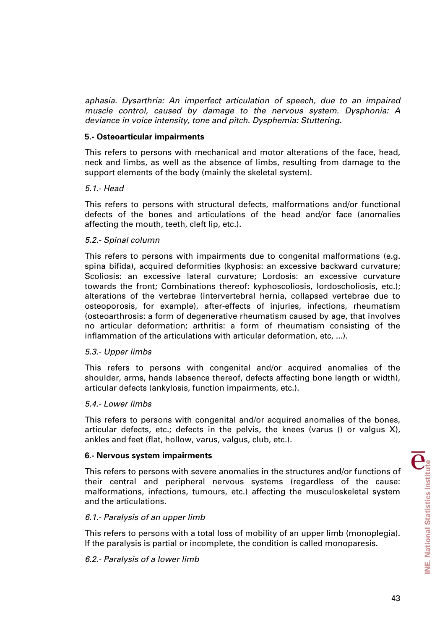*aphasia. Dysarthria: An imperfect articulation of speech, due to an impaired muscle control, caused by damage to the nervous system. Dysphonia: A deviance in voice intensity, tone and pitch. Dysphemia: Stuttering.* 

#### **5.- Osteoarticular impairments**

This refers to persons with mechanical and motor alterations of the face, head, neck and limbs, as well as the absence of limbs, resulting from damage to the support elements of the body (mainly the skeletal system).

#### *5.1.- Head*

This refers to persons with structural defects, malformations and/or functional defects of the bones and articulations of the head and/or face (anomalies affecting the mouth, teeth, cleft lip, etc.).

#### *5.2.- Spinal column*

This refers to persons with impairments due to congenital malformations (e.g. spina bifida), acquired deformities (kyphosis: an excessive backward curvature; Scoliosis: an excessive lateral curvature; Lordosis: an excessive curvature towards the front; Combinations thereof: kyphoscoliosis, lordoscholiosis, etc.); alterations of the vertebrae (intervertebral hernia, collapsed vertebrae due to osteoporosis, for example), after-effects of injuries, infections, rheumatism (osteoarthrosis: a form of degenerative rheumatism caused by age, that involves no articular deformation; arthritis: a form of rheumatism consisting of the inflammation of the articulations with articular deformation, etc, ...).

## *5.3.- Upper limbs*

This refers to persons with congenital and/or acquired anomalies of the shoulder, arms, hands (absence thereof, defects affecting bone length or width), articular defects (ankylosis, function impairments, etc.).

#### *5.4.- Lower limbs*

This refers to persons with congenital and/or acquired anomalies of the bones, articular defects, etc.; defects in the pelvis, the knees (varus () or valgus X), ankles and feet (flat, hollow, varus, valgus, club, etc.).

#### **6.- Nervous system impairments**

This refers to persons with severe anomalies in the structures and/or functions of their central and peripheral nervous systems (regardless of the cause: malformations, infections, tumours, etc.) affecting the musculoskeletal system and the articulations.

## *6.1.- Paralysis of an upper limb*

This refers to persons with a total loss of mobility of an upper limb (monoplegia). If the paralysis is partial or incomplete, the condition is called monoparesis.

## *6.2.- Paralysis of a lower limb*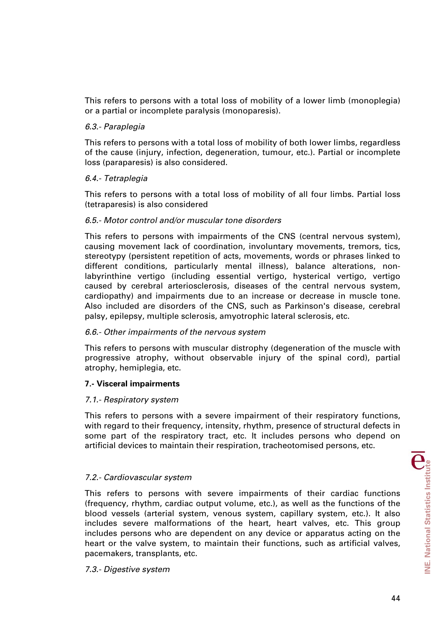This refers to persons with a total loss of mobility of a lower limb (monoplegia) or a partial or incomplete paralysis (monoparesis).

## *6.3.- Paraplegia*

This refers to persons with a total loss of mobility of both lower limbs, regardless of the cause (injury, infection, degeneration, tumour, etc.). Partial or incomplete loss (paraparesis) is also considered.

## *6.4.- Tetraplegia*

This refers to persons with a total loss of mobility of all four limbs. Partial loss (tetraparesis) is also considered

## *6.5.- Motor control and/or muscular tone disorders*

This refers to persons with impairments of the CNS (central nervous system), causing movement lack of coordination, involuntary movements, tremors, tics, stereotypy (persistent repetition of acts, movements, words or phrases linked to different conditions, particularly mental illness), balance alterations, nonlabyrinthine vertigo (including essential vertigo, hysterical vertigo, vertigo caused by cerebral arteriosclerosis, diseases of the central nervous system, cardiopathy) and impairments due to an increase or decrease in muscle tone. Also included are disorders of the CNS, such as Parkinson's disease, cerebral palsy, epilepsy, multiple sclerosis, amyotrophic lateral sclerosis, etc.

## *6.6.- Other impairments of the nervous system*

This refers to persons with muscular distrophy (degeneration of the muscle with progressive atrophy, without observable injury of the spinal cord), partial atrophy, hemiplegia, etc.

## **7.- Visceral impairments**

#### *7.1.- Respiratory system*

This refers to persons with a severe impairment of their respiratory functions, with regard to their frequency, intensity, rhythm, presence of structural defects in some part of the respiratory tract, etc. It includes persons who depend on artificial devices to maintain their respiration, tracheotomised persons, etc.

## *7.2.- Cardiovascular system*

This refers to persons with severe impairments of their cardiac functions (frequency, rhythm, cardiac output volume, etc.), as well as the functions of the blood vessels (arterial system, venous system, capillary system, etc.). It also includes severe malformations of the heart, heart valves, etc. This group includes persons who are dependent on any device or apparatus acting on the heart or the valve system, to maintain their functions, such as artificial valves, pacemakers, transplants, etc.

#### *7.3.- Digestive system*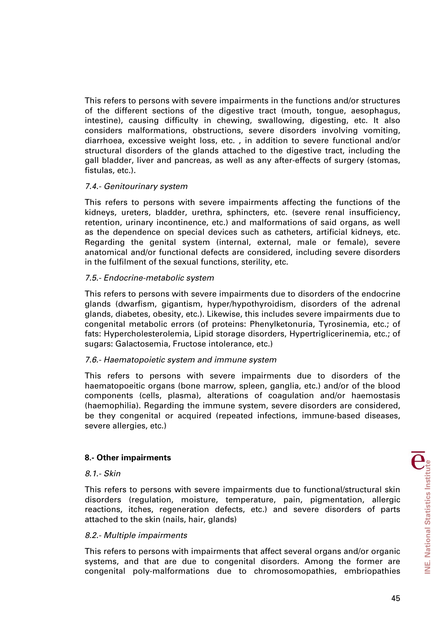This refers to persons with severe impairments in the functions and/or structures of the different sections of the digestive tract (mouth, tongue, aesophagus, intestine), causing difficulty in chewing, swallowing, digesting, etc. It also considers malformations, obstructions, severe disorders involving vomiting, diarrhoea, excessive weight loss, etc. , in addition to severe functional and/or structural disorders of the glands attached to the digestive tract, including the gall bladder, liver and pancreas, as well as any after-effects of surgery (stomas, fistulas, etc.).

## *7.4.- Genitourinary system*

This refers to persons with severe impairments affecting the functions of the kidneys, ureters, bladder, urethra, sphincters, etc. (severe renal insufficiency, retention, urinary incontinence, etc.) and malformations of said organs, as well as the dependence on special devices such as catheters, artificial kidneys, etc. Regarding the genital system (internal, external, male or female), severe anatomical and/or functional defects are considered, including severe disorders in the fulfilment of the sexual functions, sterility, etc.

## *7.5.- Endocrine-metabolic system*

This refers to persons with severe impairments due to disorders of the endocrine glands (dwarfism, gigantism, hyper/hypothyroidism, disorders of the adrenal glands, diabetes, obesity, etc.). Likewise, this includes severe impairments due to congenital metabolic errors (of proteins: Phenylketonuria, Tyrosinemia, etc.; of fats: Hypercholesterolemia, Lipid storage disorders, Hypertriglicerinemia, etc.; of sugars: Galactosemia, Fructose intolerance, etc.)

## *7.6.- Haematopoietic system and immune system*

This refers to persons with severe impairments due to disorders of the haematopoeitic organs (bone marrow, spleen, ganglia, etc.) and/or of the blood components (cells, plasma), alterations of coagulation and/or haemostasis (haemophilia). Regarding the immune system, severe disorders are considered, be they congenital or acquired (repeated infections, immune-based diseases, severe allergies, etc.)

## **8.- Other impairments**

#### *8.1.- Skin*

This refers to persons with severe impairments due to functional/structural skin disorders (regulation, moisture, temperature, pain, pigmentation, allergic reactions, itches, regeneration defects, etc.) and severe disorders of parts attached to the skin (nails, hair, glands)

## *8.2.- Multiple impairments*

This refers to persons with impairments that affect several organs and/or organic systems, and that are due to congenital disorders. Among the former are congenital poly-malformations due to chromosomopathies, embriopathies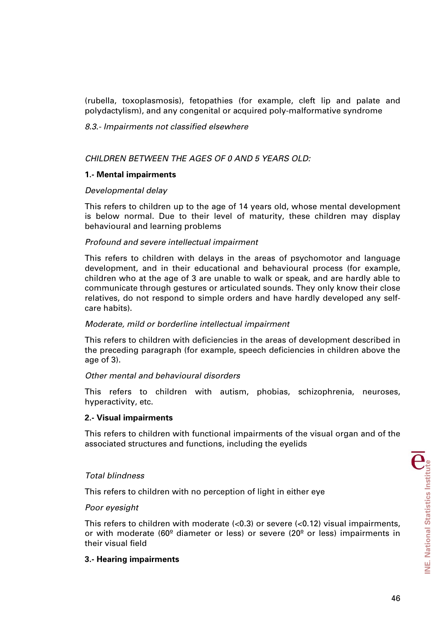(rubella, toxoplasmosis), fetopathies (for example, cleft lip and palate and polydactylism), and any congenital or acquired poly-malformative syndrome

## *8.3.- Impairments not classified elsewhere*

## *CHILDREN BETWEEN THE AGES OF 0 AND 5 YEARS OLD:*

## **1.- Mental impairments**

## *Developmental delay*

This refers to children up to the age of 14 years old, whose mental development is below normal. Due to their level of maturity, these children may display behavioural and learning problems

# *Profound and severe intellectual impairment*

This refers to children with delays in the areas of psychomotor and language development, and in their educational and behavioural process (for example, children who at the age of 3 are unable to walk or speak, and are hardly able to communicate through gestures or articulated sounds. They only know their close relatives, do not respond to simple orders and have hardly developed any selfcare habits).

## *Moderate, mild or borderline intellectual impairment*

This refers to children with deficiencies in the areas of development described in the preceding paragraph (for example, speech deficiencies in children above the age of 3).

## *Other mental and behavioural disorders*

This refers to children with autism, phobias, schizophrenia, neuroses, hyperactivity, etc.

## **2.- Visual impairments**

This refers to children with functional impairments of the visual organ and of the associated structures and functions, including the eyelids

## *Total blindness*

This refers to children with no perception of light in either eye

## *Poor eyesight*

This refers to children with moderate (<0.3) or severe (<0.12) visual impairments, or with moderate (60 $^{\circ}$  diameter or less) or severe (20 $^{\circ}$  or less) impairments in their visual field

# **3.- Hearing impairments**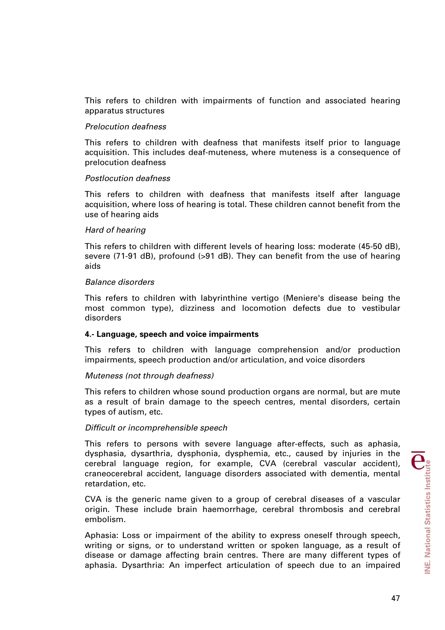This refers to children with impairments of function and associated hearing apparatus structures

#### *Prelocution deafness*

This refers to children with deafness that manifests itself prior to language acquisition. This includes deaf-muteness, where muteness is a consequence of prelocution deafness

#### *Postlocution deafness*

This refers to children with deafness that manifests itself after language acquisition, where loss of hearing is total. These children cannot benefit from the use of hearing aids

#### *Hard of hearing*

This refers to children with different levels of hearing loss: moderate (45-50 dB), severe (71-91 dB), profound (>91 dB). They can benefit from the use of hearing aids

#### *Balance disorders*

This refers to children with labyrinthine vertigo (Meniere's disease being the most common type), dizziness and locomotion defects due to vestibular disorders

## **4.- Language, speech and voice impairments**

This refers to children with language comprehension and/or production impairments, speech production and/or articulation, and voice disorders

## *Muteness (not through deafness)*

This refers to children whose sound production organs are normal, but are mute as a result of brain damage to the speech centres, mental disorders, certain types of autism, etc.

## *Difficult or incomprehensible speech*

This refers to persons with severe language after-effects, such as aphasia, dysphasia, dysarthria, dysphonia, dysphemia, etc., caused by injuries in the cerebral language region, for example, CVA (cerebral vascular accident), craneocerebral accident, language disorders associated with dementia, mental retardation, etc.

CVA is the generic name given to a group of cerebral diseases of a vascular origin. These include brain haemorrhage, cerebral thrombosis and cerebral embolism.

Aphasia: Loss or impairment of the ability to express oneself through speech, writing or signs, or to understand written or spoken language, as a result of disease or damage affecting brain centres. There are many different types of aphasia. Dysarthria: An imperfect articulation of speech due to an impaired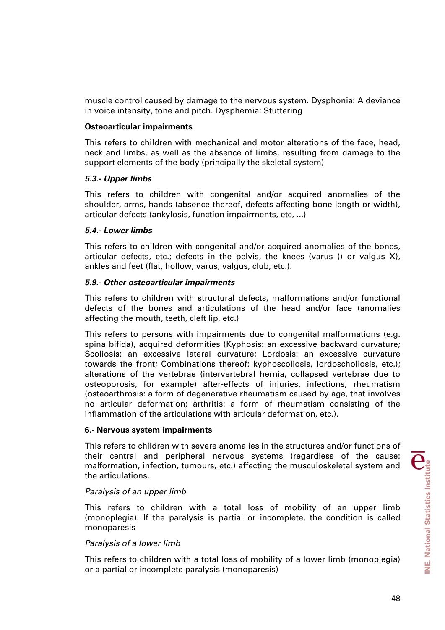muscle control caused by damage to the nervous system. Dysphonia: A deviance in voice intensity, tone and pitch. Dysphemia: Stuttering

#### **Osteoarticular impairments**

This refers to children with mechanical and motor alterations of the face, head, neck and limbs, as well as the absence of limbs, resulting from damage to the support elements of the body (principally the skeletal system)

#### *5.3.- Upper limbs*

This refers to children with congenital and/or acquired anomalies of the shoulder, arms, hands (absence thereof, defects affecting bone length or width), articular defects (ankylosis, function impairments, etc, ...)

## *5.4.- Lower limbs*

This refers to children with congenital and/or acquired anomalies of the bones, articular defects, etc.; defects in the pelvis, the knees (varus () or valgus  $X$ ), ankles and feet (flat, hollow, varus, valgus, club, etc.).

#### *5.9.- Other osteoarticular impairments*

This refers to children with structural defects, malformations and/or functional defects of the bones and articulations of the head and/or face (anomalies affecting the mouth, teeth, cleft lip, etc.)

This refers to persons with impairments due to congenital malformations (e.g. spina bifida), acquired deformities (Kyphosis: an excessive backward curvature; Scoliosis: an excessive lateral curvature; Lordosis: an excessive curvature towards the front; Combinations thereof: kyphoscoliosis, lordoscholiosis, etc.); alterations of the vertebrae (intervertebral hernia, collapsed vertebrae due to osteoporosis, for example) after-effects of injuries, infections, rheumatism (osteoarthrosis: a form of degenerative rheumatism caused by age, that involves no articular deformation; arthritis: a form of rheumatism consisting of the inflammation of the articulations with articular deformation, etc.).

#### **6.- Nervous system impairments**

This refers to children with severe anomalies in the structures and/or functions of their central and peripheral nervous systems (regardless of the cause: malformation, infection, tumours, etc.) affecting the musculoskeletal system and the articulations.

#### *Paralysis of an upper limb*

This refers to children with a total loss of mobility of an upper limb (monoplegia). If the paralysis is partial or incomplete, the condition is called monoparesis

## *Paralysis of a lower limb*

This refers to children with a total loss of mobility of a lower limb (monoplegia) or a partial or incomplete paralysis (monoparesis)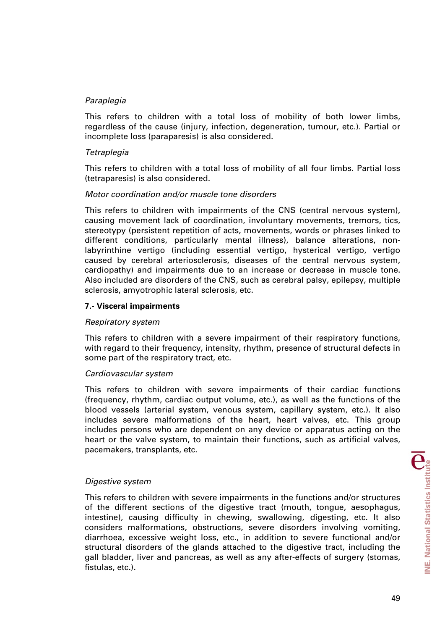## *Paraplegia*

This refers to children with a total loss of mobility of both lower limbs, regardless of the cause (injury, infection, degeneration, tumour, etc.). Partial or incomplete loss (paraparesis) is also considered.

## *Tetraplegia*

This refers to children with a total loss of mobility of all four limbs. Partial loss (tetraparesis) is also considered.

## *Motor coordination and/or muscle tone disorders*

This refers to children with impairments of the CNS (central nervous system), causing movement lack of coordination, involuntary movements, tremors, tics, stereotypy (persistent repetition of acts, movements, words or phrases linked to different conditions, particularly mental illness), balance alterations, nonlabyrinthine vertigo (including essential vertigo, hysterical vertigo, vertigo caused by cerebral arteriosclerosis, diseases of the central nervous system, cardiopathy) and impairments due to an increase or decrease in muscle tone. Also included are disorders of the CNS, such as cerebral palsy, epilepsy, multiple sclerosis, amyotrophic lateral sclerosis, etc.

# **7.- Visceral impairments**

## *Respiratory system*

This refers to children with a severe impairment of their respiratory functions, with regard to their frequency, intensity, rhythm, presence of structural defects in some part of the respiratory tract, etc.

## *Cardiovascular system*

This refers to children with severe impairments of their cardiac functions (frequency, rhythm, cardiac output volume, etc.), as well as the functions of the blood vessels (arterial system, venous system, capillary system, etc.). It also includes severe malformations of the heart, heart valves, etc. This group includes persons who are dependent on any device or apparatus acting on the heart or the valve system, to maintain their functions, such as artificial valves, pacemakers, transplants, etc.

## *Digestive system*

This refers to children with severe impairments in the functions and/or structures of the different sections of the digestive tract (mouth, tongue, aesophagus, intestine), causing difficulty in chewing, swallowing, digesting, etc. It also considers malformations, obstructions, severe disorders involving vomiting, diarrhoea, excessive weight loss, etc., in addition to severe functional and/or structural disorders of the glands attached to the digestive tract, including the gall bladder, liver and pancreas, as well as any after-effects of surgery (stomas, fistulas, etc.).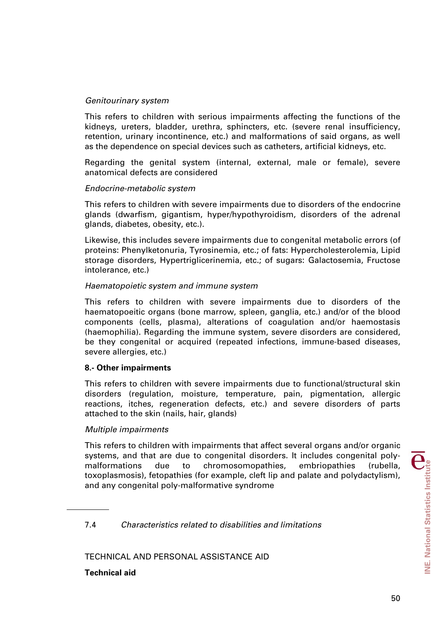## *Genitourinary system*

This refers to children with serious impairments affecting the functions of the kidneys, ureters, bladder, urethra, sphincters, etc. (severe renal insufficiency, retention, urinary incontinence, etc.) and malformations of said organs, as well as the dependence on special devices such as catheters, artificial kidneys, etc.

Regarding the genital system (internal, external, male or female), severe anatomical defects are considered

#### *Endocrine-metabolic system*

This refers to children with severe impairments due to disorders of the endocrine glands (dwarfism, gigantism, hyper/hypothyroidism, disorders of the adrenal glands, diabetes, obesity, etc.).

Likewise, this includes severe impairments due to congenital metabolic errors (of proteins: Phenylketonuria, Tyrosinemia, etc.; of fats: Hypercholesterolemia, Lipid storage disorders, Hypertriglicerinemia, etc.; of sugars: Galactosemia, Fructose intolerance, etc.)

#### *Haematopoietic system and immune system*

This refers to children with severe impairments due to disorders of the haematopoeitic organs (bone marrow, spleen, ganglia, etc.) and/or of the blood components (cells, plasma), alterations of coagulation and/or haemostasis (haemophilia). Regarding the immune system, severe disorders are considered, be they congenital or acquired (repeated infections, immune-based diseases, severe allergies, etc.)

## **8.- Other impairments**

This refers to children with severe impairments due to functional/structural skin disorders (regulation, moisture, temperature, pain, pigmentation, allergic reactions, itches, regeneration defects, etc.) and severe disorders of parts attached to the skin (nails, hair, glands)

## *Multiple impairments*

This refers to children with impairments that affect several organs and/or organic systems, and that are due to congenital disorders. It includes congenital polymalformations due to chromosomopathies, embriopathies (rubella, toxoplasmosis), fetopathies (for example, cleft lip and palate and polydactylism), and any congenital poly-malformative syndrome

7.4 *Characteristics related to disabilities and limitations* 

TECHNICAL AND PERSONAL ASSISTANCE AID

**Technical aid**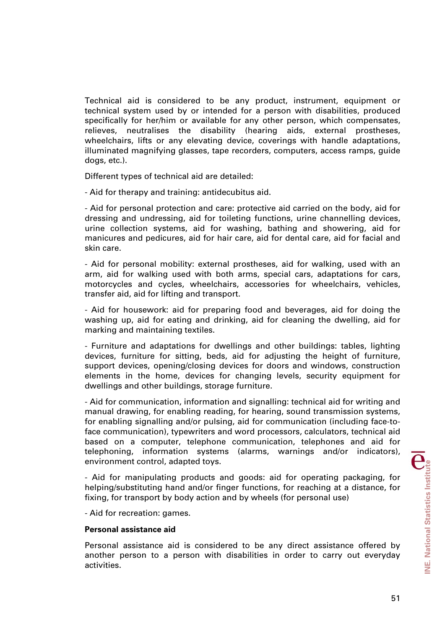Technical aid is considered to be any product, instrument, equipment or technical system used by or intended for a person with disabilities, produced specifically for her/him or available for any other person, which compensates, relieves, neutralises the disability (hearing aids, external prostheses, wheelchairs, lifts or any elevating device, coverings with handle adaptations, illuminated magnifying glasses, tape recorders, computers, access ramps, guide dogs, etc.).

Different types of technical aid are detailed:

- Aid for therapy and training: antidecubitus aid.

- Aid for personal protection and care: protective aid carried on the body, aid for dressing and undressing, aid for toileting functions, urine channelling devices, urine collection systems, aid for washing, bathing and showering, aid for manicures and pedicures, aid for hair care, aid for dental care, aid for facial and skin care.

- Aid for personal mobility: external prostheses, aid for walking, used with an arm, aid for walking used with both arms, special cars, adaptations for cars, motorcycles and cycles, wheelchairs, accessories for wheelchairs, vehicles, transfer aid, aid for lifting and transport.

- Aid for housework: aid for preparing food and beverages, aid for doing the washing up, aid for eating and drinking, aid for cleaning the dwelling, aid for marking and maintaining textiles.

- Furniture and adaptations for dwellings and other buildings: tables, lighting devices, furniture for sitting, beds, aid for adjusting the height of furniture, support devices, opening/closing devices for doors and windows, construction elements in the home, devices for changing levels, security equipment for dwellings and other buildings, storage furniture.

- Aid for communication, information and signalling: technical aid for writing and manual drawing, for enabling reading, for hearing, sound transmission systems, for enabling signalling and/or pulsing, aid for communication (including face-toface communication), typewriters and word processors, calculators, technical aid based on a computer, telephone communication, telephones and aid for telephoning, information systems (alarms, warnings and/or indicators), environment control, adapted toys.

- Aid for manipulating products and goods: aid for operating packaging, for helping/substituting hand and/or finger functions, for reaching at a distance, for fixing, for transport by body action and by wheels (for personal use)

- Aid for recreation: games.

## **Personal assistance aid**

Personal assistance aid is considered to be any direct assistance offered by another person to a person with disabilities in order to carry out everyday activities.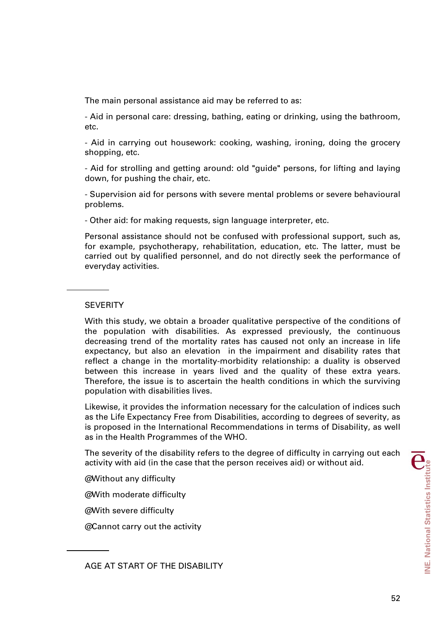The main personal assistance aid may be referred to as:

- Aid in personal care: dressing, bathing, eating or drinking, using the bathroom, etc.

- Aid in carrying out housework: cooking, washing, ironing, doing the grocery shopping, etc.

- Aid for strolling and getting around: old "guide" persons, for lifting and laying down, for pushing the chair, etc.

- Supervision aid for persons with severe mental problems or severe behavioural problems.

- Other aid: for making requests, sign language interpreter, etc.

Personal assistance should not be confused with professional support, such as, for example, psychotherapy, rehabilitation, education, etc. The latter, must be carried out by qualified personnel, and do not directly seek the performance of everyday activities.

#### **SEVERITY**

With this study, we obtain a broader qualitative perspective of the conditions of the population with disabilities. As expressed previously, the continuous decreasing trend of the mortality rates has caused not only an increase in life expectancy, but also an elevation in the impairment and disability rates that reflect a change in the mortality-morbidity relationship: a duality is observed between this increase in years lived and the quality of these extra years. Therefore, the issue is to ascertain the health conditions in which the surviving population with disabilities lives.

Likewise, it provides the information necessary for the calculation of indices such as the Life Expectancy Free from Disabilities, according to degrees of severity, as is proposed in the International Recommendations in terms of Disability, as well as in the Health Programmes of the WHO.

The severity of the disability refers to the degree of difficulty in carrying out each activity with aid (in the case that the person receives aid) or without aid.

@ Without any difficulty

@ With moderate difficulty

@ With severe difficulty

@ Cannot carry out the activity

AGE AT START OF THE DISABILITY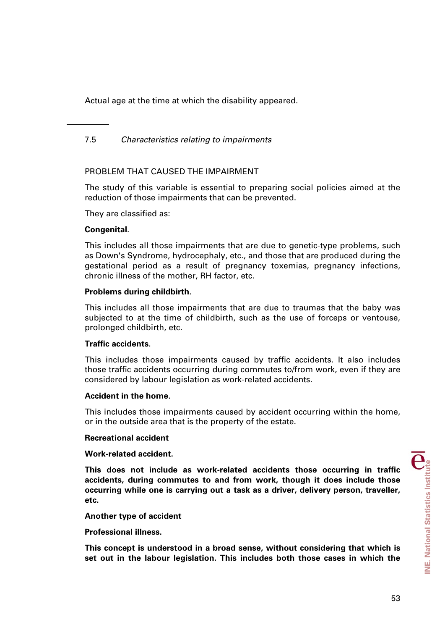Actual age at the time at which the disability appeared.

# 7.5 *Characteristics relating to impairments*

# PROBLEM THAT CAUSED THE IMPAIRMENT

The study of this variable is essential to preparing social policies aimed at the reduction of those impairments that can be prevented.

They are classified as:

#### **Congenital**.

This includes all those impairments that are due to genetic-type problems, such as Down's Syndrome, hydrocephaly, etc., and those that are produced during the gestational period as a result of pregnancy toxemias, pregnancy infections, chronic illness of the mother, RH factor, etc.

## **Problems during childbirth**.

This includes all those impairments that are due to traumas that the baby was subjected to at the time of childbirth, such as the use of forceps or ventouse, prolonged childbirth, etc.

## **Traffic accidents**.

This includes those impairments caused by traffic accidents. It also includes those traffic accidents occurring during commutes to/from work, even if they are considered by labour legislation as work-related accidents.

#### **Accident in the home**.

This includes those impairments caused by accident occurring within the home, or in the outside area that is the property of the estate.

#### **Recreational accident**

#### **Work-related accident.**

**This does not include as work-related accidents those occurring in traffic accidents, during commutes to and from work, though it does include those occurring while one is carrying out a task as a driver, delivery person, traveller, etc.** 

## **Another type of accident**

#### **Professional illness.**

**This concept is understood in a broad sense, without considering that which is set out in the labour legislation. This includes both those cases in which the**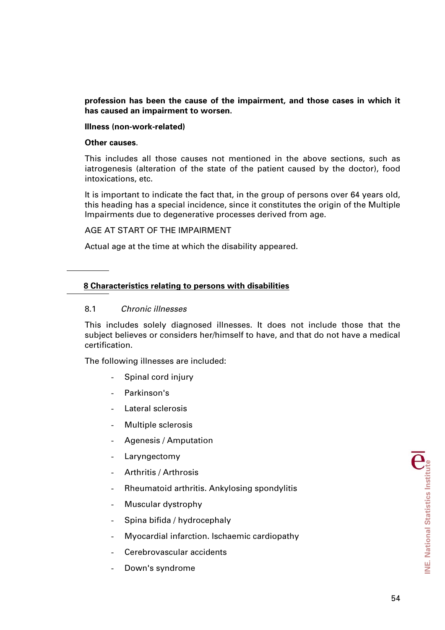**profession has been the cause of the impairment, and those cases in which it has caused an impairment to worsen.** 

## **Illness (non-work-related)**

#### **Other causes**.

This includes all those causes not mentioned in the above sections, such as iatrogenesis (alteration of the state of the patient caused by the doctor), food intoxications, etc.

It is important to indicate the fact that, in the group of persons over 64 years old, this heading has a special incidence, since it constitutes the origin of the Multiple Impairments due to degenerative processes derived from age.

## AGE AT START OF THE IMPAIRMENT

Actual age at the time at which the disability appeared.

## **8 Characteristics relating to persons with disabilities**

## 8.1 *Chronic illnesses*

This includes solely diagnosed illnesses. It does not include those that the subject believes or considers her/himself to have, and that do not have a medical certification.

The following illnesses are included:

- Spinal cord injury
- Parkinson's
- Lateral sclerosis
- Multiple sclerosis
- Agenesis / Amputation
- Laryngectomy
- Arthritis / Arthrosis
- Rheumatoid arthritis. Ankylosing spondylitis
- Muscular dystrophy
- Spina bifida / hydrocephaly
- Myocardial infarction. Ischaemic cardiopathy
- Cerebrovascular accidents
- Down's syndrome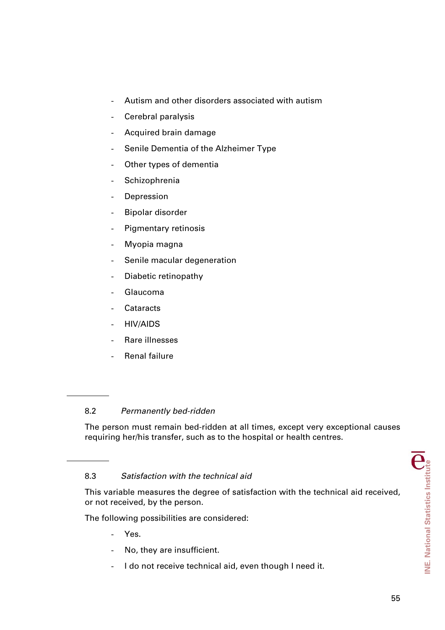- Autism and other disorders associated with autism
- Cerebral paralysis
- Acquired brain damage
- Senile Dementia of the Alzheimer Type
- Other types of dementia
- **Schizophrenia**
- **Depression**
- Bipolar disorder
- Pigmentary retinosis
- Myopia magna
- Senile macular degeneration
- Diabetic retinopathy
- Glaucoma
- Cataracts
- HIV/AIDS
- Rare illnesses
- Renal failure

# 8.2 *Permanently bed-ridden*

The person must remain bed-ridden at all times, except very exceptional causes requiring her/his transfer, such as to the hospital or health centres.

# 8.3 *Satisfaction with the technical aid*

This variable measures the degree of satisfaction with the technical aid received, or not received, by the person.

The following possibilities are considered:

- Yes.
- No, they are insufficient.
- I do not receive technical aid, even though I need it.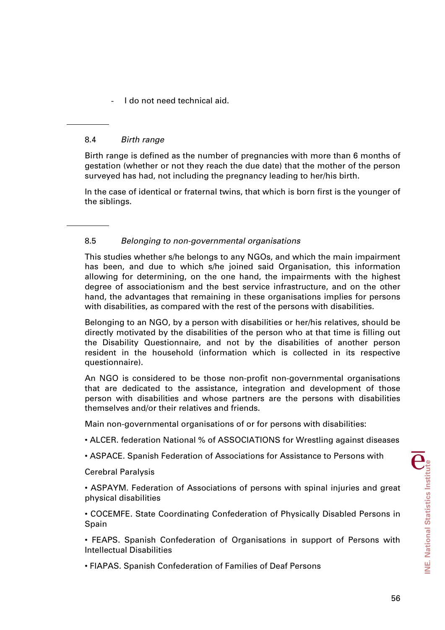- I do not need technical aid.

# 8.4 *Birth range*

Birth range is defined as the number of pregnancies with more than 6 months of gestation (whether or not they reach the due date) that the mother of the person surveyed has had, not including the pregnancy leading to her/his birth.

In the case of identical or fraternal twins, that which is born first is the younger of the siblings.

# 8.5 *Belonging to non-governmental organisations*

This studies whether s/he belongs to any NGOs, and which the main impairment has been, and due to which s/he joined said Organisation, this information allowing for determining, on the one hand, the impairments with the highest degree of associationism and the best service infrastructure, and on the other hand, the advantages that remaining in these organisations implies for persons with disabilities, as compared with the rest of the persons with disabilities.

Belonging to an NGO, by a person with disabilities or her/his relatives, should be directly motivated by the disabilities of the person who at that time is filling out the Disability Questionnaire, and not by the disabilities of another person resident in the household (information which is collected in its respective questionnaire).

An NGO is considered to be those non-profit non-governmental organisations that are dedicated to the assistance, integration and development of those person with disabilities and whose partners are the persons with disabilities themselves and/or their relatives and friends.

Main non-governmental organisations of or for persons with disabilities:

- ALCER. federation National % of ASSOCIATIONS for Wrestling against diseases
- ASPACE. Spanish Federation of Associations for Assistance to Persons with

## Cerebral Paralysis

• ASPAYM. Federation of Associations of persons with spinal injuries and great physical disabilities

• COCEMFE. State Coordinating Confederation of Physically Disabled Persons in Spain

• FEAPS. Spanish Confederation of Organisations in support of Persons with Intellectual Disabilities

• FIAPAS. Spanish Confederation of Families of Deaf Persons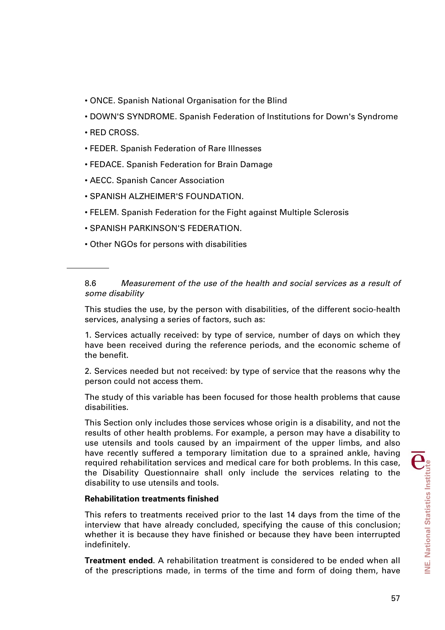- ONCE. Spanish National Organisation for the Blind
- DOWN'S SYNDROME. Spanish Federation of Institutions for Down's Syndrome
- RED CROSS.
- FEDER. Spanish Federation of Rare Illnesses
- FEDACE. Spanish Federation for Brain Damage
- AECC. Spanish Cancer Association
- SPANISH ALZHEIMER'S FOUNDATION.
- FELEM. Spanish Federation for the Fight against Multiple Sclerosis
- SPANISH PARKINSON'S FEDERATION.
- Other NGOs for persons with disabilities

# 8.6 *Measurement of the use of the health and social services as a result of some disability*

This studies the use, by the person with disabilities, of the different socio-health services, analysing a series of factors, such as:

1. Services actually received: by type of service, number of days on which they have been received during the reference periods, and the economic scheme of the benefit.

2. Services needed but not received: by type of service that the reasons why the person could not access them.

The study of this variable has been focused for those health problems that cause disabilities.

This Section only includes those services whose origin is a disability, and not the results of other health problems. For example, a person may have a disability to use utensils and tools caused by an impairment of the upper limbs, and also have recently suffered a temporary limitation due to a sprained ankle, having required rehabilitation services and medical care for both problems. In this case, the Disability Questionnaire shall only include the services relating to the disability to use utensils and tools.

# **Rehabilitation treatments finished**

This refers to treatments received prior to the last 14 days from the time of the interview that have already concluded, specifying the cause of this conclusion; whether it is because they have finished or because they have been interrupted indefinitely.

**Treatment ended**. A rehabilitation treatment is considered to be ended when all of the prescriptions made, in terms of the time and form of doing them, have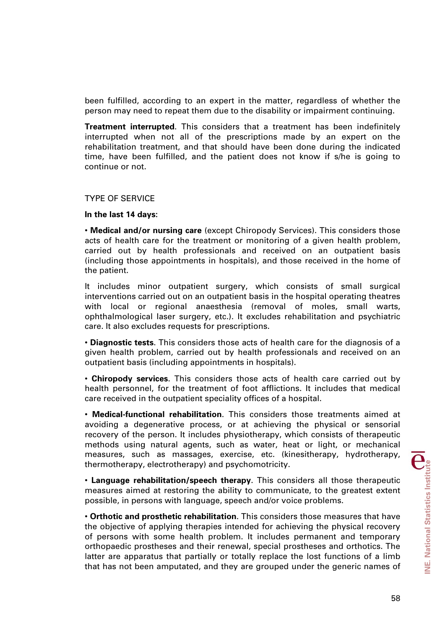been fulfilled, according to an expert in the matter, regardless of whether the person may need to repeat them due to the disability or impairment continuing.

**Treatment interrupted**. This considers that a treatment has been indefinitely interrupted when not all of the prescriptions made by an expert on the rehabilitation treatment, and that should have been done during the indicated time, have been fulfilled, and the patient does not know if s/he is going to continue or not.

#### TYPE OF SERVICE

#### **In the last 14 days:**

• **Medical and/or nursing care** (except Chiropody Services). This considers those acts of health care for the treatment or monitoring of a given health problem, carried out by health professionals and received on an outpatient basis (including those appointments in hospitals), and those received in the home of the patient.

It includes minor outpatient surgery, which consists of small surgical interventions carried out on an outpatient basis in the hospital operating theatres with local or regional anaesthesia (removal of moles, small warts, ophthalmological laser surgery, etc.). It excludes rehabilitation and psychiatric care. It also excludes requests for prescriptions.

• **Diagnostic tests**. This considers those acts of health care for the diagnosis of a given health problem, carried out by health professionals and received on an outpatient basis (including appointments in hospitals).

• **Chiropody services**. This considers those acts of health care carried out by health personnel, for the treatment of foot afflictions. It includes that medical care received in the outpatient speciality offices of a hospital.

• **Medical-functional rehabilitation**. This considers those treatments aimed at avoiding a degenerative process, or at achieving the physical or sensorial recovery of the person. It includes physiotherapy, which consists of therapeutic methods using natural agents, such as water, heat or light, or mechanical measures, such as massages, exercise, etc. (kinesitherapy, hydrotherapy, thermotherapy, electrotherapy) and psychomotricity.

• **Language rehabilitation/speech therapy**. This considers all those therapeutic measures aimed at restoring the ability to communicate, to the greatest extent possible, in persons with language, speech and/or voice problems.

• **Orthotic and prosthetic rehabilitation**. This considers those measures that have the objective of applying therapies intended for achieving the physical recovery of persons with some health problem. It includes permanent and temporary orthopaedic prostheses and their renewal, special prostheses and orthotics. The latter are apparatus that partially or totally replace the lost functions of a limb that has not been amputated, and they are grouped under the generic names of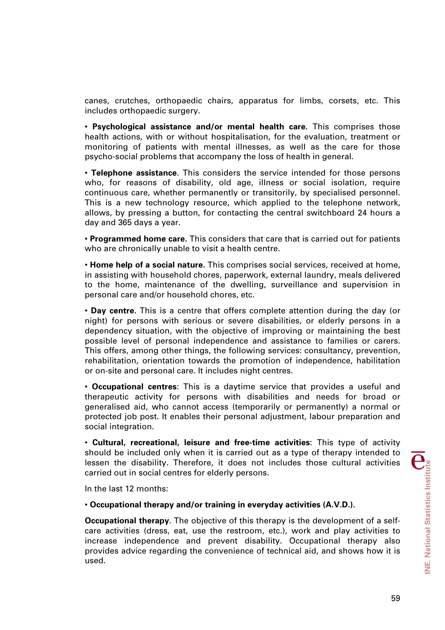canes, crutches, orthopaedic chairs, apparatus for limbs, corsets, etc. This includes orthopaedic surgery.

• **Psychological assistance and/or mental health care.** This comprises those health actions, with or without hospitalisation, for the evaluation, treatment or monitoring of patients with mental illnesses, as well as the care for those psycho-social problems that accompany the loss of health in general.

• **Telephone assistance**. This considers the service intended for those persons who, for reasons of disability, old age, illness or social isolation, require continuous care, whether permanently or transitorily, by specialised personnel. This is a new technology resource, which applied to the telephone network, allows, by pressing a button, for contacting the central switchboard 24 hours a day and 365 days a year.

• **Programmed home care.** This considers that care that is carried out for patients who are chronically unable to visit a health centre.

• **Home help of a social nature.** This comprises social services, received at home, in assisting with household chores, paperwork, external laundry, meals delivered to the home, maintenance of the dwelling, surveillance and supervision in personal care and/or household chores, etc.

• **Day centre.** This is a centre that offers complete attention during the day (or night) for persons with serious or severe disabilities, or elderly persons in a dependency situation, with the objective of improving or maintaining the best possible level of personal independence and assistance to families or carers. This offers, among other things, the following services: consultancy, prevention, rehabilitation, orientation towards the promotion of independence, habilitation or on-site and personal care. It includes night centres.

• **Occupational centres**: This is a daytime service that provides a useful and therapeutic activity for persons with disabilities and needs for broad or generalised aid, who cannot access (temporarily or permanently) a normal or protected job post. It enables their personal adjustment, labour preparation and social integration.

• **Cultural, recreational, leisure and free-time activities**: This type of activity should be included only when it is carried out as a type of therapy intended to lessen the disability. Therefore, it does not includes those cultural activities carried out in social centres for elderly persons.

In the last 12 months:

#### • **Occupational therapy and/or training in everyday activities (A.V.D.).**

**Occupational therapy**. The objective of this therapy is the development of a selfcare activities (dress, eat, use the restroom, etc.), work and play activities to increase independence and prevent disability. Occupational therapy also provides advice regarding the convenience of technical aid, and shows how it is used.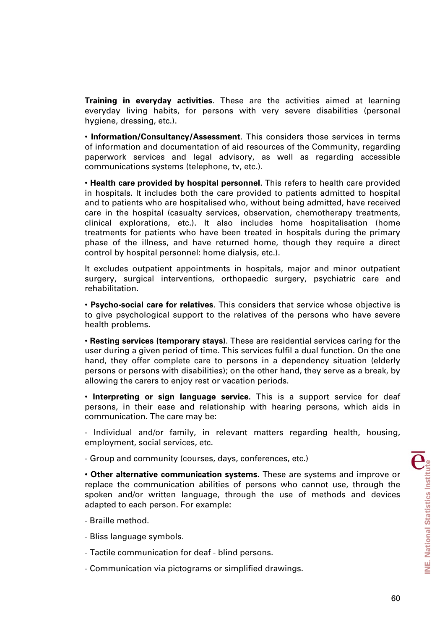**Training in everyday activities**. These are the activities aimed at learning everyday living habits, for persons with very severe disabilities (personal hygiene, dressing, etc.).

• **Information/Consultancy/Assessment**. This considers those services in terms of information and documentation of aid resources of the Community, regarding paperwork services and legal advisory, as well as regarding accessible communications systems (telephone, tv, etc.).

• **Health care provided by hospital personnel**. This refers to health care provided in hospitals. It includes both the care provided to patients admitted to hospital and to patients who are hospitalised who, without being admitted, have received care in the hospital (casualty services, observation, chemotherapy treatments, clinical explorations, etc.). It also includes home hospitalisation (home treatments for patients who have been treated in hospitals during the primary phase of the illness, and have returned home, though they require a direct control by hospital personnel: home dialysis, etc.).

It excludes outpatient appointments in hospitals, major and minor outpatient surgery, surgical interventions, orthopaedic surgery, psychiatric care and rehabilitation.

• **Psycho-social care for relatives**. This considers that service whose objective is to give psychological support to the relatives of the persons who have severe health problems.

• **Resting services (temporary stays)**. These are residential services caring for the user during a given period of time. This services fulfil a dual function. On the one hand, they offer complete care to persons in a dependency situation (elderly persons or persons with disabilities); on the other hand, they serve as a break, by allowing the carers to enjoy rest or vacation periods.

• **Interpreting or sign language service.** This is a support service for deaf persons, in their ease and relationship with hearing persons, which aids in communication. The care may be:

- Individual and/or family, in relevant matters regarding health, housing, employment, social services, etc.

- Group and community (courses, days, conferences, etc.)

• **Other alternative communication systems.** These are systems and improve or replace the communication abilities of persons who cannot use, through the spoken and/or written language, through the use of methods and devices adapted to each person. For example:

- Braille method.
- Bliss language symbols.
- Tactile communication for deaf blind persons.
- Communication via pictograms or simplified drawings.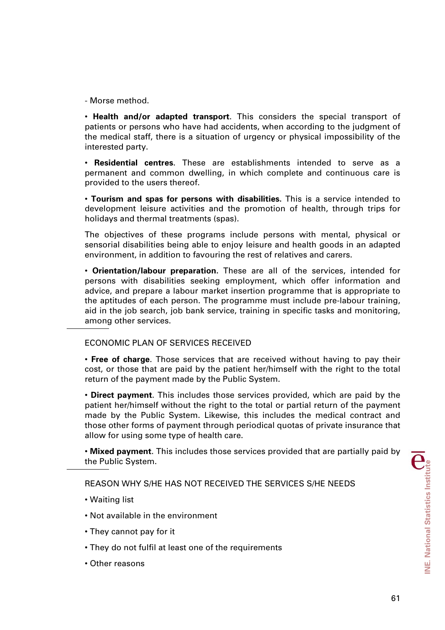- Morse method.

• **Health and/or adapted transport**. This considers the special transport of patients or persons who have had accidents, when according to the judgment of the medical staff, there is a situation of urgency or physical impossibility of the interested party.

• **Residential centres**. These are establishments intended to serve as a permanent and common dwelling, in which complete and continuous care is provided to the users thereof.

• **Tourism and spas for persons with disabilities.** This is a service intended to development leisure activities and the promotion of health, through trips for holidays and thermal treatments (spas).

The objectives of these programs include persons with mental, physical or sensorial disabilities being able to enjoy leisure and health goods in an adapted environment, in addition to favouring the rest of relatives and carers.

• **Orientation/labour preparation.** These are all of the services, intended for persons with disabilities seeking employment, which offer information and advice, and prepare a labour market insertion programme that is appropriate to the aptitudes of each person. The programme must include pre-labour training, aid in the job search, job bank service, training in specific tasks and monitoring, among other services.

# ECONOMIC PLAN OF SERVICES RECEIVED

• **Free of charge**. Those services that are received without having to pay their cost, or those that are paid by the patient her/himself with the right to the total return of the payment made by the Public System.

• **Direct payment**. This includes those services provided, which are paid by the patient her/himself without the right to the total or partial return of the payment made by the Public System. Likewise, this includes the medical contract and those other forms of payment through periodical quotas of private insurance that allow for using some type of health care.

• **Mixed payment**. This includes those services provided that are partially paid by the Public System.

REASON WHY S/HE HAS NOT RECEIVED THE SERVICES S/HE NEEDS

- Waiting list
- Not available in the environment
- They cannot pay for it
- They do not fulfil at least one of the requirements
- Other reasons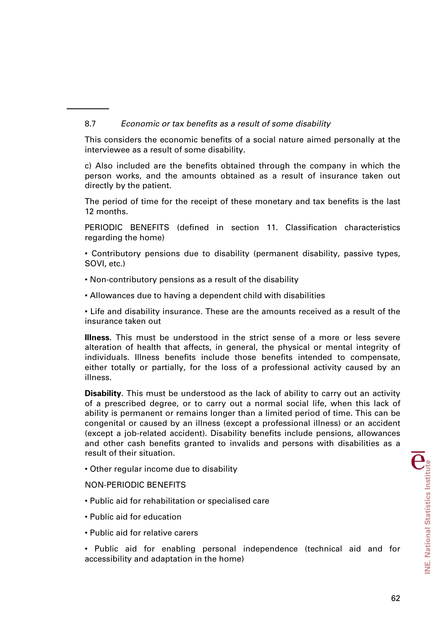# 8.7 *Economic or tax benefits as a result of some disability*

This considers the economic benefits of a social nature aimed personally at the interviewee as a result of some disability.

c) Also included are the benefits obtained through the company in which the person works, and the amounts obtained as a result of insurance taken out directly by the patient.

The period of time for the receipt of these monetary and tax benefits is the last 12 months.

PERIODIC BENEFITS (defined in section 11. Classification characteristics regarding the home)

• Contributory pensions due to disability (permanent disability, passive types, SOVI, etc.)

• Non-contributory pensions as a result of the disability

• Allowances due to having a dependent child with disabilities

• Life and disability insurance. These are the amounts received as a result of the insurance taken out

**Illness**. This must be understood in the strict sense of a more or less severe alteration of health that affects, in general, the physical or mental integrity of individuals. Illness benefits include those benefits intended to compensate, either totally or partially, for the loss of a professional activity caused by an illness.

**Disability**. This must be understood as the lack of ability to carry out an activity of a prescribed degree, or to carry out a normal social life, when this lack of ability is permanent or remains longer than a limited period of time. This can be congenital or caused by an illness (except a professional illness) or an accident (except a job-related accident). Disability benefits include pensions, allowances and other cash benefits granted to invalids and persons with disabilities as a result of their situation.

• Other regular income due to disability

NON-PERIODIC BENEFITS

- Public aid for rehabilitation or specialised care
- Public aid for education
- Public aid for relative carers

• Public aid for enabling personal independence (technical aid and for accessibility and adaptation in the home)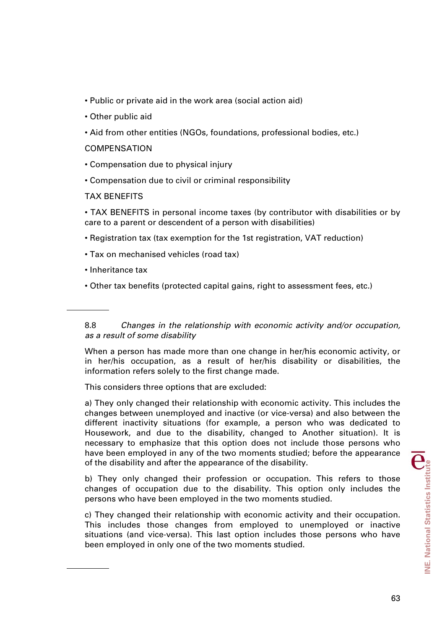- Public or private aid in the work area (social action aid)
- Other public aid
- Aid from other entities (NGOs, foundations, professional bodies, etc.)

## **COMPENSATION**

- Compensation due to physical injury
- Compensation due to civil or criminal responsibility

## TAX BENEFITS

• TAX BENEFITS in personal income taxes (by contributor with disabilities or by care to a parent or descendent of a person with disabilities)

- Registration tax (tax exemption for the 1st registration, VAT reduction)
- Tax on mechanised vehicles (road tax)
- Inheritance tax
- Other tax benefits (protected capital gains, right to assessment fees, etc.)

8.8 *Changes in the relationship with economic activity and/or occupation, as a result of some disability* 

When a person has made more than one change in her/his economic activity, or in her/his occupation, as a result of her/his disability or disabilities, the information refers solely to the first change made.

This considers three options that are excluded:

a) They only changed their relationship with economic activity. This includes the changes between unemployed and inactive (or vice-versa) and also between the different inactivity situations (for example, a person who was dedicated to Housework, and due to the disability, changed to Another situation). It is necessary to emphasize that this option does not include those persons who have been employed in any of the two moments studied; before the appearance of the disability and after the appearance of the disability.

b) They only changed their profession or occupation. This refers to those changes of occupation due to the disability. This option only includes the persons who have been employed in the two moments studied.

c) They changed their relationship with economic activity and their occupation. This includes those changes from employed to unemployed or inactive situations (and vice-versa). This last option includes those persons who have been employed in only one of the two moments studied.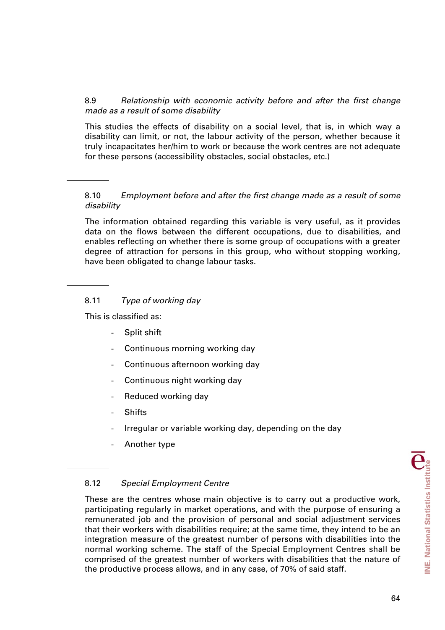# 8.9 *Relationship with economic activity before and after the first change made as a result of some disability*

This studies the effects of disability on a social level, that is, in which way a disability can limit, or not, the labour activity of the person, whether because it truly incapacitates her/him to work or because the work centres are not adequate for these persons (accessibility obstacles, social obstacles, etc.)

# 8.10 *Employment before and after the first change made as a result of some disability*

The information obtained regarding this variable is very useful, as it provides data on the flows between the different occupations, due to disabilities, and enables reflecting on whether there is some group of occupations with a greater degree of attraction for persons in this group, who without stopping working, have been obligated to change labour tasks.

# 8.11 *Type of working day*

This is classified as:

- Split shift
- Continuous morning working day
- Continuous afternoon working day
- Continuous night working day
- Reduced working day
- **Shifts**
- Irregular or variable working day, depending on the day
- Another type

# 8.12 *Special Employment Centre*

These are the centres whose main objective is to carry out a productive work, participating regularly in market operations, and with the purpose of ensuring a remunerated job and the provision of personal and social adjustment services that their workers with disabilities require; at the same time, they intend to be an integration measure of the greatest number of persons with disabilities into the normal working scheme. The staff of the Special Employment Centres shall be comprised of the greatest number of workers with disabilities that the nature of the productive process allows, and in any case, of 70% of said staff.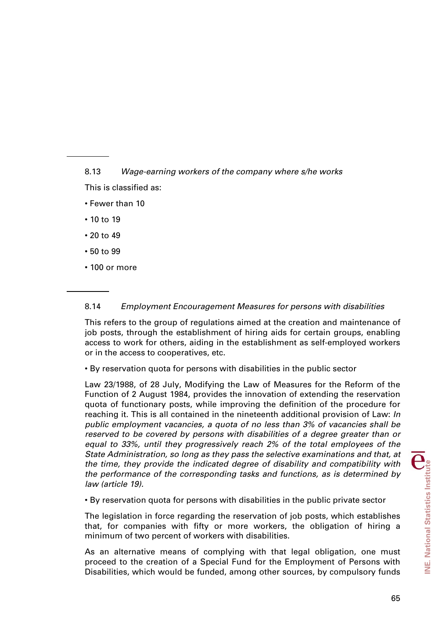8.13 *Wage-earning workers of the company where s/he works* 

- This is classified as:
- Fewer than 10
- 10 to 19
- 20 to 49
- 50 to 99
- 100 or more

# 8.14 *Employment Encouragement Measures for persons with disabilities*

This refers to the group of regulations aimed at the creation and maintenance of job posts, through the establishment of hiring aids for certain groups, enabling access to work for others, aiding in the establishment as self-employed workers or in the access to cooperatives, etc.

# • By reservation quota for persons with disabilities in the public sector

Law 23/1988, of 28 July, Modifying the Law of Measures for the Reform of the Function of 2 August 1984, provides the innovation of extending the reservation quota of functionary posts, while improving the definition of the procedure for reaching it. This is all contained in the nineteenth additional provision of Law: *In public employment vacancies, a quota of no less than 3% of vacancies shall be reserved to be covered by persons with disabilities of a degree greater than or equal to 33%, until they progressively reach 2% of the total employees of the State Administration, so long as they pass the selective examinations and that, at the time, they provide the indicated degree of disability and compatibility with the performance of the corresponding tasks and functions, as is determined by law (article 19).* 

• By reservation quota for persons with disabilities in the public private sector

The legislation in force regarding the reservation of job posts, which establishes that, for companies with fifty or more workers, the obligation of hiring a minimum of two percent of workers with disabilities.

As an alternative means of complying with that legal obligation, one must proceed to the creation of a Special Fund for the Employment of Persons with Disabilities, which would be funded, among other sources, by compulsory funds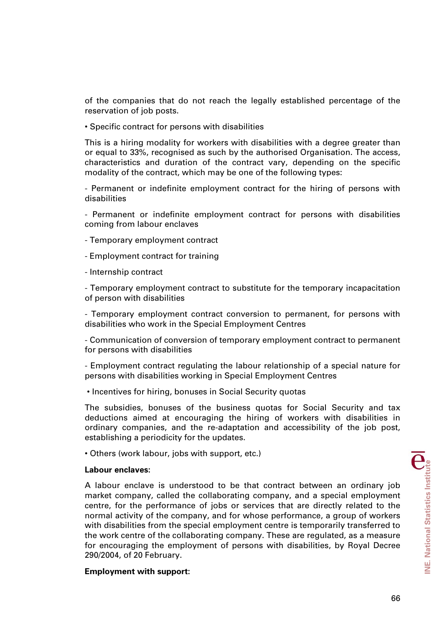of the companies that do not reach the legally established percentage of the reservation of job posts.

• Specific contract for persons with disabilities

This is a hiring modality for workers with disabilities with a degree greater than or equal to 33%, recognised as such by the authorised Organisation. The access, characteristics and duration of the contract vary, depending on the specific modality of the contract, which may be one of the following types:

- Permanent or indefinite employment contract for the hiring of persons with disabilities

- Permanent or indefinite employment contract for persons with disabilities coming from labour enclaves

- Temporary employment contract

- Employment contract for training

- Internship contract

- Temporary employment contract to substitute for the temporary incapacitation of person with disabilities

- Temporary employment contract conversion to permanent, for persons with disabilities who work in the Special Employment Centres

- Communication of conversion of temporary employment contract to permanent for persons with disabilities

- Employment contract regulating the labour relationship of a special nature for persons with disabilities working in Special Employment Centres

• Incentives for hiring, bonuses in Social Security quotas

The subsidies, bonuses of the business quotas for Social Security and tax deductions aimed at encouraging the hiring of workers with disabilities in ordinary companies, and the re-adaptation and accessibility of the job post, establishing a periodicity for the updates.

• Others (work labour, jobs with support, etc.)

#### **Labour enclaves:**

A labour enclave is understood to be that contract between an ordinary job market company, called the collaborating company, and a special employment centre, for the performance of jobs or services that are directly related to the normal activity of the company, and for whose performance, a group of workers with disabilities from the special employment centre is temporarily transferred to the work centre of the collaborating company. These are regulated, as a measure for encouraging the employment of persons with disabilities, by Royal Decree 290/2004, of 20 February.

#### **Employment with support:**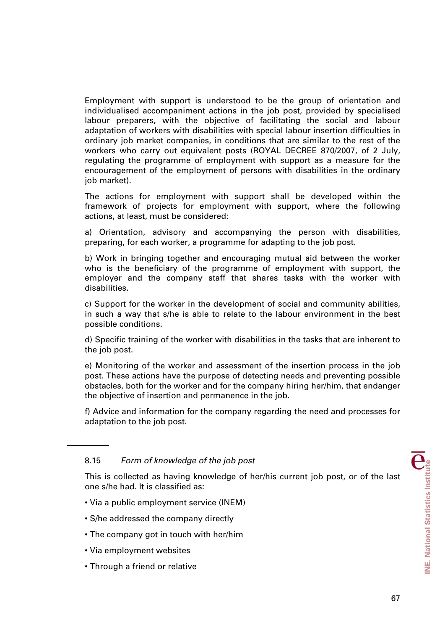Employment with support is understood to be the group of orientation and individualised accompaniment actions in the job post, provided by specialised labour preparers, with the objective of facilitating the social and labour adaptation of workers with disabilities with special labour insertion difficulties in ordinary job market companies, in conditions that are similar to the rest of the workers who carry out equivalent posts (ROYAL DECREE 870/2007, of 2 July, regulating the programme of employment with support as a measure for the encouragement of the employment of persons with disabilities in the ordinary job market).

The actions for employment with support shall be developed within the framework of projects for employment with support, where the following actions, at least, must be considered:

a) Orientation, advisory and accompanying the person with disabilities, preparing, for each worker, a programme for adapting to the job post.

b) Work in bringing together and encouraging mutual aid between the worker who is the beneficiary of the programme of employment with support, the employer and the company staff that shares tasks with the worker with disabilities.

c) Support for the worker in the development of social and community abilities, in such a way that s/he is able to relate to the labour environment in the best possible conditions.

d) Specific training of the worker with disabilities in the tasks that are inherent to the job post.

e) Monitoring of the worker and assessment of the insertion process in the job post. These actions have the purpose of detecting needs and preventing possible obstacles, both for the worker and for the company hiring her/him, that endanger the objective of insertion and permanence in the job.

f) Advice and information for the company regarding the need and processes for adaptation to the job post.

## 8.15 *Form of knowledge of the job post*

This is collected as having knowledge of her/his current job post, or of the last one s/he had. It is classified as:

- Via a public employment service (INEM)
- S/he addressed the company directly
- The company got in touch with her/him
- Via employment websites
- Through a friend or relative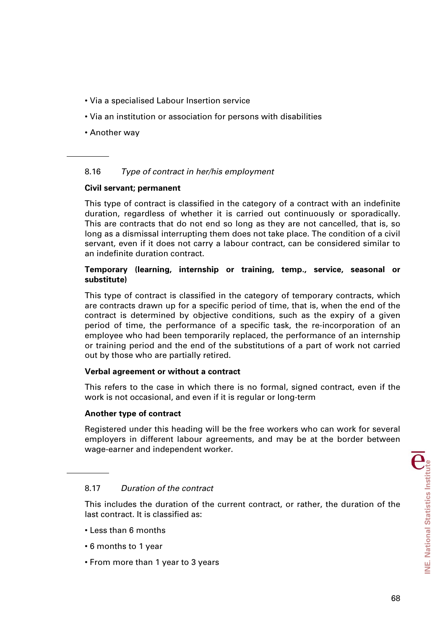- Via a specialised Labour Insertion service
- Via an institution or association for persons with disabilities
- Another way

# 8.16 *Type of contract in her/his employment*

## **Civil servant; permanent**

This type of contract is classified in the category of a contract with an indefinite duration, regardless of whether it is carried out continuously or sporadically. This are contracts that do not end so long as they are not cancelled, that is, so long as a dismissal interrupting them does not take place. The condition of a civil servant, even if it does not carry a labour contract, can be considered similar to an indefinite duration contract.

## **Temporary (learning, internship or training, temp., service, seasonal or substitute)**

This type of contract is classified in the category of temporary contracts, which are contracts drawn up for a specific period of time, that is, when the end of the contract is determined by objective conditions, such as the expiry of a given period of time, the performance of a specific task, the re-incorporation of an employee who had been temporarily replaced, the performance of an internship or training period and the end of the substitutions of a part of work not carried out by those who are partially retired.

## **Verbal agreement or without a contract**

This refers to the case in which there is no formal, signed contract, even if the work is not occasional, and even if it is regular or long-term

## **Another type of contract**

Registered under this heading will be the free workers who can work for several employers in different labour agreements, and may be at the border between wage-earner and independent worker.

## 8.17 *Duration of the contract*

This includes the duration of the current contract, or rather, the duration of the last contract. It is classified as:

- Less than 6 months
- 6 months to 1 year
- From more than 1 year to 3 years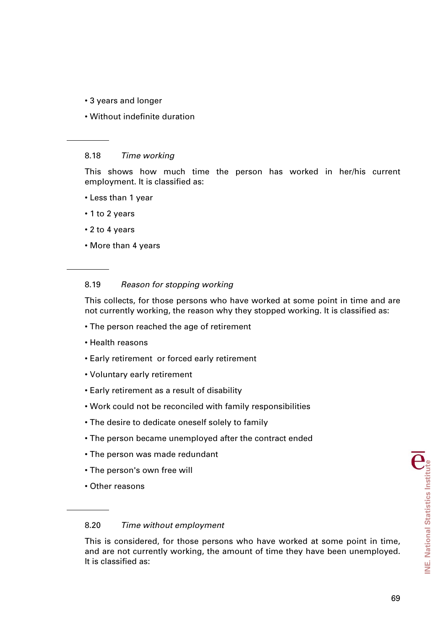- 3 years and longer
- Without indefinite duration

#### 8.18 *Time working*

This shows how much time the person has worked in her/his current employment. It is classified as:

- Less than 1 year
- 1 to 2 years
- 2 to 4 years
- More than 4 years

## 8.19 *Reason for stopping working*

This collects, for those persons who have worked at some point in time and are not currently working, the reason why they stopped working. It is classified as:

- The person reached the age of retirement
- Health reasons
- Early retirement or forced early retirement
- Voluntary early retirement
- Early retirement as a result of disability
- Work could not be reconciled with family responsibilities
- The desire to dedicate oneself solely to family
- The person became unemployed after the contract ended
- The person was made redundant
- The person's own free will
- Other reasons

#### 8.20 *Time without employment*

This is considered, for those persons who have worked at some point in time, and are not currently working, the amount of time they have been unemployed. It is classified as: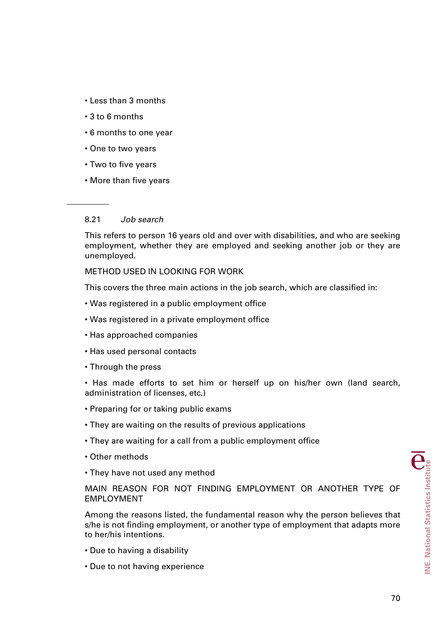- Less than 3 months
- 3 to 6 months
- 6 months to one year
- One to two years
- Two to five years
- More than five years

# 8.21 *Job search*

This refers to person 16 years old and over with disabilities, and who are seeking employment, whether they are employed and seeking another job or they are unemployed.

METHOD USED IN LOOKING FOR WORK

This covers the three main actions in the job search, which are classified in:

- Was registered in a public employment office
- Was registered in a private employment office
- Has approached companies
- Has used personal contacts
- Through the press
- Has made efforts to set him or herself up on his/her own (land search, administration of licenses, etc.)
- Preparing for or taking public exams
- They are waiting on the results of previous applications
- They are waiting for a call from a public employment office
- Other methods
- They have not used any method

MAIN REASON FOR NOT FINDING EMPLOYMENT OR ANOTHER TYPE OF EMPLOYMENT

Among the reasons listed, the fundamental reason why the person believes that s/he is not finding employment, or another type of employment that adapts more to her/his intentions.

- Due to having a disability
- Due to not having experience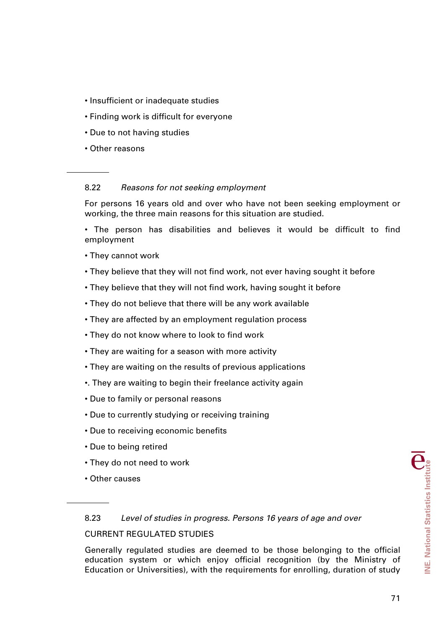- Insufficient or inadequate studies
- Finding work is difficult for everyone
- Due to not having studies
- Other reasons

# 8.22 *Reasons for not seeking employment*

For persons 16 years old and over who have not been seeking employment or working, the three main reasons for this situation are studied.

• The person has disabilities and believes it would be difficult to find employment

- They cannot work
- They believe that they will not find work, not ever having sought it before
- They believe that they will not find work, having sought it before
- They do not believe that there will be any work available
- They are affected by an employment regulation process
- They do not know where to look to find work
- They are waiting for a season with more activity
- They are waiting on the results of previous applications
- •. They are waiting to begin their freelance activity again
- Due to family or personal reasons
- Due to currently studying or receiving training
- Due to receiving economic benefits
- Due to being retired
- They do not need to work
- Other causes

### 8.23 *Level of studies in progress. Persons 16 years of age and over*

### CURRENT REGULATED STUDIES

Generally regulated studies are deemed to be those belonging to the official education system or which enjoy official recognition (by the Ministry of Education or Universities), with the requirements for enrolling, duration of study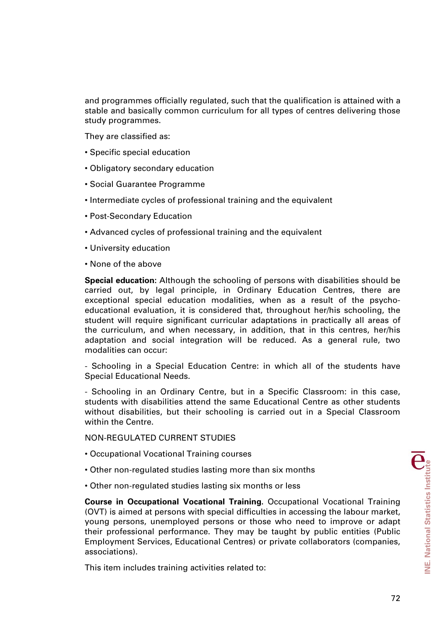and programmes officially regulated, such that the qualification is attained with a stable and basically common curriculum for all types of centres delivering those study programmes.

They are classified as:

- Specific special education
- Obligatory secondary education
- Social Guarantee Programme
- Intermediate cycles of professional training and the equivalent
- Post-Secondary Education
- Advanced cycles of professional training and the equivalent
- University education
- None of the above

**Special education:** Although the schooling of persons with disabilities should be carried out, by legal principle, in Ordinary Education Centres, there are exceptional special education modalities, when as a result of the psychoeducational evaluation, it is considered that, throughout her/his schooling, the student will require significant curricular adaptations in practically all areas of the curriculum, and when necessary, in addition, that in this centres, her/his adaptation and social integration will be reduced. As a general rule, two modalities can occur:

- Schooling in a Special Education Centre: in which all of the students have Special Educational Needs.

- Schooling in an Ordinary Centre, but in a Specific Classroom: in this case, students with disabilities attend the same Educational Centre as other students without disabilities, but their schooling is carried out in a Special Classroom within the Centre.

NON-REGULATED CURRENT STUDIES

- Occupational Vocational Training courses
- Other non-regulated studies lasting more than six months
- Other non-regulated studies lasting six months or less

**Course in Occupational Vocational Training.** Occupational Vocational Training (OVT) is aimed at persons with special difficulties in accessing the labour market, young persons, unemployed persons or those who need to improve or adapt their professional performance. They may be taught by public entities (Public Employment Services, Educational Centres) or private collaborators (companies, associations).

This item includes training activities related to: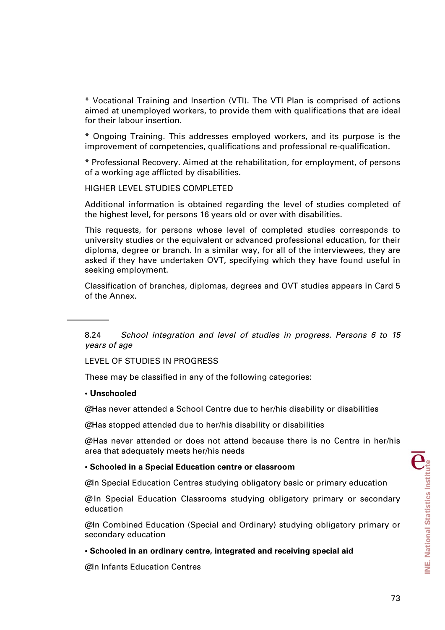\* Vocational Training and Insertion (VTI). The VTI Plan is comprised of actions aimed at unemployed workers, to provide them with qualifications that are ideal for their labour insertion.

\* Ongoing Training. This addresses employed workers, and its purpose is the improvement of competencies, qualifications and professional re-qualification.

\* Professional Recovery. Aimed at the rehabilitation, for employment, of persons of a working age afflicted by disabilities.

HIGHER LEVEL STUDIES COMPLETED

Additional information is obtained regarding the level of studies completed of the highest level, for persons 16 years old or over with disabilities.

This requests, for persons whose level of completed studies corresponds to university studies or the equivalent or advanced professional education, for their diploma, degree or branch. In a similar way, for all of the interviewees, they are asked if they have undertaken OVT, specifying which they have found useful in seeking employment.

Classification of branches, diplomas, degrees and OVT studies appears in Card 5 of the Annex.

8.24 *School integration and level of studies in progress. Persons 6 to 15 years of age* 

LEVEL OF STUDIES IN PROGRESS

These may be classified in any of the following categories:

#### **• Unschooled**

@ Has never attended a School Centre due to her/his disability or disabilities

@Has stopped attended due to her/his disability or disabilities

@ Has never attended or does not attend because there is no Centre in her/his area that adequately meets her/his needs

#### **• Schooled in a Special Education centre or classroom**

@In Special Education Centres studying obligatory basic or primary education

@ In Special Education Classrooms studying obligatory primary or secondary education

@ In Combined Education (Special and Ordinary) studying obligatory primary or secondary education

#### **• Schooled in an ordinary centre, integrated and receiving special aid**

@In Infants Education Centres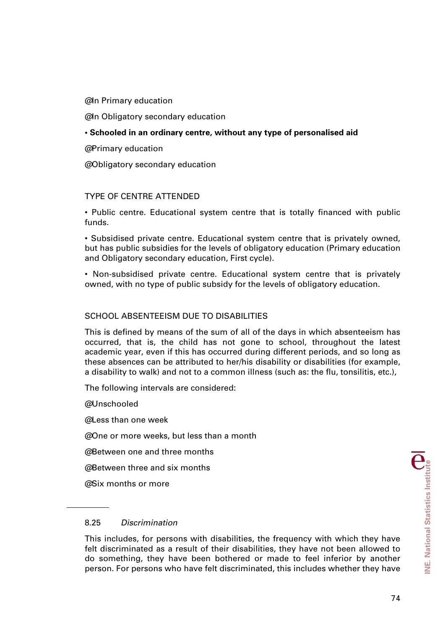@In Primary education

@In Obligatory secondary education

### **• Schooled in an ordinary centre, without any type of personalised aid**

@ Primary education

@ Obligatory secondary education

### TYPE OF CENTRE ATTENDED

• Public centre. Educational system centre that is totally financed with public funds.

• Subsidised private centre. Educational system centre that is privately owned, but has public subsidies for the levels of obligatory education (Primary education and Obligatory secondary education, First cycle).

• Non-subsidised private centre. Educational system centre that is privately owned, with no type of public subsidy for the levels of obligatory education.

### SCHOOL ABSENTEEISM DUE TO DISABILITIES

This is defined by means of the sum of all of the days in which absenteeism has occurred, that is, the child has not gone to school, throughout the latest academic year, even if this has occurred during different periods, and so long as these absences can be attributed to her/his disability or disabilities (for example, a disability to walk) and not to a common illness (such as: the flu, tonsilitis, etc.),

The following intervals are considered:

@Unschooled

 $@$  Less than one week

@ One or more weeks, but less than a month

@ Between one and three months

@ Between three and six months

@ Six months or more

### 8.25 *Discrimination*

This includes, for persons with disabilities, the frequency with which they have felt discriminated as a result of their disabilities, they have not been allowed to do something, they have been bothered or made to feel inferior by another person. For persons who have felt discriminated, this includes whether they have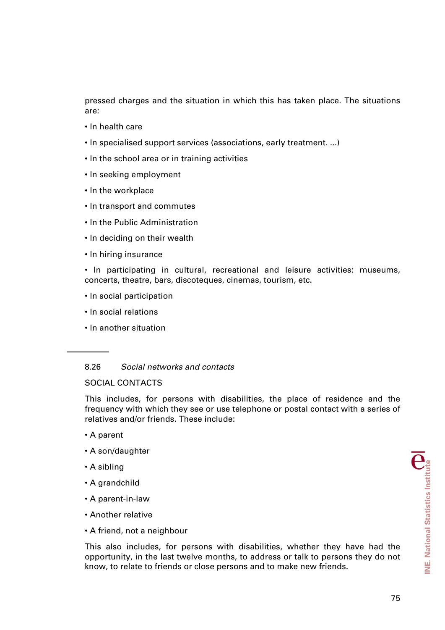pressed charges and the situation in which this has taken place. The situations are:

- In health care
- In specialised support services (associations, early treatment. ...)
- In the school area or in training activities
- In seeking employment
- In the workplace
- In transport and commutes
- In the Public Administration
- In deciding on their wealth
- In hiring insurance

• In participating in cultural, recreational and leisure activities: museums, concerts, theatre, bars, discoteques, cinemas, tourism, etc.

- In social participation
- In social relations
- In another situation

#### 8.26 *Social networks and contacts*

# SOCIAL CONTACTS

This includes, for persons with disabilities, the place of residence and the frequency with which they see or use telephone or postal contact with a series of relatives and/or friends. These include:

- A parent
- A son/daughter
- A sibling
- A grandchild
- A parent-in-law
- Another relative
- A friend, not a neighbour

This also includes, for persons with disabilities, whether they have had the opportunity, in the last twelve months, to address or talk to persons they do not know, to relate to friends or close persons and to make new friends.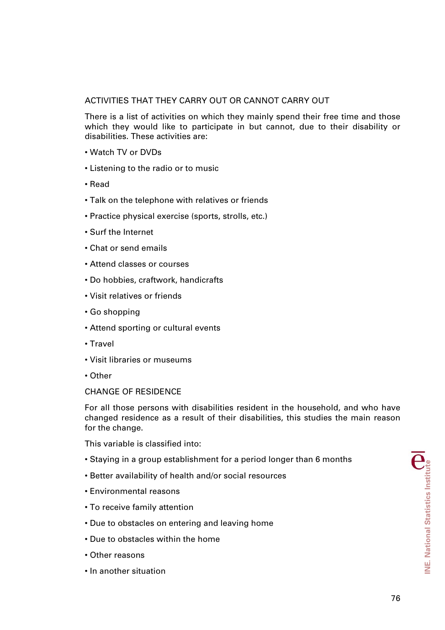# ACTIVITIES THAT THEY CARRY OUT OR CANNOT CARRY OUT

There is a list of activities on which they mainly spend their free time and those which they would like to participate in but cannot, due to their disability or disabilities. These activities are:

- Watch TV or DVDs
- Listening to the radio or to music
- Read
- Talk on the telephone with relatives or friends
- Practice physical exercise (sports, strolls, etc.)
- Surf the Internet
- Chat or send emails
- Attend classes or courses
- Do hobbies, craftwork, handicrafts
- Visit relatives or friends
- Go shopping
- Attend sporting or cultural events
- Travel
- Visit libraries or museums
- Other

### CHANGE OF RESIDENCE

For all those persons with disabilities resident in the household, and who have changed residence as a result of their disabilities, this studies the main reason for the change.

This variable is classified into:

- Staying in a group establishment for a period longer than 6 months
- Better availability of health and/or social resources
- Environmental reasons
- To receive family attention
- Due to obstacles on entering and leaving home
- Due to obstacles within the home
- Other reasons
- In another situation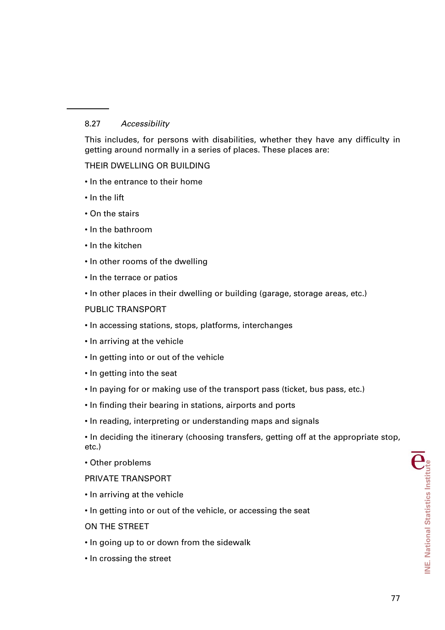# 8.27 *Accessibility*

This includes, for persons with disabilities, whether they have any difficulty in getting around normally in a series of places. These places are:

# THEIR DWELLING OR BUILDING

- In the entrance to their home
- In the lift
- On the stairs
- In the bathroom
- In the kitchen
- In other rooms of the dwelling
- In the terrace or patios
- In other places in their dwelling or building (garage, storage areas, etc.)

# PUBLIC TRANSPORT

- In accessing stations, stops, platforms, interchanges
- In arriving at the vehicle
- In getting into or out of the vehicle
- In getting into the seat
- In paying for or making use of the transport pass (ticket, bus pass, etc.)
- In finding their bearing in stations, airports and ports
- In reading, interpreting or understanding maps and signals

• In deciding the itinerary (choosing transfers, getting off at the appropriate stop, etc.)

• Other problems

### PRIVATE TRANSPORT

- In arriving at the vehicle
- In getting into or out of the vehicle, or accessing the seat

ON THE STREET

- In going up to or down from the sidewalk
- In crossing the street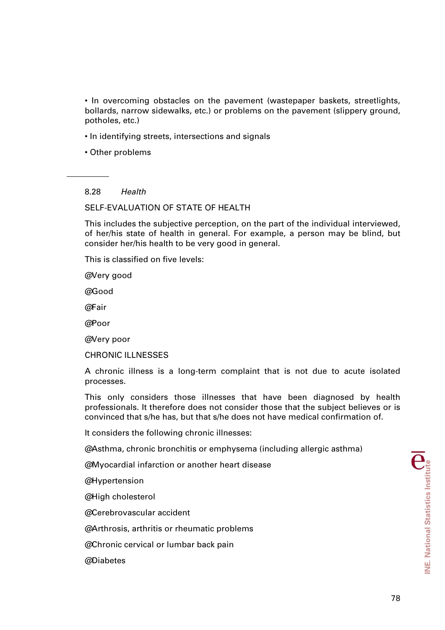• In overcoming obstacles on the pavement (wastepaper baskets, streetlights, bollards, narrow sidewalks, etc.) or problems on the pavement (slippery ground, potholes, etc.)

- In identifying streets, intersections and signals
- Other problems

8.28 *Health* 

SELF-EVALUATION OF STATE OF HEALTH

This includes the subjective perception, on the part of the individual interviewed, of her/his state of health in general. For example, a person may be blind, but consider her/his health to be very good in general.

This is classified on five levels:

@Very good

@Good

@Fair

@Poor

@Very poor

CHRONIC ILLNESSES

A chronic illness is a long-term complaint that is not due to acute isolated processes.

This only considers those illnesses that have been diagnosed by health professionals. It therefore does not consider those that the subject believes or is convinced that s/he has, but that s/he does not have medical confirmation of.

It considers the following chronic illnesses:

@ Asthma, chronic bronchitis or emphysema (including allergic asthma)

@Myocardial infarction or another heart disease

@Hypertension

@High cholesterol

@ Cerebrovascular accident

@ Arthrosis, arthritis or rheumatic problems

@ Chronic cervical or lumbar back pain

@ Diabetes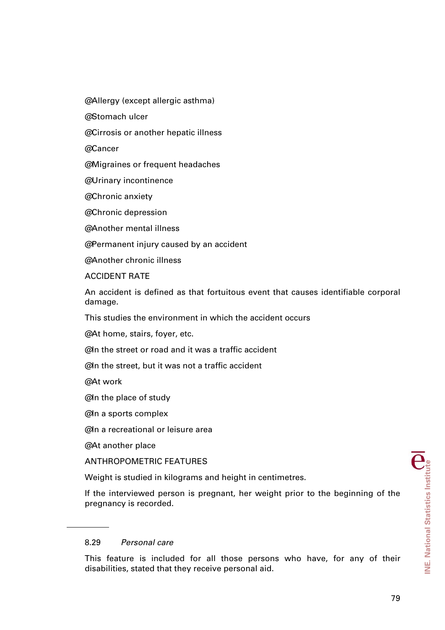@ Allergy (except allergic asthma)

@ Stomach ulcer

@ Cirrosis or another hepatic illness

@ Cancer

@ Migraines or frequent headaches

@Urinary incontinence

@ Chronic anxiety

@ Chronic depression

@ Another mental illness

@ Permanent injury caused by an accident

@ Another chronic illness

ACCIDENT RATE

An accident is defined as that fortuitous event that causes identifiable corporal damage.

This studies the environment in which the accident occurs

@ At home, stairs, foyer, etc.

@In the street or road and it was a traffic accident

@In the street, but it was not a traffic accident

@At work

@In the place of study

@In a sports complex

@In a recreational or leisure area

@At another place

ANTHROPOMETRIC FEATURES

Weight is studied in kilograms and height in centimetres.

If the interviewed person is pregnant, her weight prior to the beginning of the pregnancy is recorded.

# 8.29 *Personal care*

This feature is included for all those persons who have, for any of their disabilities, stated that they receive personal aid.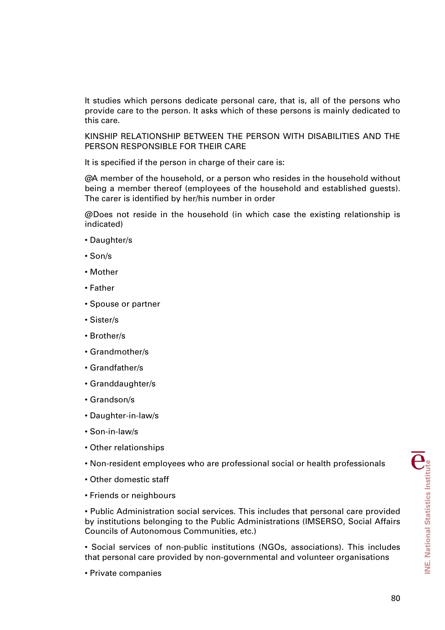It studies which persons dedicate personal care, that is, all of the persons who provide care to the person. It asks which of these persons is mainly dedicated to this care.

KINSHIP RELATIONSHIP BETWEEN THE PERSON WITH DISABILITIES AND THE PERSON RESPONSIBLE FOR THEIR CARE

It is specified if the person in charge of their care is:

 $\omega$  member of the household, or a person who resides in the household without being a member thereof (employees of the household and established guests). The carer is identified by her/his number in order

@ Does not reside in the household (in which case the existing relationship is indicated)

- Daughter/s
- Son/s
- Mother
- Father
- Spouse or partner
- Sister/s
- Brother/s
- Grandmother/s
- Grandfather/s
- Granddaughter/s
- Grandson/s
- Daughter-in-law/s
- Son-in-law/s
- Other relationships
- Non-resident employees who are professional social or health professionals
- Other domestic staff
- Friends or neighbours

• Public Administration social services. This includes that personal care provided by institutions belonging to the Public Administrations (IMSERSO, Social Affairs Councils of Autonomous Communities, etc.)

• Social services of non-public institutions (NGOs, associations). This includes that personal care provided by non-governmental and volunteer organisations

• Private companies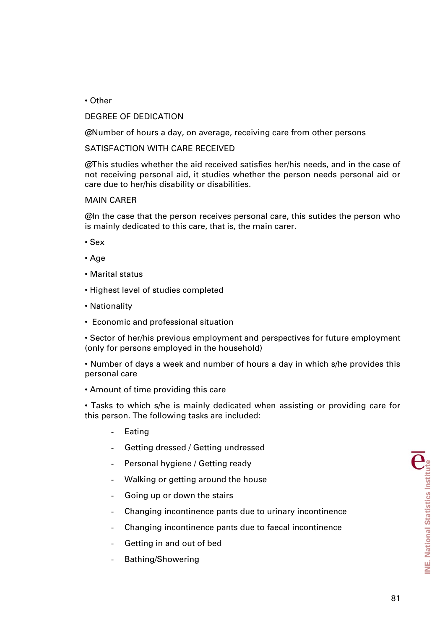• Other

# DEGREE OF DEDICATION

@ Number of hours a day, on average, receiving care from other persons

# SATISFACTION WITH CARE RECEIVED

@This studies whether the aid received satisfies her/his needs, and in the case of not receiving personal aid, it studies whether the person needs personal aid or care due to her/his disability or disabilities.

# MAIN CARER

@In the case that the person receives personal care, this sutides the person who is mainly dedicated to this care, that is, the main carer.

- Sex
- Age
- Marital status
- Highest level of studies completed
- Nationality
- Economic and professional situation

• Sector of her/his previous employment and perspectives for future employment (only for persons employed in the household)

• Number of days a week and number of hours a day in which s/he provides this personal care

### • Amount of time providing this care

• Tasks to which s/he is mainly dedicated when assisting or providing care for this person. The following tasks are included:

- **Eating**
- Getting dressed / Getting undressed
- Personal hygiene / Getting ready
- Walking or getting around the house
- Going up or down the stairs
- Changing incontinence pants due to urinary incontinence
- Changing incontinence pants due to faecal incontinence
- Getting in and out of bed
- Bathing/Showering